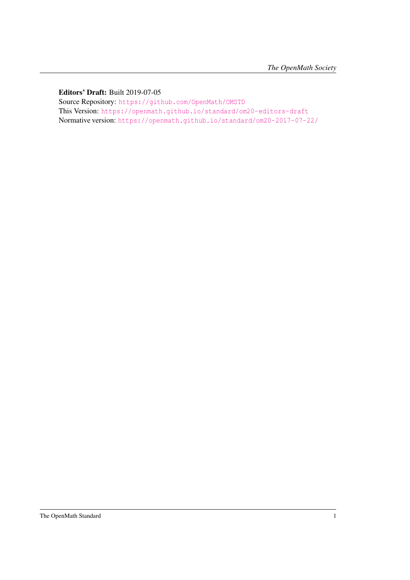#### Editors' Draft: Built 2019-07-05

Source Repository: <https://github.com/OpenMath/OMSTD> This Version: <https://openmath.github.io/standard/om20-editors-draft> Normative version: <https://openmath.github.io/standard/om20-2017-07-22/>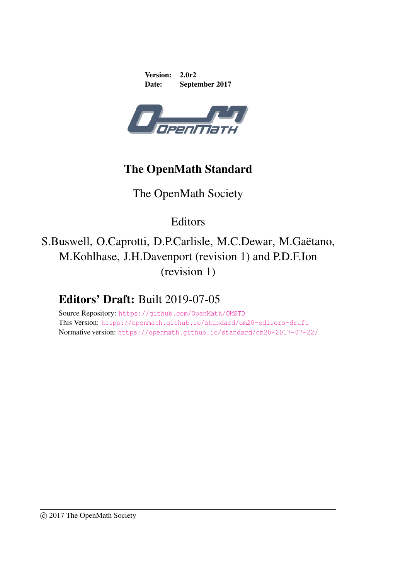Version: 2.0r2 Date: September 2017



# The OpenMath Standard

# The OpenMath Society

Editors

S.Buswell, O.Caprotti, D.P.Carlisle, M.C.Dewar, M.Gaëtano, M.Kohlhase, J.H.Davenport (revision 1) and P.D.F.Ion (revision 1)

# Editors' Draft: Built 2019-07-05

Source Repository: <https://github.com/OpenMath/OMSTD> This Version: <https://openmath.github.io/standard/om20-editors-draft> Normative version: <https://openmath.github.io/standard/om20-2017-07-22/>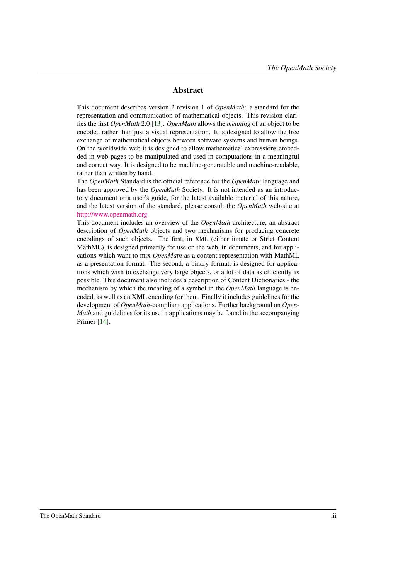#### Abstract

This document describes version 2 revision 1 of *OpenMath*: a standard for the representation and communication of mathematical objects. This revision clarifies the first *OpenMath* 2.0 [\[13\]](#page-138-0). *OpenMath* allows the *meaning* of an object to be encoded rather than just a visual representation. It is designed to allow the free exchange of mathematical objects between software systems and human beings. On the worldwide web it is designed to allow mathematical expressions embedded in web pages to be manipulated and used in computations in a meaningful and correct way. It is designed to be machine-generatable and machine-readable, rather than written by hand.

The *OpenMath* Standard is the official reference for the *OpenMath* language and has been approved by the *OpenMath* Society. It is not intended as an introductory document or a user's guide, for the latest available material of this nature, and the latest version of the standard, please consult the *OpenMath* web-site at [http://www.openmath.org.](http://www.openmath.org)

This document includes an overview of the *OpenMath* architecture, an abstract description of *OpenMath* objects and two mechanisms for producing concrete encodings of such objects. The first, in XML (either innate or Strict Content MathML), is designed primarily for use on the web, in documents, and for applications which want to mix *OpenMath* as a content representation with MathML as a presentation format. The second, a binary format, is designed for applications which wish to exchange very large objects, or a lot of data as efficiently as possible. This document also includes a description of Content Dictionaries - the mechanism by which the meaning of a symbol in the *OpenMath* language is encoded, as well as an XML encoding for them. Finally it includes guidelines for the development of *OpenMath*-compliant applications. Further background on *Open-Math* and guidelines for its use in applications may be found in the accompanying Primer [\[14\]](#page-138-1).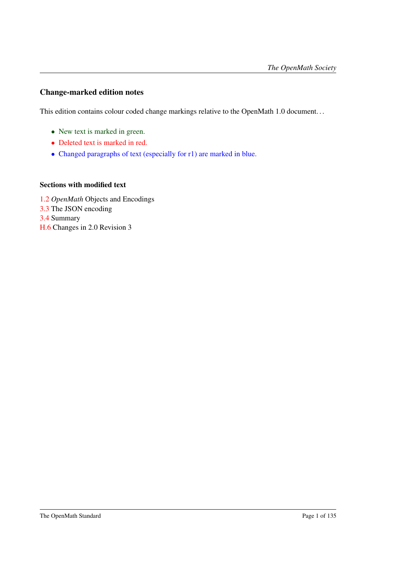#### Change-marked edition notes

This edition contains colour coded change markings relative to the OpenMath 1.0 document. . .

- New text is marked in green.
- Deleted text is marked in red.
- Changed paragraphs of text (especially for r1) are marked in blue.

#### Sections with modified text

[1.2](#page-10-0) *OpenMath* Objects and Encodings [3.3](#page-42-0) The JSON encoding [3.4](#page-54-0) Summary [H.6](#page-136-0) Changes in 2.0 Revision 3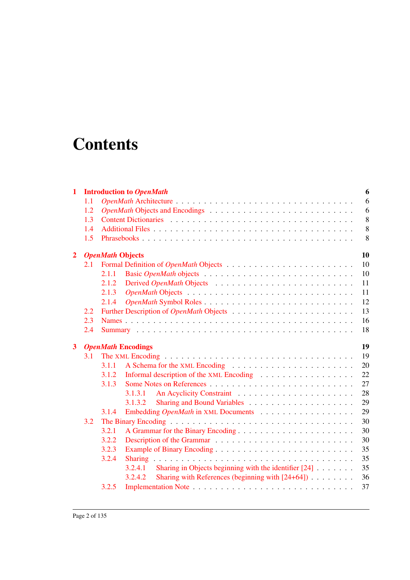# **Contents**

| $\mathbf{1}$   |                   |                         | <b>Introduction to OpenMath</b>                                                  | 6  |  |  |  |  |
|----------------|-------------------|-------------------------|----------------------------------------------------------------------------------|----|--|--|--|--|
|                | 1.1<br>1.2<br>1.3 |                         |                                                                                  |    |  |  |  |  |
|                |                   |                         |                                                                                  |    |  |  |  |  |
|                |                   |                         |                                                                                  |    |  |  |  |  |
|                | 1.4               |                         |                                                                                  |    |  |  |  |  |
|                | 1.5               |                         |                                                                                  | 8  |  |  |  |  |
| $\overline{2}$ |                   | <b>OpenMath Objects</b> |                                                                                  | 10 |  |  |  |  |
|                | 2.1               |                         |                                                                                  | 10 |  |  |  |  |
|                |                   | 2.1.1                   |                                                                                  | 10 |  |  |  |  |
|                |                   | 2.1.2                   |                                                                                  | 11 |  |  |  |  |
|                |                   | 2.1.3                   |                                                                                  | 11 |  |  |  |  |
|                |                   | 2.1.4                   |                                                                                  | 12 |  |  |  |  |
|                | $2.2^{\circ}$     |                         |                                                                                  | 13 |  |  |  |  |
|                | 2.3               |                         |                                                                                  | 16 |  |  |  |  |
|                | 2.4               |                         |                                                                                  | 18 |  |  |  |  |
|                |                   |                         |                                                                                  |    |  |  |  |  |
| $\mathbf{3}$   |                   |                         | <b>OpenMath Encodings</b>                                                        | 19 |  |  |  |  |
|                | 3.1               |                         |                                                                                  | 19 |  |  |  |  |
|                |                   | 3.1.1                   |                                                                                  | 20 |  |  |  |  |
|                |                   | 3.1.2                   |                                                                                  | 22 |  |  |  |  |
|                |                   | 3.1.3                   |                                                                                  | 27 |  |  |  |  |
|                |                   |                         | 3.1.3.1                                                                          | 28 |  |  |  |  |
|                |                   |                         | 3.1.3.2                                                                          | 29 |  |  |  |  |
|                |                   | 3.1.4                   |                                                                                  | 29 |  |  |  |  |
|                | 3.2               |                         |                                                                                  | 30 |  |  |  |  |
|                |                   | 3.2.1                   |                                                                                  | 30 |  |  |  |  |
|                |                   | 3.2.2                   |                                                                                  | 30 |  |  |  |  |
|                |                   | 3.2.3                   |                                                                                  | 35 |  |  |  |  |
|                |                   | 3.2.4                   |                                                                                  | 35 |  |  |  |  |
|                |                   |                         | 3.2.4.1<br>Sharing in Objects beginning with the identifier $[24] \ldots \ldots$ | 35 |  |  |  |  |
|                |                   |                         | Sharing with References (beginning with $[24+64]$ )<br>3.2.4.2                   | 36 |  |  |  |  |
|                |                   | 3.2.5                   |                                                                                  | 37 |  |  |  |  |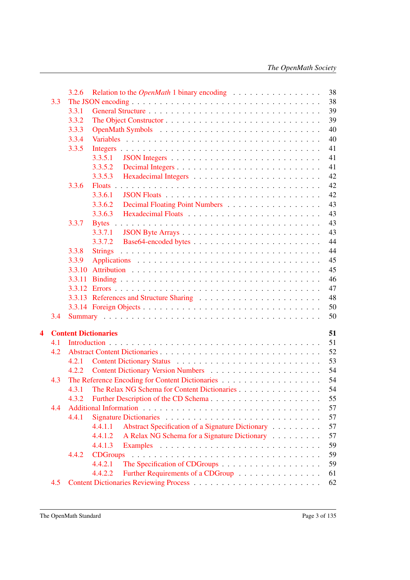|   |     | 3.2.6<br>Relation to the <i>OpenMath</i> 1 binary encoding  |  |  |  | 38 |
|---|-----|-------------------------------------------------------------|--|--|--|----|
|   | 3.3 |                                                             |  |  |  | 38 |
|   |     | 3.3.1                                                       |  |  |  | 39 |
|   |     | 3.3.2                                                       |  |  |  | 39 |
|   |     | 3.3.3                                                       |  |  |  | 40 |
|   |     | 3.3.4                                                       |  |  |  | 40 |
|   |     | 3.3.5                                                       |  |  |  | 41 |
|   |     | 3.3.5.1                                                     |  |  |  | 41 |
|   |     | 3.3.5.2                                                     |  |  |  | 41 |
|   |     | 3.3.5.3                                                     |  |  |  | 42 |
|   |     | 3.3.6                                                       |  |  |  | 42 |
|   |     | 3.3.6.1                                                     |  |  |  | 42 |
|   |     | 3.3.6.2                                                     |  |  |  | 43 |
|   |     | 3.3.6.3                                                     |  |  |  | 43 |
|   |     |                                                             |  |  |  |    |
|   |     | 3.3.7                                                       |  |  |  | 43 |
|   |     | 3.3.7.1                                                     |  |  |  | 43 |
|   |     | 3.3.7.2                                                     |  |  |  | 44 |
|   |     | 3.3.8<br><b>Strings</b>                                     |  |  |  | 44 |
|   |     | 3.3.9                                                       |  |  |  | 45 |
|   |     | 3.3.10                                                      |  |  |  | 45 |
|   |     | 3.3.11                                                      |  |  |  | 46 |
|   |     |                                                             |  |  |  | 47 |
|   |     |                                                             |  |  |  | 48 |
|   |     |                                                             |  |  |  | 50 |
|   | 3.4 |                                                             |  |  |  | 50 |
| 4 |     | <b>Content Dictionaries</b>                                 |  |  |  | 51 |
|   | 4.1 |                                                             |  |  |  | 51 |
|   | 4.2 |                                                             |  |  |  | 52 |
|   |     | 4.2.1                                                       |  |  |  | 53 |
|   |     | 4.2.2                                                       |  |  |  | 54 |
|   | 4.3 |                                                             |  |  |  | 54 |
|   |     | The Relax NG Schema for Content Dictionaries<br>4.3.1       |  |  |  | 54 |
|   |     | Further Description of the CD Schema<br>4.3.2               |  |  |  | 55 |
|   | 4.4 |                                                             |  |  |  | 57 |
|   |     | 4.4.1                                                       |  |  |  | 57 |
|   |     | 4.4.1.1<br>Abstract Specification of a Signature Dictionary |  |  |  | 57 |
|   |     | 4.4.1.2<br>A Relax NG Schema for a Signature Dictionary     |  |  |  | 57 |
|   |     | 4.4.1.3                                                     |  |  |  | 59 |
|   |     | 4.4.2                                                       |  |  |  | 59 |
|   |     | 4.4.2.1                                                     |  |  |  | 59 |
|   |     | 4.4.2.2                                                     |  |  |  |    |
|   |     | Further Requirements of a CDGroup                           |  |  |  | 61 |
|   | 4.5 |                                                             |  |  |  | 62 |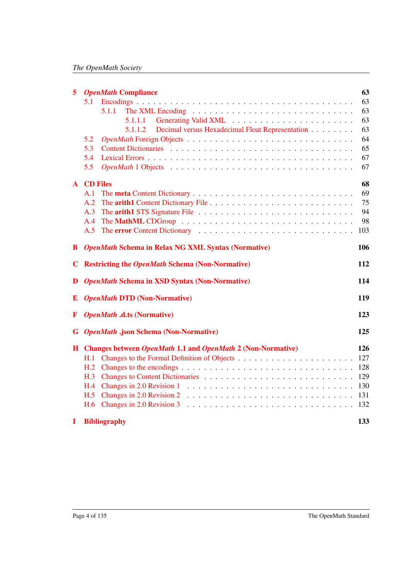| $\overline{5}$ | <b>OpenMath Compliance</b>                                                                                                                                                                                                     | 63  |
|----------------|--------------------------------------------------------------------------------------------------------------------------------------------------------------------------------------------------------------------------------|-----|
|                | 5.1                                                                                                                                                                                                                            | 63  |
|                | 5.1.1                                                                                                                                                                                                                          | 63  |
|                |                                                                                                                                                                                                                                | 63  |
|                | Decimal versus Hexadecimal Float Representation<br>5.1.1.2                                                                                                                                                                     | 63  |
|                | 5.2                                                                                                                                                                                                                            | 64  |
|                | 5.3                                                                                                                                                                                                                            | 65  |
|                | 5.4                                                                                                                                                                                                                            | 67  |
|                | 5.5                                                                                                                                                                                                                            | 67  |
|                | <b>A</b> CD Files                                                                                                                                                                                                              | 68  |
|                | A.1                                                                                                                                                                                                                            | 69  |
|                | A.2                                                                                                                                                                                                                            | 75  |
|                | A.3                                                                                                                                                                                                                            | 94  |
|                | A.4                                                                                                                                                                                                                            | 98  |
|                | A.5                                                                                                                                                                                                                            | 103 |
| B.             | <b>OpenMath Schema in Relax NG XML Syntax (Normative)</b>                                                                                                                                                                      | 106 |
| $\mathbf C$    | <b>Restricting the OpenMath Schema (Non-Normative)</b>                                                                                                                                                                         | 112 |
| D              | <b>OpenMath Schema in XSD Syntax (Non-Normative)</b>                                                                                                                                                                           | 114 |
| E              | <b>OpenMath DTD (Non-Normative)</b>                                                                                                                                                                                            | 119 |
| F              | <b>OpenMath .d.ts (Normative)</b>                                                                                                                                                                                              | 123 |
|                | <b>G</b> OpenMath .json Schema (Non-Normative)                                                                                                                                                                                 | 125 |
|                | H Changes between OpenMath 1.1 and OpenMath 2 (Non-Normative)                                                                                                                                                                  | 126 |
|                | H. I                                                                                                                                                                                                                           | 127 |
|                |                                                                                                                                                                                                                                | 128 |
|                |                                                                                                                                                                                                                                | 129 |
|                | H.4 Changes in 2.0 Revision 1 matrix of the contract of the contract of the contract of the contract of the contract of the contract of the contract of the contract of the contract of the contract of the contract of the co | 130 |
|                | H.5 Changes in 2.0 Revision 2 $\ldots \ldots \ldots \ldots \ldots \ldots \ldots \ldots \ldots \ldots \ldots$                                                                                                                   | 131 |
|                | H.6 Changes in 2.0 Revision 3                                                                                                                                                                                                  |     |
| 1              | <b>Bibliography</b>                                                                                                                                                                                                            | 133 |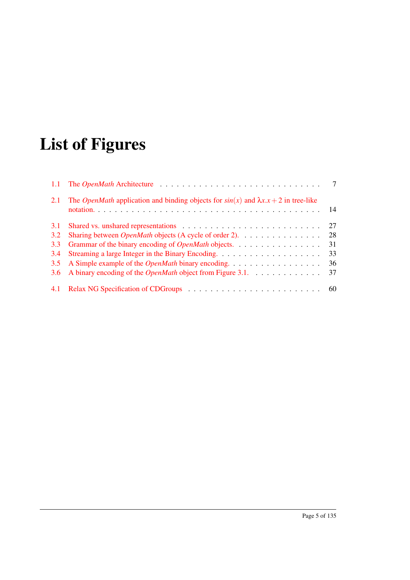# List of Figures

| 2.1 | The <i>OpenMath</i> application and binding objects for $sin(x)$ and $\lambda x.x + 2$ in tree-like |    |
|-----|-----------------------------------------------------------------------------------------------------|----|
| 3.1 |                                                                                                     | 27 |
| 3.2 | Sharing between <i>OpenMath</i> objects (A cycle of order 2).                                       | 28 |
| 3.3 | Grammar of the binary encoding of <i>OpenMath</i> objects.                                          | 31 |
| 3.4 |                                                                                                     | 33 |
| 3.5 | A Simple example of the <i>OpenMath</i> binary encoding.                                            | 36 |
|     | 3.6 A binary encoding of the <i>OpenMath</i> object from Figure 3.1.                                | 37 |
|     |                                                                                                     |    |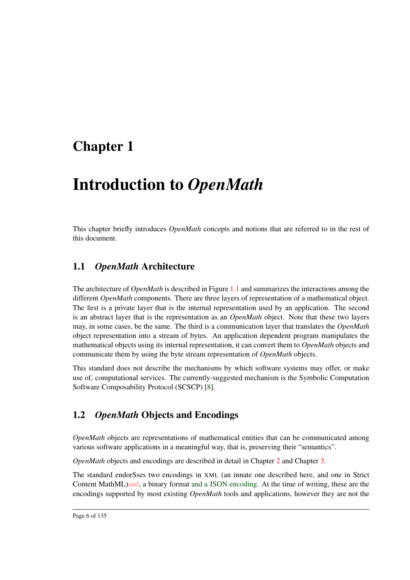# <span id="page-10-1"></span>Chapter 1

# Introduction to *OpenMath*

This chapter briefly introduces *OpenMath* concepts and notions that are referred to in the rest of this document.

### <span id="page-10-2"></span>1.1 *OpenMath* Architecture

The architecture of *OpenMath* is described in Figure [1.1](#page-11-0) and summarizes the interactions among the different *OpenMath* components. There are three layers of representation of a mathematical object. The first is a private layer that is the internal representation used by an application. The second is an abstract layer that is the representation as an *OpenMath* object. Note that these two layers may, in some cases, be the same. The third is a communication layer that translates the *OpenMath* object representation into a stream of bytes. An application dependent program manipulates the mathematical objects using its internal representation, it can convert them to *OpenMath* objects and communicate them by using the byte stream representation of *OpenMath* objects.

This standard does not describe the mechanisms by which software systems may offer, or make use of, computational services. The currently-suggested mechanism is the Symbolic Computation Software Composability Protocol (SCSCP) [\[8\]](#page-137-1).

## <span id="page-10-0"></span>1.2 *OpenMath* Objects and Encodings

*OpenMath* objects are representations of mathematical entities that can be communicated among various software applications in a meaningful way, that is, preserving their "semantics".

*OpenMath* objects and encodings are described in detail in Chapter [2](#page-14-0) and Chapter [3.](#page-23-0)

The standard endorSses two encodings in XML (an innate one described here, and one in Strict Content MathML)and, a binary format and a JSON encoding. At the time of writing, these are the encodings supported by most existing *OpenMath* tools and applications, however they are not the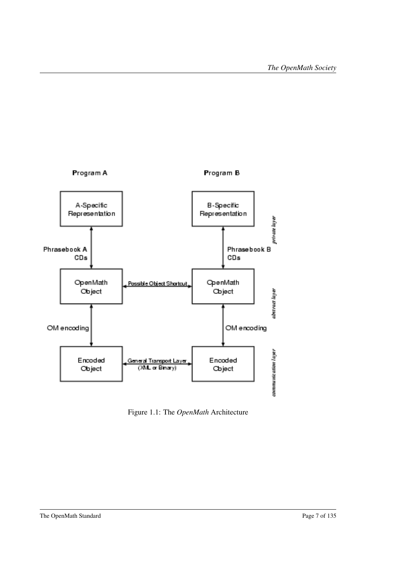

<span id="page-11-0"></span>Figure 1.1: The *OpenMath* Architecture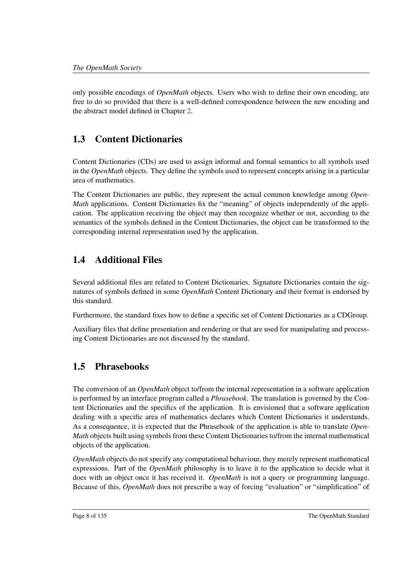only possible encodings of *OpenMath* objects. Users who wish to define their own encoding, are free to do so provided that there is a well-defined correspondence between the new encoding and the abstract model defined in Chapter [2.](#page-14-0)

# <span id="page-12-0"></span>1.3 Content Dictionaries

Content Dictionaries (CDs) are used to assign informal and formal semantics to all symbols used in the *OpenMath* objects. They define the symbols used to represent concepts arising in a particular area of mathematics.

The Content Dictionaries are public, they represent the actual common knowledge among *Open-Math* applications. Content Dictionaries fix the "meaning" of objects independently of the application. The application receiving the object may then recognize whether or not, according to the semantics of the symbols defined in the Content Dictionaries, the object can be transformed to the corresponding internal representation used by the application.

# <span id="page-12-1"></span>1.4 Additional Files

Several additional files are related to Content Dictionaries. Signature Dictionaries contain the signatures of symbols defined in some *OpenMath* Content Dictionary and their format is endorsed by this standard.

Furthermore, the standard fixes how to define a specific set of Content Dictionaries as a CDGroup.

Auxiliary files that define presentation and rendering or that are used for manipulating and processing Content Dictionaries are not discussed by the standard.

## <span id="page-12-2"></span>1.5 Phrasebooks

The conversion of an *OpenMath* object to/from the internal representation in a software application is performed by an interface program called a *Phrasebook*. The translation is governed by the Content Dictionaries and the specifics of the application. It is envisioned that a software application dealing with a specific area of mathematics declares which Content Dictionaries it understands. As a consequence, it is expected that the Phrasebook of the application is able to translate *Open-Math* objects built using symbols from these Content Dictionaries to/from the internal mathematical objects of the application.

*OpenMath* objects do not specify any computational behaviour, they merely represent mathematical expressions. Part of the *OpenMath* philosophy is to leave it to the application to decide what it does with an object once it has received it. *OpenMath* is not a query or programming language. Because of this, *OpenMath* does not prescribe a way of forcing "evaluation" or "simplification" of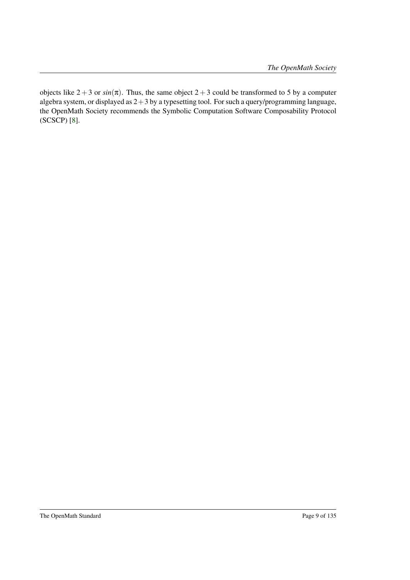objects like  $2+3$  or  $sin(\pi)$ . Thus, the same object  $2+3$  could be transformed to 5 by a computer algebra system, or displayed as  $2+3$  by a typesetting tool. For such a query/programming language, the OpenMath Society recommends the Symbolic Computation Software Composability Protocol (SCSCP) [\[8\]](#page-137-1).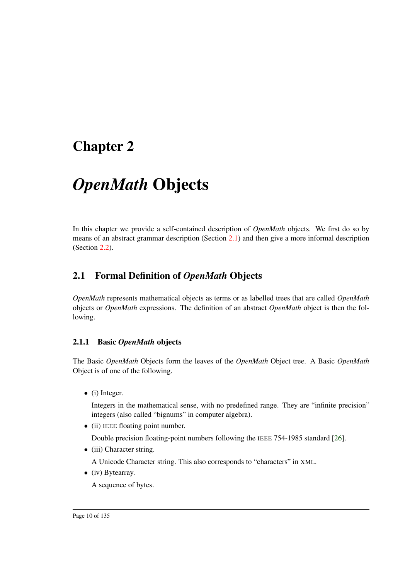# <span id="page-14-0"></span>Chapter 2

# *OpenMath* Objects

In this chapter we provide a self-contained description of *OpenMath* objects. We first do so by means of an abstract grammar description (Section [2.1\)](#page-14-1) and then give a more informal description (Section [2.2\)](#page-17-0).

## <span id="page-14-1"></span>2.1 Formal Definition of *OpenMath* Objects

*OpenMath* represents mathematical objects as terms or as labelled trees that are called *OpenMath* objects or *OpenMath* expressions. The definition of an abstract *OpenMath* object is then the following.

#### <span id="page-14-2"></span>2.1.1 Basic *OpenMath* objects

The Basic *OpenMath* Objects form the leaves of the *OpenMath* Object tree. A Basic *OpenMath* Object is of one of the following.

• (i) Integer.

Integers in the mathematical sense, with no predefined range. They are "infinite precision" integers (also called "bignums" in computer algebra).

• (ii) IEEE floating point number.

Double precision floating-point numbers following the IEEE 754-1985 standard [\[26\]](#page-139-0).

• (iii) Character string.

A Unicode Character string. This also corresponds to "characters" in XML.

• (iv) Bytearray.

A sequence of bytes.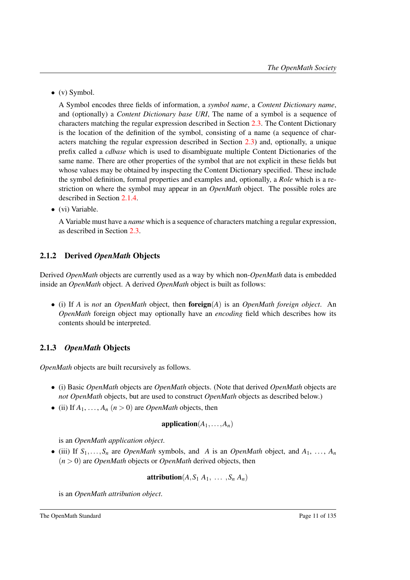$\bullet$  (v) Symbol.

A Symbol encodes three fields of information, a *symbol name*, a *Content Dictionary name*, and (optionally) a *Content Dictionary base URI*, The name of a symbol is a sequence of characters matching the regular expression described in Section [2.3.](#page-20-0) The Content Dictionary is the location of the definition of the symbol, consisting of a name (a sequence of characters matching the regular expression described in Section [2.3\)](#page-20-0) and, optionally, a unique prefix called a *cdbase* which is used to disambiguate multiple Content Dictionaries of the same name. There are other properties of the symbol that are not explicit in these fields but whose values may be obtained by inspecting the Content Dictionary specified. These include the symbol definition, formal properties and examples and, optionally, a *Role* which is a restriction on where the symbol may appear in an *OpenMath* object. The possible roles are described in Section [2.1.4.](#page-16-0)

• (vi) Variable.

A Variable must have a *name* which is a sequence of characters matching a regular expression, as described in Section [2.3.](#page-20-0)

### <span id="page-15-0"></span>2.1.2 Derived *OpenMath* Objects

Derived *OpenMath* objects are currently used as a way by which non-*OpenMath* data is embedded inside an *OpenMath* object. A derived *OpenMath* object is built as follows:

• (i) If *A* is *not* an *OpenMath* object, then foreign(*A*) is an *OpenMath foreign object*. An *OpenMath* foreign object may optionally have an *encoding* field which describes how its contents should be interpreted.

### <span id="page-15-1"></span>2.1.3 *OpenMath* Objects

*OpenMath* objects are built recursively as follows.

- (i) Basic *OpenMath* objects are *OpenMath* objects. (Note that derived *OpenMath* objects are *not OpenMath* objects, but are used to construct *OpenMath* objects as described below.)
- (ii) If  $A_1, \ldots, A_n$  ( $n > 0$ ) are *OpenMath* objects, then

$$
\mathbf{application}(A_1, \ldots, A_n)
$$

is an *OpenMath application object*.

• (iii) If  $S_1, \ldots, S_n$  are *OpenMath* symbols, and *A* is an *OpenMath* object, and  $A_1, \ldots, A_n$  $(n > 0)$  are *OpenMath* objects or *OpenMath* derived objects, then

$$
\mathbf{attribution}(A, S_1 \ A_1, \ \ldots \ , S_n \ A_n)
$$

is an *OpenMath attribution object*.

The OpenMath Standard Page 11 of 135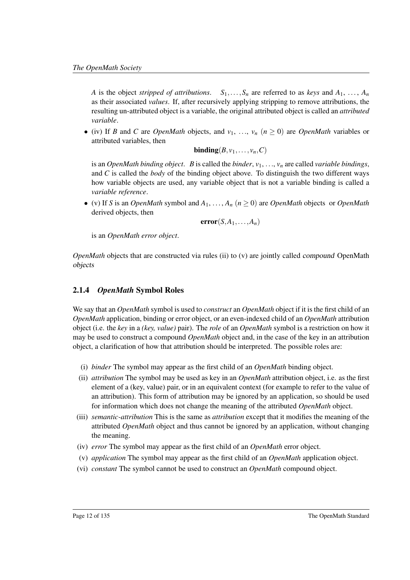*A* is the object *stripped of attributions*.  $S_1, \ldots, S_n$  are referred to as *keys* and  $A_1, \ldots, A_n$ as their associated *values*. If, after recursively applying stripping to remove attributions, the resulting un-attributed object is a variable, the original attributed object is called an *attributed variable*.

• (iv) If *B* and *C* are *OpenMath* objects, and  $v_1, \ldots, v_n$  ( $n \ge 0$ ) are *OpenMath* variables or attributed variables, then

 $\text{binding}(B, v_1, \ldots, v_n, C)$ 

is an *OpenMath binding object. B* is called the *binder*,  $v_1, \ldots, v_n$  are called *variable bindings*, and *C* is called the *body* of the binding object above. To distinguish the two different ways how variable objects are used, any variable object that is not a variable binding is called a *variable reference*.

• (v) If *S* is an *OpenMath* symbol and  $A_1, \ldots, A_n$  ( $n \ge 0$ ) are *OpenMath* objects or *OpenMath* derived objects, then

$$
error(S, A_1, \ldots, A_n)
$$

is an *OpenMath error object*.

*OpenMath* objects that are constructed via rules (ii) to (v) are jointly called compound OpenMath objects

#### <span id="page-16-0"></span>2.1.4 *OpenMath* Symbol Roles

We say that an *OpenMath* symbol is used to *construct* an *OpenMath* object if it is the first child of an *OpenMath* application, binding or error object, or an even-indexed child of an *OpenMath* attribution object (i.e. the *key* in a *(key, value)* pair). The *role* of an *OpenMath* symbol is a restriction on how it may be used to construct a compound *OpenMath* object and, in the case of the key in an attribution object, a clarification of how that attribution should be interpreted. The possible roles are:

- (i) *binder* The symbol may appear as the first child of an *OpenMath* binding object.
- (ii) *attribution* The symbol may be used as key in an *OpenMath* attribution object, i.e. as the first element of a (key, value) pair, or in an equivalent context (for example to refer to the value of an attribution). This form of attribution may be ignored by an application, so should be used for information which does not change the meaning of the attributed *OpenMath* object.
- (iii) *semantic-attribution* This is the same as *attribution* except that it modifies the meaning of the attributed *OpenMath* object and thus cannot be ignored by an application, without changing the meaning.
- (iv) *error* The symbol may appear as the first child of an *OpenMath* error object.
- (v) *application* The symbol may appear as the first child of an *OpenMath* application object.
- (vi) *constant* The symbol cannot be used to construct an *OpenMath* compound object.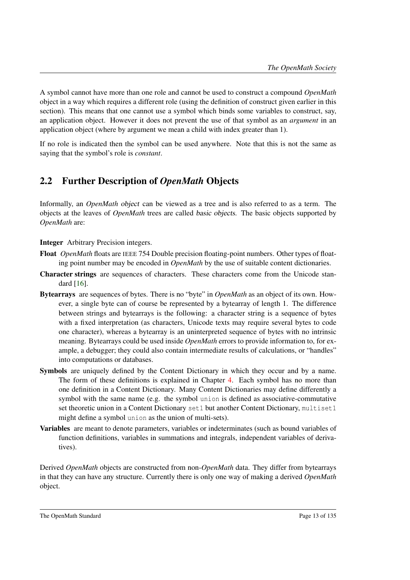A symbol cannot have more than one role and cannot be used to construct a compound *OpenMath* object in a way which requires a different role (using the definition of construct given earlier in this section). This means that one cannot use a symbol which binds some variables to construct, say, an application object. However it does not prevent the use of that symbol as an *argument* in an application object (where by argument we mean a child with index greater than 1).

If no role is indicated then the symbol can be used anywhere. Note that this is not the same as saying that the symbol's role is *constant*.

## <span id="page-17-0"></span>2.2 Further Description of *OpenMath* Objects

Informally, an *OpenMath* object can be viewed as a tree and is also referred to as a term. The objects at the leaves of *OpenMath* trees are called basic objects. The basic objects supported by *OpenMath* are:

Integer Arbitrary Precision integers.

- Float *OpenMath* floats are IEEE 754 Double precision floating-point numbers. Other types of floating point number may be encoded in *OpenMath* by the use of suitable content dictionaries.
- Character strings are sequences of characters. These characters come from the Unicode standard [\[16\]](#page-138-2).
- Bytearrays are sequences of bytes. There is no "byte" in *OpenMath* as an object of its own. However, a single byte can of course be represented by a bytearray of length 1. The difference between strings and bytearrays is the following: a character string is a sequence of bytes with a fixed interpretation (as characters, Unicode texts may require several bytes to code one character), whereas a bytearray is an uninterpreted sequence of bytes with no intrinsic meaning. Bytearrays could be used inside *OpenMath* errors to provide information to, for example, a debugger; they could also contain intermediate results of calculations, or "handles" into computations or databases.
- Symbols are uniquely defined by the Content Dictionary in which they occur and by a name. The form of these definitions is explained in Chapter [4.](#page-55-0) Each symbol has no more than one definition in a Content Dictionary. Many Content Dictionaries may define differently a symbol with the same name (e.g. the symbol union is defined as associative-commutative set theoretic union in a Content Dictionary set1 but another Content Dictionary, multiset1 might define a symbol union as the union of multi-sets).
- Variables are meant to denote parameters, variables or indeterminates (such as bound variables of function definitions, variables in summations and integrals, independent variables of derivatives).

Derived *OpenMath* objects are constructed from non-*OpenMath* data. They differ from bytearrays in that they can have any structure. Currently there is only one way of making a derived *OpenMath* object.

The OpenMath Standard Page 13 of 135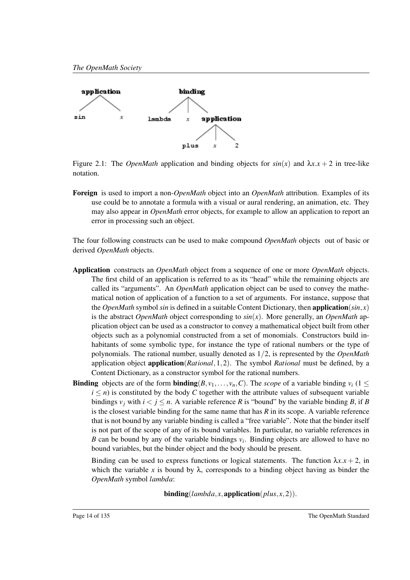

<span id="page-18-0"></span>Figure 2.1: The *OpenMath* application and binding objects for  $sin(x)$  and  $\lambda x.x + 2$  in tree-like notation.

Foreign is used to import a non-*OpenMath* object into an *OpenMath* attribution. Examples of its use could be to annotate a formula with a visual or aural rendering, an animation, etc. They may also appear in *OpenMath* error objects, for example to allow an application to report an error in processing such an object.

The four following constructs can be used to make compound *OpenMath* objects out of basic or derived *OpenMath* objects.

- Application constructs an *OpenMath* object from a sequence of one or more *OpenMath* objects. The first child of an application is referred to as its "head" while the remaining objects are called its "arguments". An *OpenMath* application object can be used to convey the mathematical notion of application of a function to a set of arguments. For instance, suppose that the *OpenMath* symbol *sin* is defined in a suitable Content Dictionary, then **application**( $sin, x$ ) is the abstract *OpenMath* object corresponding to *sin*(*x*). More generally, an *OpenMath* application object can be used as a constructor to convey a mathematical object built from other objects such as a polynomial constructed from a set of monomials. Constructors build inhabitants of some symbolic type, for instance the type of rational numbers or the type of polynomials. The rational number, usually denoted as 1/2, is represented by the *OpenMath* application object application(*Rational*,1,2). The symbol *Rational* must be defined, by a Content Dictionary, as a constructor symbol for the rational numbers.
- **Binding** objects are of the form **binding** $(B, v_1, \ldots, v_n, C)$ . The *scope* of a variable binding  $v_i$  (1 <  $i \leq n$ ) is constituted by the body *C* together with the attribute values of subsequent variable bindings  $v_j$  with  $i < j \le n$ . A variable reference R is "bound" by the variable binding B, if B is the closest variable binding for the same name that has *R* in its scope. A variable reference that is not bound by any variable binding is called a "free variable". Note that the binder itself is not part of the scope of any of its bound variables. In particular, no variable references in *B* can be bound by any of the variable bindings  $v_i$ . Binding objects are allowed to have no bound variables, but the binder object and the body should be present.

Binding can be used to express functions or logical statements. The function  $\lambda x.x + 2$ , in which the variable x is bound by  $\lambda$ , corresponds to a binding object having as binder the *OpenMath* symbol *lambda*:

 $\text{binding}(lambda, x, \text{application}(plus, x, 2)).$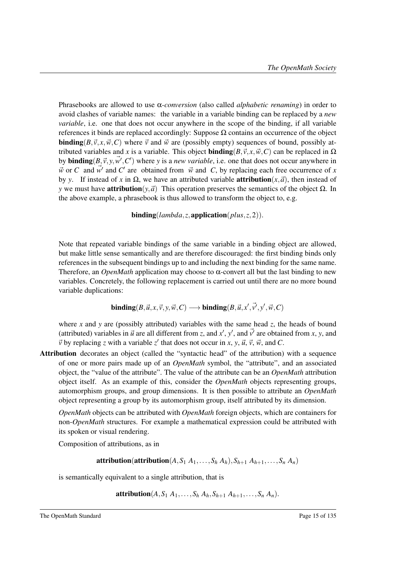Phrasebooks are allowed to use α*-conversion* (also called *alphabetic renaming*) in order to avoid clashes of variable names: the variable in a variable binding can be replaced by a *new variable*, i.e. one that does not occur anywhere in the scope of the binding, if all variable references it binds are replaced accordingly: Suppose Ω contains an occurrence of the object **binding**( $B, \vec{v}, x, \vec{w}, C$ ) where  $\vec{v}$  and  $\vec{w}$  are (possibly empty) sequences of bound, possibly attributed variables and *x* is a variable. This object **binding**( $B, \vec{v}, x, \vec{w}, C$ ) can be replaced in  $\Omega$ by **binding** $(B, \vec{v}, y, \vec{w}', C')$  where *y* is a *new variable*, i.e. one that does not occur anywhere in  $\vec{w}$  or *C* and  $\vec{w'}$  and *C'* are obtained from  $\vec{w}$  and *C*, by replacing each free occurrence of *x* by *y*. If instead of *x* in Ω, we have an attributed variable **attribution**(*x*, $\vec{a}$ ), then instead of *y* we must have **attribution** $(v, \vec{a})$  This operation preserves the semantics of the object  $\Omega$ . In the above example, a phrasebook is thus allowed to transform the object to, e.g.

 $\mathbf{binding}(lambda,z,\mathbf{application}(plus,z,2)).$ 

Note that repeated variable bindings of the same variable in a binding object are allowed, but make little sense semantically and are therefore discouraged: the first binding binds only references in the subsequent bindings up to and including the next binding for the same name. Therefore, an *OpenMath* application may choose to α-convert all but the last binding to new variables. Concretely, the following replacement is carried out until there are no more bound variable duplications:

$$
\mathbf{binding}(B,\vec{u},x,\vec{v},y,\vec{w},C) \longrightarrow \mathbf{binding}(B,\vec{u},x',\vec{v'},y',\vec{w},C)
$$

where *x* and *y* are (possibly attributed) variables with the same head *z*, the heads of bound (attributed) variables in  $\vec{u}$  are all different from *z*, and  $\vec{x}$ ,  $\vec{y}$ , and  $\vec{v}$  are obtained from *x*, *y*, and  $\vec{v}$  by replacing *z* with a variable *z*<sup>'</sup> that does not occur in *x*, *y*,  $\vec{u}$ ,  $\vec{v}$ ,  $\vec{w}$ , and *C*.

Attribution decorates an object (called the "syntactic head" of the attribution) with a sequence of one or more pairs made up of an *OpenMath* symbol, the "attribute", and an associated object, the "value of the attribute". The value of the attribute can be an *OpenMath* attribution object itself. As an example of this, consider the *OpenMath* objects representing groups, automorphism groups, and group dimensions. It is then possible to attribute an *OpenMath* object representing a group by its automorphism group, itself attributed by its dimension.

*OpenMath* objects can be attributed with *OpenMath* foreign objects, which are containers for non-*OpenMath* structures. For example a mathematical expression could be attributed with its spoken or visual rendering.

Composition of attributions, as in

attribution(attribution( $A, S_1, A_1, \ldots, S_h, A_h$ ),  $S_{h+1}, A_{h+1}, \ldots, S_n, A_n$ )

is semantically equivalent to a single attribution, that is

 $\mathbf{a}$  **Attribution**(*A, S*<sub>1</sub> *A*<sub>1</sub>,...*,S*<sub>*h*</sub> *A*<sub>*h*</sub>,*S*<sub>*h*+1</sub> *A*<sub>*h*+1</sub>,...*,S*<sub>*n*</sub> *A*<sub>*n*</sub>).

The OpenMath Standard Page 15 of 135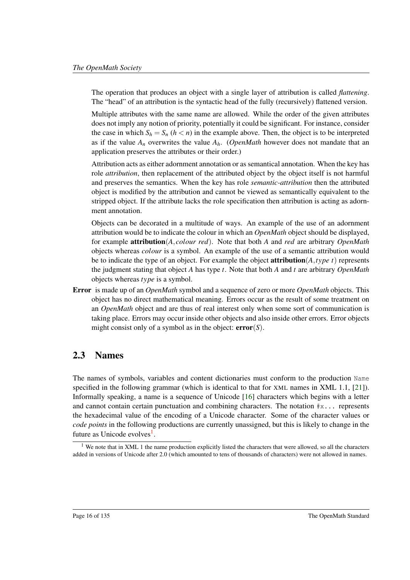The operation that produces an object with a single layer of attribution is called *flattening*. The "head" of an attribution is the syntactic head of the fully (recursively) flattened version.

Multiple attributes with the same name are allowed. While the order of the given attributes does not imply any notion of priority, potentially it could be significant. For instance, consider the case in which  $S_h = S_n$  ( $h < n$ ) in the example above. Then, the object is to be interpreted as if the value  $A_n$  overwrites the value  $A_h$ . (*OpenMath* however does not mandate that an application preserves the attributes or their order.)

Attribution acts as either adornment annotation or as semantical annotation. When the key has role *attribution*, then replacement of the attributed object by the object itself is not harmful and preserves the semantics. When the key has role *semantic-attribution* then the attributed object is modified by the attribution and cannot be viewed as semantically equivalent to the stripped object. If the attribute lacks the role specification then attribution is acting as adornment annotation.

Objects can be decorated in a multitude of ways. An example of the use of an adornment attribution would be to indicate the colour in which an *OpenMath* object should be displayed, for example attribution(*A*, *colour red*). Note that both *A* and *red* are arbitrary *OpenMath* objects whereas *colour* is a symbol. An example of the use of a semantic attribution would be to indicate the type of an object. For example the object **attribution** $(A, type t)$  represents the judgment stating that object *A* has type *t*. Note that both *A* and *t* are arbitrary *OpenMath* objects whereas *type* is a symbol.

Error is made up of an *OpenMath* symbol and a sequence of zero or more *OpenMath* objects. This object has no direct mathematical meaning. Errors occur as the result of some treatment on an *OpenMath* object and are thus of real interest only when some sort of communication is taking place. Errors may occur inside other objects and also inside other errors. Error objects might consist only of a symbol as in the object: error(*S*).

### <span id="page-20-0"></span>2.3 Names

The names of symbols, variables and content dictionaries must conform to the production Name specified in the following grammar (which is identical to that for XML names in XML 1.1, [\[21\]](#page-138-3)). Informally speaking, a name is a sequence of Unicode [\[16\]](#page-138-2) characters which begins with a letter and cannot contain certain punctuation and combining characters. The notation  $\#x$ ... represents the hexadecimal value of the encoding of a Unicode character. Some of the character values or *code points* in the following productions are currently unassigned, but this is likely to change in the future as Unicode evolves<sup>[1](#page-20-1)</sup>.

<span id="page-20-1"></span><sup>&</sup>lt;sup>1</sup> We note that in XML 1 the name production explicitly listed the characters that were allowed, so all the characters added in versions of Unicode after 2.0 (which amounted to tens of thousands of characters) were not allowed in names.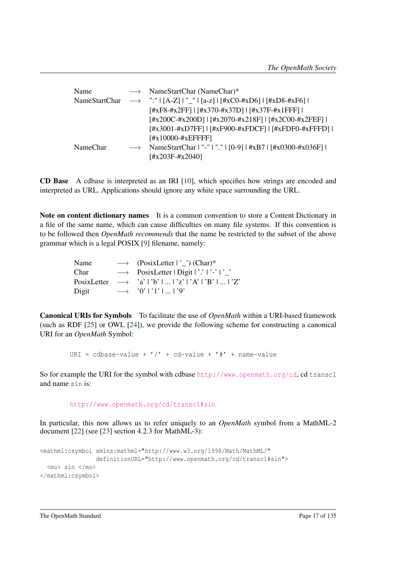| Name          |                   | $\longrightarrow$ NameStartChar (NameChar)*                                                                                 |
|---------------|-------------------|-----------------------------------------------------------------------------------------------------------------------------|
| NameStartChar |                   | $\rightarrow$ ":" $\lceil$ [A-Z] $\lceil$ "_" $\lceil$ [a-z] $\lceil$ [#xC0-#xD6] $\lceil$ [#xD8-#xF6] $\lceil$             |
|               |                   | $[#xF8 - #x2FF]$   $[#x370 - #x37D]$   $[#x37F - #x1FFF]$                                                                   |
|               |                   | $[\frac{\text{H}x200C}{\text{H}x200D}]$   $[\frac{\text{H}x2070}{\text{H}x218F}]$   $[\frac{\text{H}x2C00}{\text{H}x2FEF}]$ |
|               |                   | [#x3001-#xD7FF]   [#xF900-#xFDCF]   [#xFDF0-#xFFFD]                                                                         |
|               |                   | $[#x10000 - #xEFFFF]$                                                                                                       |
| NameChar      | $\longrightarrow$ | NameStartChar   "-"   "."   [0-9]   #xB7   [#x0300-#x036F]                                                                  |
|               |                   | $[#x203F - #x2040]$                                                                                                         |

CD Base A cdbase is interpreted as an IRI [\[10\]](#page-138-4), which specifies how strings are encoded and interpreted as URL. Applications should ignore any white space surrounding the URL.

Note on content dictionary names It is a common convention to store a Content Dictionary in a file of the same name, which can cause difficulties on many file systems. If this convention is to be followed then *OpenMath recommends* that the name be restricted to the subset of the above grammar which is a legal POSIX [\[9\]](#page-137-2) filename, namely:

| Name  | $\rightarrow$ (PosixLetter $ \cdot $ ) (Char)*                    |
|-------|-------------------------------------------------------------------|
| Char  | $\rightarrow$ PosixLetter   Digit   '.'   '-'   '_'               |
|       | PosixLetter $\rightarrow$ 'a'   'b'      'z'   'A'   'B'      'Z' |
| Digit | $\rightarrow$ '0'   '1'      '9'                                  |

Canonical URIs for Symbols To facilitate the use of *OpenMath* within a URI-based framework (such as RDF [\[25\]](#page-139-1) or OWL [\[24\]](#page-139-2)), we provide the following scheme for constructing a canonical URI for an *OpenMath* Symbol:

URI = cdbase-value +  $\prime$ / $\prime$  + cd-value +  $\prime$ # $\prime$  + name-value

So for example the URI for the symbol with cdbase <http://www.openmath.org/cd>.cd transc1 and name sin is:

```
http://www.openmath.org/cd/transc1#sin
```
In particular, this now allows us to refer uniquely to an *OpenMath* symbol from a MathML-2 document [\[22\]](#page-138-5) (see [\[23\]](#page-138-6) section 4.2.3 for MathML-3):

```
<mathml:csymbol xmlns:mathml="http://www.w3.org/1998/Math/MathML/"
                definitionURL="http://www.openmath.org/cd/transc1#sin">
 <mo> sin </mo>
</mathml:csymbol>
```
The OpenMath Standard Page 17 of 135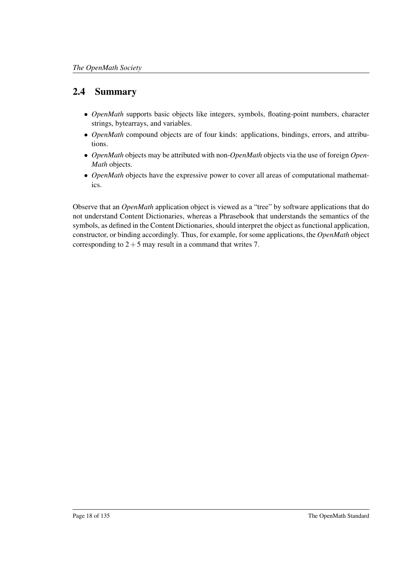## <span id="page-22-0"></span>2.4 Summary

- *OpenMath* supports basic objects like integers, symbols, floating-point numbers, character strings, bytearrays, and variables.
- *OpenMath* compound objects are of four kinds: applications, bindings, errors, and attributions.
- *OpenMath* objects may be attributed with non-*OpenMath* objects via the use of foreign *Open-Math* objects.
- *OpenMath* objects have the expressive power to cover all areas of computational mathematics.

Observe that an *OpenMath* application object is viewed as a "tree" by software applications that do not understand Content Dictionaries, whereas a Phrasebook that understands the semantics of the symbols, as defined in the Content Dictionaries, should interpret the object as functional application, constructor, or binding accordingly. Thus, for example, for some applications, the *OpenMath* object corresponding to  $2+5$  may result in a command that writes 7.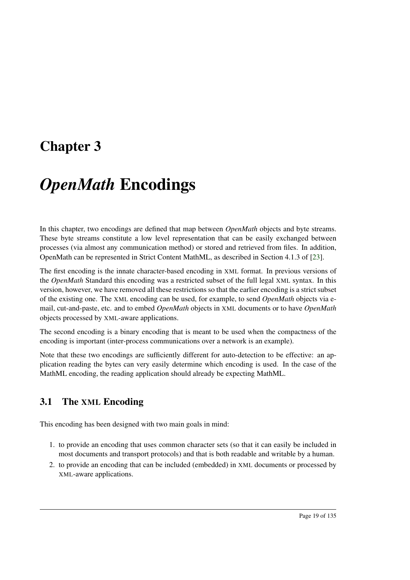# <span id="page-23-0"></span>Chapter 3

# *OpenMath* Encodings

In this chapter, two encodings are defined that map between *OpenMath* objects and byte streams. These byte streams constitute a low level representation that can be easily exchanged between processes (via almost any communication method) or stored and retrieved from files. In addition, OpenMath can be represented in Strict Content MathML, as described in Section 4.1.3 of [\[23\]](#page-138-6).

The first encoding is the innate character-based encoding in XML format. In previous versions of the *OpenMath* Standard this encoding was a restricted subset of the full legal XML syntax. In this version, however, we have removed all these restrictions so that the earlier encoding is a strict subset of the existing one. The XML encoding can be used, for example, to send *OpenMath* objects via email, cut-and-paste, etc. and to embed *OpenMath* objects in XML documents or to have *OpenMath* objects processed by XML-aware applications.

The second encoding is a binary encoding that is meant to be used when the compactness of the encoding is important (inter-process communications over a network is an example).

Note that these two encodings are sufficiently different for auto-detection to be effective: an application reading the bytes can very easily determine which encoding is used. In the case of the MathML encoding, the reading application should already be expecting MathML.

## <span id="page-23-1"></span>3.1 The XML Encoding

This encoding has been designed with two main goals in mind:

- 1. to provide an encoding that uses common character sets (so that it can easily be included in most documents and transport protocols) and that is both readable and writable by a human.
- 2. to provide an encoding that can be included (embedded) in XML documents or processed by XML-aware applications.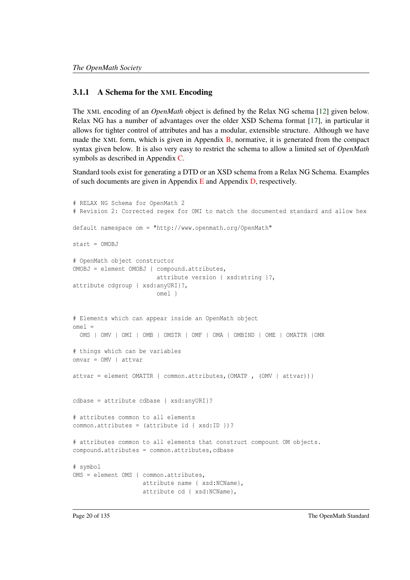#### <span id="page-24-0"></span>3.1.1 A Schema for the XML Encoding

The XML encoding of an *OpenMath* object is defined by the Relax NG schema [\[12\]](#page-138-7) given below. Relax NG has a number of advantages over the older XSD Schema format [\[17\]](#page-138-8), in particular it allows for tighter control of attributes and has a modular, extensible structure. Although we have made the XML form, which is given in Appendix [B,](#page-110-0) normative, it is generated from the compact syntax given below. It is also very easy to restrict the schema to allow a limited set of *OpenMath* symbols as described in Appendix [C.](#page-116-0)

Standard tools exist for generating a DTD or an XSD schema from a Relax NG Schema. Examples of such documents are given in Appendix [E](#page-123-0) and Appendix [D,](#page-118-0) respectively.

```
# RELAX NG Schema for OpenMath 2
# Revision 2: Corrected regex for OMI to match the documented standard and allow hex
default namespace om = "http://www.openmath.org/OpenMath"
start = OMOBJ
# OpenMath object constructor
OMOBJ = element OMOBJ { compound.attributes,
                        attribute version { xsd:string }?,
attribute cdgroup { xsd:anyURI}?,
                        omel }
# Elements which can appear inside an OpenMath object
omel =
 OMS | OMV | OMI | OMB | OMSTR | OMF | OMA | OMBIND | OME | OMATTR |OMR
# things which can be variables
omvar = OMV | attvar
attvar = element OMATTR { common.attributes,(OMATP , (OMV | attvar))}
cdbase = attribute cdbase { xsd:anyURI}?
# attributes common to all elements
common.attributes = (attribute id { xsd:ID })?
# attributes common to all elements that construct compount OM objects.
compound.attributes = common.attributes,cdbase
# symbol
OMS = element OMS { common.attributes,
                    attribute name { xsd:NCName},
                    attribute cd { xsd:NCName},
```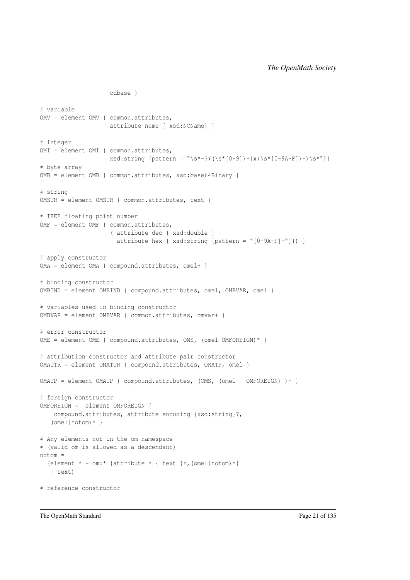```
cdbase }
# variable
OMV = element OMV { common.attributes,
                    attribute name { xsd:NCName} }
# integer
OMI = element OMI { common.attributes,
                    xsd:string [pattern = "\s*-?((\s*[0-9])+|x(\s*[0-9A-F])+)\s*"]# byte array
OMB = element OMB { common.attributes, xsd:base64Binary }
# string
OMSTR = element OMSTR { common.attributes, text }
# IEEE floating point number
OMF = element OMF { common.attributes,
                    ( attribute dec { xsd:double } |
                      attribute hex { xsd:string {pattern = "[0-9A-F]+"}) }
# apply constructor
OMA = element OMA { compound.attributes, omel+ }
# binding constructor
OMBIND = element OMBIND { compound.attributes, omel, OMBVAR, omel }
# variables used in binding constructor
OMBVAR = element OMBVAR { common.attributes, omvar+ }
# error constructor
OME = element OME { compound.attributes, OMS, (omel|OMFOREIGN)* }
# attribution constructor and attribute pair constructor
OMATTR = element OMATTR { compound.attributes, OMATP, omel }
OMATP = element OMATP { compound.attributes, (OMS, (omel | OMFOREIGN) )+ }
# foreign constructor
OMFOREIGN = element OMFOREIGN {
    compound.attributes, attribute encoding {xsd:string}?,
   (omel|notom)* }
# Any elements not in the om namespace
# (valid om is allowed as a descendant)
notom =(element * - om.* {attribute * { text } *, (omel|notom) * }
   | text)
# reference constructor
```
The OpenMath Standard Page 21 of 135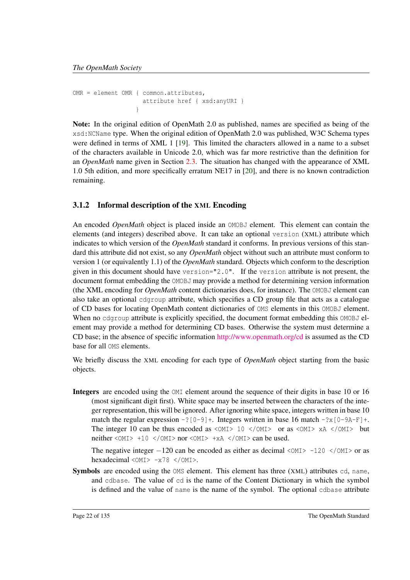```
OMR = element OMR { common.attributes,
                    attribute href { xsd:anyURI }
                  }
```
Note: In the original edition of OpenMath 2.0 as published, names are specified as being of the xsd:NCName type. When the original edition of OpenMath 2.0 was published, W3C Schema types were defined in terms of XML 1 [\[19\]](#page-138-9). This limited the characters allowed in a name to a subset of the characters available in Unicode 2.0, which was far more restrictive than the definition for an *OpenMath* name given in Section [2.3.](#page-20-0) The situation has changed with the appearance of XML 1.0 5th edition, and more specifically erratum NE17 in [\[20\]](#page-138-10), and there is no known contradiction remaining.

### <span id="page-26-0"></span>3.1.2 Informal description of the XML Encoding

An encoded *OpenMath* object is placed inside an OMOBJ element. This element can contain the elements (and integers) described above. It can take an optional version (XML) attribute which indicates to which version of the *OpenMath* standard it conforms. In previous versions of this standard this attribute did not exist, so any *OpenMath* object without such an attribute must conform to version 1 (or equivalently 1.1) of the *OpenMath* standard. Objects which conform to the description given in this document should have version="2.0". If the version attribute is not present, the document format embedding the OMOBJ may provide a method for determining version information (the XML encoding for *OpenMath* content dictionaries does, for instance). The OMOBJ element can also take an optional cdgroup attribute, which specifies a CD group file that acts as a catalogue of CD bases for locating OpenMath content dictionaries of OMS elements in this OMOBJ element. When no cdgroup attribute is explicitly specified, the document format embedding this OMOBJ element may provide a method for determining CD bases. Otherwise the system must determine a CD base; in the absence of specific information <http://www.openmath.org/cd> is assumed as the CD base for all OMS elements.

We briefly discuss the XML encoding for each type of *OpenMath* object starting from the basic objects.

Integers are encoded using the OMI element around the sequence of their digits in base 10 or 16 (most significant digit first). White space may be inserted between the characters of the integer representation, this will be ignored. After ignoring white space, integers written in base 10 match the regular expression  $-?[0-9]+$ . Integers written in base 16 match  $-?x[0-9A-F]+$ . The integer 10 can be thus encoded as  $\langle$ OMI $>$  10  $\langle$ /OMI $>$  or as  $\langle$ OMI $>$  xA  $\langle$ /OMI $>$  but neither  $\langle$  OMI >  $+10 \langle$   $\langle$  OMI > nor  $\langle$  OMI >  $+xA \langle$  OMI > can be used.

The negative integer  $-120$  can be encoded as either as decimal < $OMI > -120$  </ $OMI >$  or as hexadecimal  $\langle OMI \rangle$  -x78  $\langle OMI \rangle$ .

Symbols are encoded using the OMS element. This element has three (XML) attributes cd, name, and cdbase. The value of cd is the name of the Content Dictionary in which the symbol is defined and the value of name is the name of the symbol. The optional cdbase attribute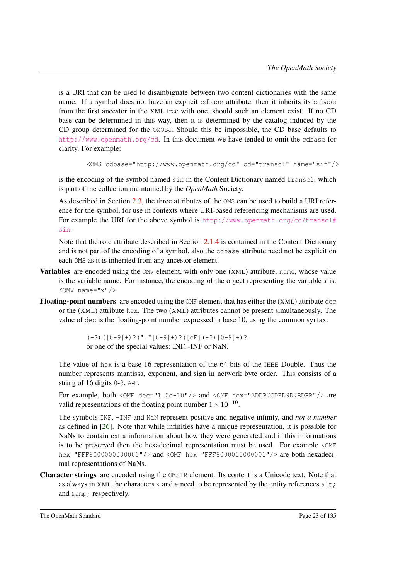is a URI that can be used to disambiguate between two content dictionaries with the same name. If a symbol does not have an explicit cdbase attribute, then it inherits its cdbase from the first ancestor in the XML tree with one, should such an element exist. If no CD base can be determined in this way, then it is determined by the catalog induced by the CD group determined for the OMOBJ. Should this be impossible, the CD base defaults to <http://www.openmath.org/cd>. In this document we have tended to omit the cdbase for clarity. For example:

```
<OMS cdbase="http://www.openmath.org/cd" cd="transc1" name="sin"/>
```
is the encoding of the symbol named sin in the Content Dictionary named transc1, which is part of the collection maintained by the *OpenMath* Society.

As described in Section [2.3,](#page-20-0) the three attributes of the OMS can be used to build a URI reference for the symbol, for use in contexts where URI-based referencing mechanisms are used. For example the URI for the above symbol is [http://www.openmath.org/cd/transc1#](http://www.openmath.org/cd/transc1#sin) [sin](http://www.openmath.org/cd/transc1#sin).

Note that the role attribute described in Section [2.1.4](#page-16-0) is contained in the Content Dictionary and is not part of the encoding of a symbol, also the cdbase attribute need not be explicit on each OMS as it is inherited from any ancestor element.

- Variables are encoded using the OMV element, with only one (XML) attribute, name, whose value is the variable name. For instance, the encoding of the object representing the variable  $x$  is: <OMV name="x"/>
- Floating-point numbers are encoded using the OMF element that has either the (XML) attribute dec or the (XML) attribute hex. The two (XML) attributes cannot be present simultaneously. The value of dec is the floating-point number expressed in base 10, using the common syntax:

 $(-?)$  ( $[0-9]+)$ ?("." $[0-9]+)$ ?( $[ee]$  $(-?)$  $[0-9]+)$ ?. or one of the special values: INF, -INF or NaN.

The value of hex is a base 16 representation of the 64 bits of the IEEE Double. Thus the number represents mantissa, exponent, and sign in network byte order. This consists of a string of 16 digits 0-9, A-F.

For example, both <OMF dec="1.0e-10"/> and <OMF hex="3DDB7CDFD9D7BDBB"/> are valid representations of the floating point number  $1 \times 10^{-10}$ .

The symbols INF, -INF and NaN represent positive and negative infinity, and *not a number* as defined in [\[26\]](#page-139-0). Note that while infinities have a unique representation, it is possible for NaNs to contain extra information about how they were generated and if this informations is to be preserved then the hexadecimal representation must be used. For example <OMF hex="FFF8000000000000"/> and <OMF hex="FFF8000000000001"/> are both hexadecimal representations of NaNs.

Character strings are encoded using the OMSTR element. Its content is a Unicode text. Note that as always in XML the characters  $\lt$  and  $\&$  need to be represented by the entity references  $\< 1$ t; and  $\&$ ; respectively.

The OpenMath Standard Page 23 of 135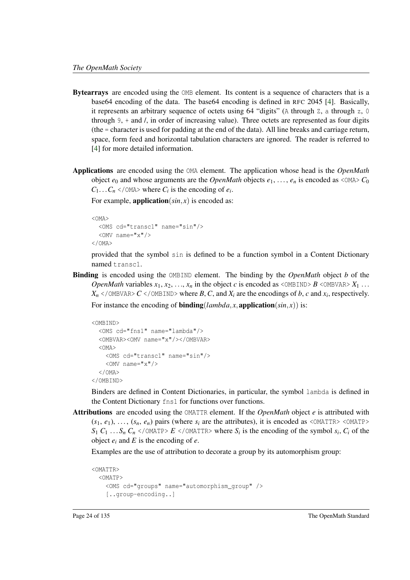- Bytearrays are encoded using the OMB element. Its content is a sequence of characters that is a base64 encoding of the data. The base64 encoding is defined in RFC 2045 [\[4\]](#page-137-3). Basically, it represents an arbitrary sequence of octets using 64 "digits" (A through  $Z$ , a through  $Z$ , 0 through  $9$ ,  $+$  and  $\ell$ , in order of increasing value). Three octets are represented as four digits (the = character is used for padding at the end of the data). All line breaks and carriage return, space, form feed and horizontal tabulation characters are ignored. The reader is referred to [\[4\]](#page-137-3) for more detailed information.
- Applications are encoded using the OMA element. The application whose head is the *OpenMath* object  $e_0$  and whose arguments are the *OpenMath* objects  $e_1, \ldots, e_n$  is encoded as  $\langle OMA \rangle$   $C_0$  $C_1 \ldots C_n$  </OMA> where  $C_i$  is the encoding of  $e_i$ .

For example, **application**( $sin, x$ ) is encoded as:

```
< OMA<OMS cd="transc1" name="sin"/>
  \langleOMV name="x"/>
</OMA>
```
provided that the symbol sin is defined to be a function symbol in a Content Dictionary named transc1.

Binding is encoded using the OMBIND element. The binding by the *OpenMath* object *b* of the *OpenMath* variables  $x_1, x_2, \ldots, x_n$  in the object *c* is encoded as <OMBIND> *B* <OMBVAR>  $X_1 \ldots$  $X_n$  </OMBVAR>  $C$  </OMBIND> where  $B$ ,  $C$ , and  $X_i$  are the encodings of  $b$ ,  $c$  and  $x_i$ , respectively.

For instance the encoding of **binding**( $lambda, x$ , application( $sin, x$ )) is:

```
<OMBIND>
  <OMS cd="fns1" name="lambda"/>
  <OMBVAR><OMV name="x"/></OMBVAR>
  <OMA>
    <OMS cd="transc1" name="sin"/>
    \langleOMV name="x"/>
  </OMA>
</OMBIND>
```
Binders are defined in Content Dictionaries, in particular, the symbol lambda is defined in the Content Dictionary fns1 for functions over functions.

Attributions are encoded using the OMATTR element. If the *OpenMath* object *e* is attributed with  $(s_1, e_1), \ldots, (s_n, e_n)$  pairs (where  $s_i$  are the attributes), it is encoded as <OMATTR> <OMATP>  $S_1$  *C*<sub>1</sub> ...  $S_n$  *C*<sub>*n*</sub> </OMATP> *E* </OMATTR> where  $S_i$  is the encoding of the symbol  $s_i$ , *C<sub>i</sub>* of the object  $e_i$  and  $E$  is the encoding of  $e$ .

Examples are the use of attribution to decorate a group by its automorphism group:

```
<OMATTR>
 <OMATP>
    <OMS cd="groups" name="automorphism_group" />
    [..group-encoding..]
```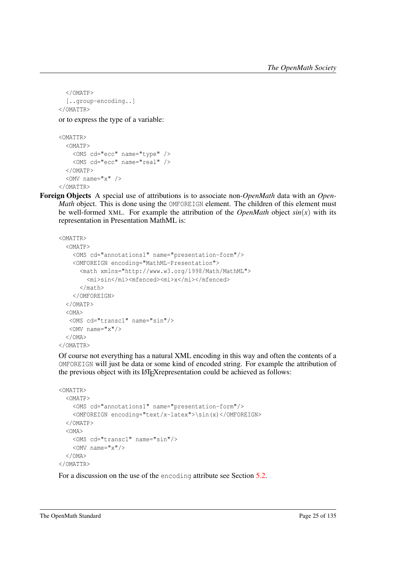```
</OMATP>
 [..group-encoding..]
</OMATTR>
```
or to express the type of a variable:

```
<OMATTR>
  <OMATP>
    <OMS cd="ecc" name="type" />
    <OMS cd="ecc" name="real" />
  </OMATP>
  <OMV name="x" />
</OMATTR>
```
Foreign Objects A special use of attributions is to associate non-*OpenMath* data with an *Open-Math* object. This is done using the OMFOREIGN element. The children of this element must be well-formed XML. For example the attribution of the *OpenMath* object  $sin(x)$  with its representation in Presentation MathML is:

```
<OMATTR>
  <OMATP>
    <OMS cd="annotations1" name="presentation-form"/>
    <OMFOREIGN encoding="MathML-Presentation">
      <math xmlns="http://www.w3.org/1998/Math/MathML">
        <mi>sin</mi><mfenced><mi>x</mi></mfenced>
      \langle/math>
    </OMFOREIGN>
  </OMATP>
  < \capMA><OMS cd="transc1" name="sin"/>
  \langleOMV name="x"/>
  </OMA>
</OMATTR>
```
Of course not everything has a natural XML encoding in this way and often the contents of a OMFOREIGN will just be data or some kind of encoded string. For example the attribution of the previous object with its LATEX representation could be achieved as follows:

```
<OMATTR>
  <OMATP>
   <OMS cd="annotations1" name="presentation-form"/>
   <OMFOREIGN encoding="text/x-latex">\sin(x)</OMFOREIGN>
  </OMATP>
  < OMA ><OMS cd="transc1" name="sin"/>
    <OMV name="x"/>
  </OMA>
</OMATTR>
```
For a discussion on the use of the encoding attribute see Section [5.2.](#page-68-0)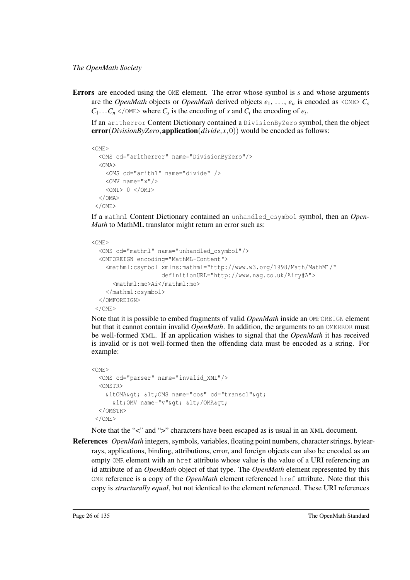Errors are encoded using the OME element. The error whose symbol is *s* and whose arguments are the *OpenMath* objects or *OpenMath* derived objects  $e_1, \ldots, e_n$  is encoded as  $\langle \text{OME} \rangle C_s$  $C_1 \ldots C_n$  </OME> where  $C_s$  is the encoding of *s* and  $C_i$  the encoding of  $e_i$ .

If an aritherror Content Dictionary contained a DivisionByZero symbol, then the object  $error(DivisionByZero, application(divide, x, 0))$  would be encoded as follows:

```
<OME>
  <OMS cd="aritherror" name="DivisionByZero"/>
  < \capMA><OMS cd="arith1" name="divide" />
    \langleOMV name="x"/>
    <OMI> 0 </OMI>
  \langle/OMA\langle / \cap ME >
```
If a mathml Content Dictionary contained an unhandled\_csymbol symbol, then an *Open-Math* to MathML translator might return an error such as:

```
<OME>
  <OMS cd="mathml" name="unhandled_csymbol"/>
  <OMFOREIGN encoding="MathML-Content">
    <mathml:csymbol xmlns:mathml="http://www.w3.org/1998/Math/MathML/"
                     definitionURL="http://www.nag.co.uk/Airy#A">
      <mathml:mo>Ai</mathml:mo>
    </mathml:csymbol>
  </OMFOREIGN>
 \langle/\capMF\rangle
```
Note that it is possible to embed fragments of valid *OpenMath* inside an OMFOREIGN element but that it cannot contain invalid *OpenMath*. In addition, the arguments to an OMERROR must be well-formed XML. If an application wishes to signal that the *OpenMath* it has received is invalid or is not well-formed then the offending data must be encoded as a string. For example:

```
<OME>
  <OMS cd="parser" name="invalid_XML"/>
  <OMSTR>
    &ltOMA&qt; <OMS name="cos" cd="transc1"&qt;
      \text{all}; OMV name="v"&qt; </OMA&qt;
  </OMSTR>
 </OME>
```
Note that the "<" and ">" characters have been escaped as is usual in an XML document.

References *OpenMath* integers, symbols, variables, floating point numbers, character strings, bytearrays, applications, binding, attributions, error, and foreign objects can also be encoded as an empty OMR element with an href attribute whose value is the value of a URI referencing an id attribute of an *OpenMath* object of that type. The *OpenMath* element represented by this OMR reference is a copy of the *OpenMath* element referenced href attribute. Note that this copy is *structurally equal*, but not identical to the element referenced. These URI references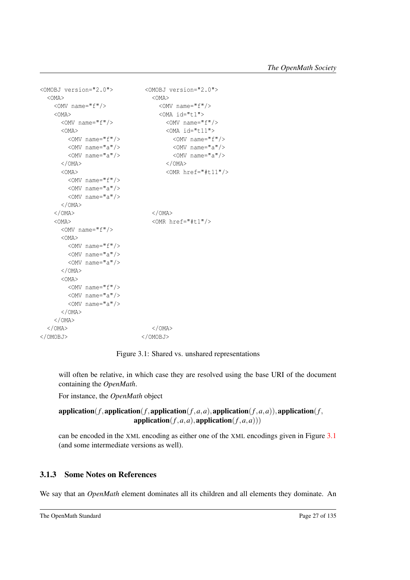```
<OMOBJ version="2.0"> <OMOBJ version="2.0">
 <OMA><OMA><OMA
   \langleOMV name="f"/> \langleOMV name="f"/>
   <OMA> <OMA id="t1">
    <OMV name="f"/> <OMV name="f"/>
    <\!\!\rm{OMA}\xspace>\n<\!\!\rm{OMA}\xspace\dot{~}1d\!=\!"t11">\langleOMV name="f"/> \langleOMV name="f"/>
      <OMV name="a"/> <OMV name="a"/>
      <OMV name="a"/> <OMV name="a"/>
    \langle/OMA> \langle/OMA>
    <OMA> <OMR href="#t11"/>
      <OMV name="f"/>
      <OMV name="a"/>
      <OMV name="a"/>
    </OMA>
   \langle/OMA> \langle/OMA>
   <OMA> <OMR href="#t1"/>
    <OMV name="f"/>
    <OMA>
      <OMV name="f"/>
      \langleOMV name="a"/>
      <OMV name="a"/>
    </OMA>
    < OMA ><OMV name="f"/>
      <OMV name="a"/>
      <OMV name="a"/>
    </OMA>
  </OMA>
 \langle/OMA> \langle/OMA>
</OMOBJ> </OMOBJ>
```
<span id="page-31-1"></span>Figure 3.1: Shared vs. unshared representations

will often be relative, in which case they are resolved using the base URI of the document containing the *OpenMath*.

For instance, the *OpenMath* object

#### application( $f$ , application( $f$ , application( $f$ ,  $a$ ,  $a$ ), application( $f$ ,  $a$ ,  $a$ )), application( $f$ ,  $application(f, a, a)$ ,  $application(f, a, a))$

can be encoded in the XML encoding as either one of the XML encodings given in Figure [3.1](#page-31-1) (and some intermediate versions as well).

#### <span id="page-31-0"></span>3.1.3 Some Notes on References

We say that an *OpenMath* element dominates all its children and all elements they dominate. An

```
The OpenMath Standard Page 27 of 135
```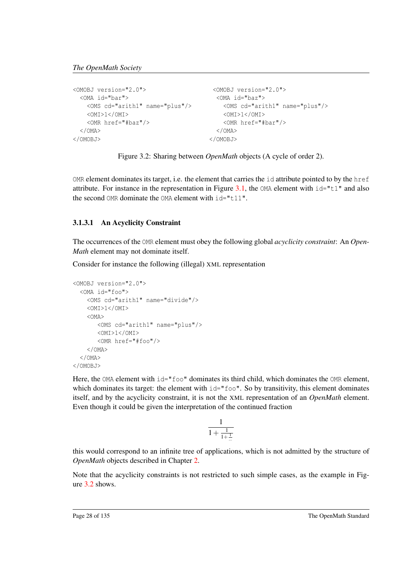```
<OMOBJ version="2.0"> <OMOBJ version="2.0">
 <OMA id="bar"> <OMA id="baz">
  <OMS cd="arith1" name="plus"/> <OMS cd="arith1" name="plus"/>
  <OMI>1</OMI> <OMI>1</OMI>
  <OMR href="#baz"/> <OMR href="#bar"/>
 \langle/OMA> \langle/OMA>
</OMOBJ> </OMOBJ>
```
<span id="page-32-1"></span>Figure 3.2: Sharing between *OpenMath* objects (A cycle of order 2).

OMR element dominates its target, i.e. the element that carries the id attribute pointed to by the href attribute. For instance in the representation in Figure [3.1,](#page-31-1) the  $OMA$  element with  $id="t1"$  and also the second OMR dominate the OMA element with  $id="t11"$ .

#### <span id="page-32-0"></span>3.1.3.1 An Acyclicity Constraint

The occurrences of the OMR element must obey the following global *acyclicity constraint*: An *Open-Math* element may not dominate itself.

Consider for instance the following (illegal) XML representation

```
<OMOBJ version="2.0">
  <OMA id="foo">
    <OMS cd="arith1" name="divide"/>
    <OMI>1</OMI>
    <OMA>
       <OMS cd="arith1" name="plus"/>
       < \capMT>1< \capMT><OMR href="#foo"/>
    </OMA>
  </OMA>
</OMOBJ>
```
Here, the OMA element with  $id="f\circ \circ"$  dominates its third child, which dominates the OMR element, which dominates its target: the element with  $id="f \circ \circ$ ". So by transitivity, this element dominates itself, and by the acyclicity constraint, it is not the XML representation of an *OpenMath* element. Even though it could be given the interpretation of the continued fraction

$$
\frac{1}{1+\frac{1}{1+\frac{1}{\ldots}}}
$$

this would correspond to an infinite tree of applications, which is not admitted by the structure of *OpenMath* objects described in Chapter [2.](#page-14-0)

Note that the acyclicity constraints is not restricted to such simple cases, as the example in Figure [3.2](#page-32-1) shows.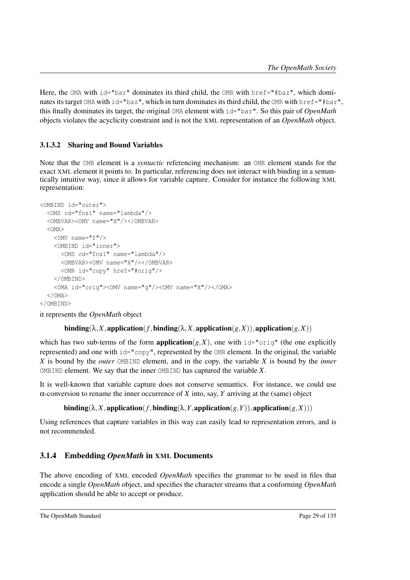Here, the OMA with  $id="bar"$  dominates its third child, the OMR with href="#baz", which dominates its target OMA with id="baz", which in turn dominates its third child, the OMR with href="#bar", this finally dominates its target, the original OMA element with id="bar". So this pair of *OpenMath* objects violates the acyclicity constraint and is not the XML representation of an *OpenMath* object.

#### <span id="page-33-0"></span>3.1.3.2 Sharing and Bound Variables

Note that the OMR element is a *syntactic* referencing mechanism: an OMR element stands for the exact XML element it points to. In particular, referencing does not interact with binding in a semantically intuitive way, since it allows for variable capture. Consider for instance the following XML representation:

```
<OMBIND id="outer">
 <OMS cd="fns1" name="lambda"/>
 <OMBVAR><OMV name="X"/></OMBVAR>
 < \capMA ><OMV name="f"/>
   <OMBIND id="inner">
     <OMS cd="fns1" name="lambda"/>
     <OMBVAR><OMV name="X"/></OMBVAR>
     <OMR id="copy" href="#orig"/>
   </OMBIND>
   <OMA id="orig"><OMV name="g"/><OMV name="X"/></OMA>
 </OMA>
</OMBIND>
```
it represents the *OpenMath* object

#### $\text{binding}(\lambda, X, \text{application}(f, \text{binding}(\lambda, X, \text{application}(g, X)), \text{application}(g, X))$

which has two sub-terms of the form **application** $(g, X)$ , one with  $id="orig"$  (the one explicitly represented) and one with id="copy", represented by the OMR element. In the original, the variable *X* is bound by the *outer* OMBIND element, and in the copy, the variable *X* is bound by the *inner* OMBIND element. We say that the inner OMBIND has captured the variable *X*.

It is well-known that variable capture does not conserve semantics. For instance, we could use α-conversion to rename the inner occurrence of *X* into, say, *Y* arriving at the (same) object

 $\text{binding}(\lambda, X, \text{application}(f, \text{binding}(\lambda, Y, \text{application}(g, Y)), \text{application}(g, X)))$ 

Using references that capture variables in this way can easily lead to representation errors, and is not recommended.

#### <span id="page-33-1"></span>3.1.4 Embedding *OpenMath* in XML Documents

The above encoding of XML encoded *OpenMath* specifies the grammar to be used in files that encode a single *OpenMath* object, and specifies the character streams that a conforming *OpenMath* application should be able to accept or produce.

```
The OpenMath Standard Page 29 of 135
```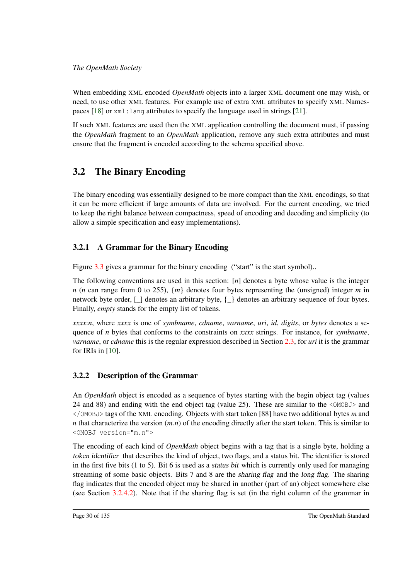When embedding XML encoded *OpenMath* objects into a larger XML document one may wish, or need, to use other XML features. For example use of extra XML attributes to specify XML Namespaces [\[18\]](#page-138-11) or xml:lang attributes to specify the language used in strings [\[21\]](#page-138-3).

If such XML features are used then the XML application controlling the document must, if passing the *OpenMath* fragment to an *OpenMath* application, remove any such extra attributes and must ensure that the fragment is encoded according to the schema specified above.

# <span id="page-34-0"></span>3.2 The Binary Encoding

The binary encoding was essentially designed to be more compact than the XML encodings, so that it can be more efficient if large amounts of data are involved. For the current encoding, we tried to keep the right balance between compactness, speed of encoding and decoding and simplicity (to allow a simple specification and easy implementations).

### <span id="page-34-1"></span>3.2.1 A Grammar for the Binary Encoding

Figure [3.3](#page-35-0) gives a grammar for the binary encoding ("start" is the start symbol)..

The following conventions are used in this section: [*n*] denotes a byte whose value is the integer *n* (*n* can range from 0 to 255), {*m*} denotes four bytes representing the (unsigned) integer *m* in network byte order,  $\lceil \cdot \rceil$  denotes an arbitrary byte,  $\lceil \cdot \rceil$  denotes an arbitrary sequence of four bytes. Finally, *empty* stands for the empty list of tokens.

*xxxx*:*n*, where *xxxx* is one of *symbname*, *cdname*, *varname*, *uri*, *id*, *digits*, or *bytes* denotes a sequence of *n* bytes that conforms to the constraints on *xxxx* strings. For instance, for *symbname*, *varname*, or *cdname* this is the regular expression described in Section [2.3,](#page-20-0) for *uri* it is the grammar for IRIs in [\[10\]](#page-138-4).

### <span id="page-34-2"></span>3.2.2 Description of the Grammar

An *OpenMath* object is encoded as a sequence of bytes starting with the begin object tag (values 24 and 88) and ending with the end object tag (value 25). These are similar to the <OMOBJ> and </OMOBJ> tags of the XML encoding. Objects with start token [88] have two additional bytes *m* and *n* that characterize the version (*m*.*n*) of the encoding directly after the start token. This is similar to <OMOBJ version="m.n">

The encoding of each kind of *OpenMath* object begins with a tag that is a single byte, holding a token identifier that describes the kind of object, two flags, and a status bit. The identifier is stored in the first five bits (1 to 5). Bit 6 is used as a status bit which is currently only used for managing streaming of some basic objects. Bits 7 and 8 are the sharing flag and the long flag. The sharing flag indicates that the encoded object may be shared in another (part of an) object somewhere else (see Section [3.2.4.2\)](#page-40-0). Note that if the sharing flag is set (in the right column of the grammar in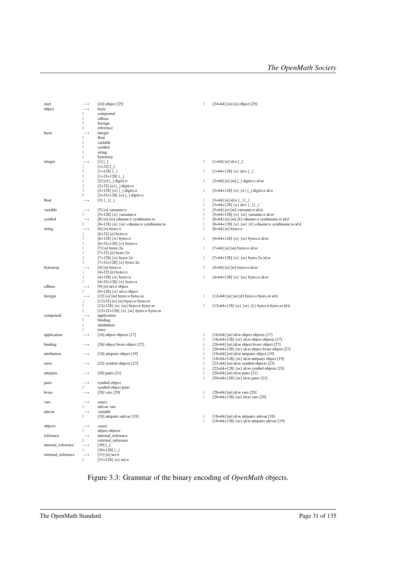| start              |                   | $[24]$ object $[25]$                                                                              | T            | $[24+64]$ [ <i>m</i> ] [ <i>n</i> ] object [25]                                     |
|--------------------|-------------------|---------------------------------------------------------------------------------------------------|--------------|-------------------------------------------------------------------------------------|
| object             |                   | basic                                                                                             |              |                                                                                     |
|                    |                   | compound                                                                                          |              |                                                                                     |
|                    | I.                | cdbase                                                                                            |              |                                                                                     |
|                    | ı                 | foreign                                                                                           |              |                                                                                     |
|                    | ı                 | reference                                                                                         |              |                                                                                     |
| basic              |                   | integer                                                                                           |              |                                                                                     |
|                    |                   | float                                                                                             |              |                                                                                     |
|                    | J.                | variable                                                                                          |              |                                                                                     |
|                    | ı                 | symbol                                                                                            |              |                                                                                     |
|                    | ı                 | string                                                                                            |              |                                                                                     |
|                    |                   |                                                                                                   |              |                                                                                     |
|                    |                   | bytearray                                                                                         |              |                                                                                     |
| integer            |                   | $[1]$ $\Box$                                                                                      | $\mathsf{I}$ | $[1+64]$ [n] id:n [_]                                                               |
|                    |                   | $[1+32]$ $\Box$                                                                                   |              |                                                                                     |
|                    | ı                 | $[1+128]$ $\{\_ \}$                                                                               | $\mathsf{L}$ | $[1+64+128]$ {n} id:n {_}                                                           |
|                    | ı                 | $[1+32+128]$ $\{\_ \}$                                                                            |              |                                                                                     |
|                    | ı                 | [2] $[n]$ [_] digits: <i>n</i>                                                                    | $\mathsf{L}$ | [2+64] [n] [m] [_] digits:n id:m                                                    |
|                    | п                 | [2+32] $[n]$ [_] digits: $n$                                                                      |              |                                                                                     |
|                    |                   | [2+128] $\{n\}$ [_] digits: <i>n</i>                                                              | $\mathsf{L}$ | [2+64+128] $\{n\}$ $[n]$ [_] digits: <i>n</i> id: <i>n</i>                          |
|                    | $\mathbf{L}$      | $[2+32+128]$ {n} [_] digits:n                                                                     |              |                                                                                     |
| float              | $\longrightarrow$ | $\begin{bmatrix} 3 \end{bmatrix} \begin{bmatrix} 1 \end{bmatrix} \begin{bmatrix} 2 \end{bmatrix}$ | $\mathsf{I}$ | $[3+64]$ [n] id:n {_}{_}                                                            |
|                    |                   |                                                                                                   | T            | $[3+64+128]$ {n} id:n {_}{_}                                                        |
| variable           |                   | [5] [n] varname: $n$                                                                              | T            | [5+64] [n] [m] varname:n id:m                                                       |
|                    | $\mathbf{L}$      | [5+128] $\{n\}$ varname: <i>n</i>                                                                 | T            | [5+64+128] $\{n\}$ $\{m\}$ varname: <i>n</i> id: <i>m</i>                           |
| symbol             | $\longrightarrow$ | [8] $[n]$ $[m]$ cdname: <i>n</i> symbname: <i>m</i>                                               | T            | [8+64] [n] [m] [k] cdname:n symbname:m id:k                                         |
|                    | $\mathbf{L}$      | [8+128] $\{n\}$ $\{m\}$ cdname: <i>n</i> symbname: <i>m</i>                                       | T            | [8+64+128] $\{n\}$ $\{m\}$ $\{k\}$ cdname: <i>n</i> symbname: <i>m</i> id: <i>k</i> |
| string             | $\rightarrow$     | $[6]$ [n] bytes:n                                                                                 | T            | $[6+64]$ [n] bytes:n                                                                |
|                    |                   | $[6+32]$ [n] bytes:n                                                                              |              |                                                                                     |
|                    |                   | $[6+128]$ {n} bytes:n                                                                             | $\mathsf{L}$ | $[6+64+128]$ {n} {m} bytes:n id:m                                                   |
|                    | ı                 | $[6+32+128]$ {n} bytes:n                                                                          |              |                                                                                     |
|                    |                   | [7] [n] bytes: $2n$                                                                               | $\mathbf{I}$ | $[7+64]$ [n] [m] bytes:n id:m                                                       |
|                    | п                 | [7+32] $[n]$ bytes: $2n$                                                                          |              |                                                                                     |
|                    | $\mathbf{I}$      | $[7+128]$ {n} bytes:2n                                                                            | $\mathsf{L}$ | $[7+64+128]$ {n} {m} bytes:2n id:m                                                  |
|                    | Ш                 | $[7+32+128]$ {n} bytes:2n                                                                         |              |                                                                                     |
| bytearray          |                   | [4] [n] bytes: $n$                                                                                | $\mathbf{I}$ | $[4+64]$ [n] [m] bytes:n id:m                                                       |
|                    |                   | $[4+32]$ [n] bytes:n                                                                              |              |                                                                                     |
|                    |                   | $[4+128]$ {n} bytes:n                                                                             | $\mathsf{I}$ | $[4+64+128]$ {n} {m} bytes:n id:m                                                   |
|                    | $\mathbf{L}$      | $[4+32+128]$ {n} bytes:n                                                                          |              |                                                                                     |
| cdbase             |                   | [9] $[n]$ uri: <i>n</i> object                                                                    |              |                                                                                     |
|                    |                   | [9+128] $\{n\}$ uri: <i>n</i> object                                                              |              |                                                                                     |
| foreign            | $\longrightarrow$ | [12] $[n]$ $[m]$ bytes:n bytes:m                                                                  | $\mathsf{I}$ | [12+64] [n] [m] [k] bytes:n bytes:m id:k                                            |
|                    |                   | $[12+32]$ [n] [m] bytes:n bytes:m                                                                 |              |                                                                                     |
|                    | L                 | [12+128] $\{n\}$ $\{m\}$ bytes: <i>n</i> bytes: <i>m</i>                                          | $\mathsf{I}$ | [12+64+128] $\{n\}$ $\{m\}$ $\{k\}$ bytes: <i>n</i> bytes: <i>m</i> id: <i>k</i>    |
|                    | $\mathbf{I}$      | $[12+32+128]$ {n} {m} bytes:n bytes:m                                                             |              |                                                                                     |
| compound           | $\rightarrow$     |                                                                                                   |              |                                                                                     |
|                    |                   | application                                                                                       |              |                                                                                     |
|                    |                   | binding<br>attribution                                                                            |              |                                                                                     |
|                    |                   |                                                                                                   |              |                                                                                     |
|                    |                   | error                                                                                             |              |                                                                                     |
| application        | $\longrightarrow$ | [16] object objects [17]                                                                          | T            | $[16+64]$ [m] id:m object objects [17]                                              |
|                    |                   |                                                                                                   | T            | [16+64+128] $\{m\}$ id: <i>m</i> object objects [17]                                |
| binding            | $\longrightarrow$ | [26] object bvars object [27]                                                                     | $\mathbf{I}$ | [26+64] [ $m$ ] id: $m$ object bvars object [27]                                    |
|                    |                   |                                                                                                   | T            | [26+64+128] $\{m\}$ id: <i>m</i> object bvars object [27]                           |
| attribution        | $\longrightarrow$ | [18] attrpairs object [19]                                                                        | T            | [18+64] [ $m$ ] id: $m$ attrpairs object [19]                                       |
|                    |                   |                                                                                                   | T            | [18+64+128] $\{m\}$ id: <i>m</i> attrpairs object [19]                              |
| error              | $\longrightarrow$ | [22] symbol objects [23]                                                                          | T            | $[22+64]$ [m] id:m symbol objects [23]                                              |
|                    |                   |                                                                                                   | T            | $[22+64+128]$ { <i>m</i> } id: <i>m</i> symbol objects [23]                         |
| attrpairs          | $\longrightarrow$ | $[20]$ pairs $[21]$                                                                               | J.           | $[20+64]$ [m] id:m pairs [21]                                                       |
|                    |                   |                                                                                                   | T            | $[20+64+128]$ {m} id: <i>m</i> pairs [21]                                           |
| pairs              | $\longrightarrow$ | symbol object                                                                                     |              |                                                                                     |
|                    | $\mathbf{L}$      | symbol object pairs                                                                               |              |                                                                                     |
| bvars              | $\longrightarrow$ | $[28]$ vars $[29]$                                                                                | T            | [28+64] [ <i>m</i> ] id: <i>m</i> vars [29]                                         |
|                    |                   |                                                                                                   | J.           | $[28+64+128]$ { <i>m</i> } id: <i>m</i> vars [29]                                   |
| vars               | $\longrightarrow$ | empty                                                                                             |              |                                                                                     |
|                    |                   | attrvar vars                                                                                      |              |                                                                                     |
| attrvar            | $\longrightarrow$ | variable                                                                                          |              |                                                                                     |
|                    | $\mathbf{L}$      | [18] attrpairs attrvar [19]                                                                       | J.           | [18+64] [m] id:m attrpairs attrvar [19]                                             |
|                    |                   |                                                                                                   | J.           | [18+64+128] $\{m\}$ id: <i>m</i> attrpairs attrvar [19]                             |
| objects            | $\longrightarrow$ | empty                                                                                             |              |                                                                                     |
|                    | $\mathbf{L}$      | object objects                                                                                    |              |                                                                                     |
| reference          | $\longrightarrow$ | internal_reference                                                                                |              |                                                                                     |
|                    | $\mathbf{L}$      | external_reference                                                                                |              |                                                                                     |
| internal_reference | $\longrightarrow$ | $[30]$ [_]                                                                                        |              |                                                                                     |
|                    | Т                 | $[30+128]$ { $\Box$ }                                                                             |              |                                                                                     |
| external_reference | $\longrightarrow$ | $[31]$ [n] uri:n                                                                                  |              |                                                                                     |
|                    | $\mathbf{L}$      | $[31+128]$ {n} uri:n                                                                              |              |                                                                                     |

<span id="page-35-0"></span>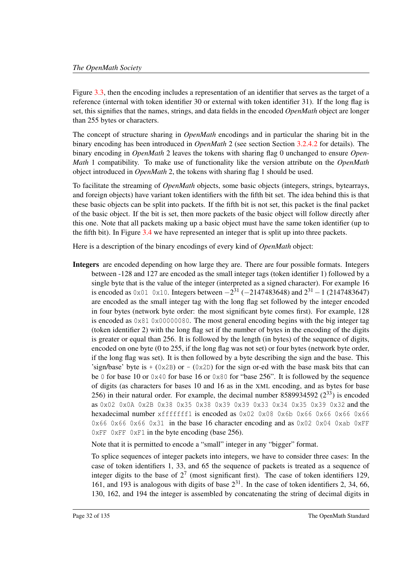Figure [3.3,](#page-35-0) then the encoding includes a representation of an identifier that serves as the target of a reference (internal with token identifier 30 or external with token identifier 31). If the long flag is set, this signifies that the names, strings, and data fields in the encoded *OpenMath* object are longer than 255 bytes or characters.

The concept of structure sharing in *OpenMath* encodings and in particular the sharing bit in the binary encoding has been introduced in *OpenMath* 2 (see section Section [3.2.4.2](#page-40-0) for details). The binary encoding in *OpenMath* 2 leaves the tokens with sharing flag 0 unchanged to ensure *Open-Math* 1 compatibility. To make use of functionality like the version attribute on the *OpenMath* object introduced in *OpenMath* 2, the tokens with sharing flag 1 should be used.

To facilitate the streaming of *OpenMath* objects, some basic objects (integers, strings, bytearrays, and foreign objects) have variant token identifiers with the fifth bit set. The idea behind this is that these basic objects can be split into packets. If the fifth bit is not set, this packet is the final packet of the basic object. If the bit is set, then more packets of the basic object will follow directly after this one. Note that all packets making up a basic object must have the same token identifier (up to the fifth bit). In Figure [3.4](#page-37-0) we have represented an integer that is split up into three packets.

Here is a description of the binary encodings of every kind of *OpenMath* object:

Integers are encoded depending on how large they are. There are four possible formats. Integers between -128 and 127 are encoded as the small integer tags (token identifier 1) followed by a single byte that is the value of the integer (interpreted as a signed character). For example 16 is encoded as 0x01 0x10. Integers between  $-2^{31}$  ( $-2147483648$ ) and  $2^{31} - 1$  (2147483647) are encoded as the small integer tag with the long flag set followed by the integer encoded in four bytes (network byte order: the most significant byte comes first). For example, 128 is encoded as  $0 \times 81$  0x00000080. The most general encoding begins with the big integer tag (token identifier 2) with the long flag set if the number of bytes in the encoding of the digits is greater or equal than 256. It is followed by the length (in bytes) of the sequence of digits, encoded on one byte (0 to 255, if the long flag was not set) or four bytes (network byte order, if the long flag was set). It is then followed by a byte describing the sign and the base. This 'sign/base' byte is  $+(0x2B)$  or  $-(0x2D)$  for the sign or-ed with the base mask bits that can be 0 for base 10 or  $0 \times 40$  for base 16 or  $0 \times 80$  for "base 256". It is followed by the sequence of digits (as characters for bases 10 and 16 as in the XML encoding, and as bytes for base 256) in their natural order. For example, the decimal number 8589934592  $(2^{33})$  is encoded as 0x02 0x0A 0x2B 0x38 0x35 0x38 0x39 0x39 0x33 0x34 0x35 0x39 0x32 and the hexadecimal number xfffffff1 is encoded as 0x02 0x08 0x6b 0x66 0x66 0x66 0x66 0x66 0x66 0x31 in the base 16 character encoding and as  $0 \times 02$  0x04 0xab 0xFF  $0 \times FF$  0xFF 0xF1 in the byte encoding (base 256).

Note that it is permitted to encode a "small" integer in any "bigger" format.

To splice sequences of integer packets into integers, we have to consider three cases: In the case of token identifiers 1, 33, and 65 the sequence of packets is treated as a sequence of integer digits to the base of  $2^7$  (most significant first). The case of token identifiers 129, 161, and 193 is analogous with digits of base  $2^{31}$ . In the case of token identifiers 2, 34, 66, 130, 162, and 194 the integer is assembled by concatenating the string of decimal digits in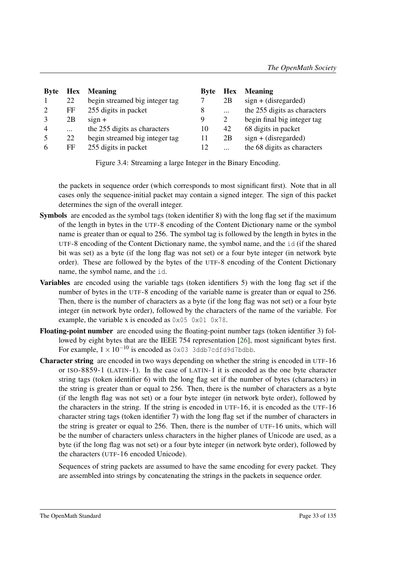| <b>Byte</b>    | <b>Hex</b> | <b>Meaning</b>                 | <b>Byte</b> | <b>Hex</b> | <b>Meaning</b>               |
|----------------|------------|--------------------------------|-------------|------------|------------------------------|
|                | 22         | begin streamed big integer tag |             | 2B         | $sign + (disregarded)$       |
|                | FF         | 255 digits in packet           | 8           | $\cdots$   | the 255 digits as characters |
|                | 2B         | $sign +$                       | 9           | 2          | begin final big integer tag  |
| $\overline{4}$ | $\dddotsc$ | the 255 digits as characters   | 10          | 42         | 68 digits in packet          |
|                | 22         | begin streamed big integer tag | 11          | 2B         | $sign + (disregarded)$       |
| 6              | FF         | 255 digits in packet           | 12          | $\cdots$   | the 68 digits as characters  |

<span id="page-37-0"></span>Figure 3.4: Streaming a large Integer in the Binary Encoding.

the packets in sequence order (which corresponds to most significant first). Note that in all cases only the sequence-initial packet may contain a signed integer. The sign of this packet determines the sign of the overall integer.

- Symbols are encoded as the symbol tags (token identifier 8) with the long flag set if the maximum of the length in bytes in the UTF-8 encoding of the Content Dictionary name or the symbol name is greater than or equal to 256. The symbol tag is followed by the length in bytes in the UTF-8 encoding of the Content Dictionary name, the symbol name, and the id (if the shared bit was set) as a byte (if the long flag was not set) or a four byte integer (in network byte order). These are followed by the bytes of the UTF-8 encoding of the Content Dictionary name, the symbol name, and the id.
- Variables are encoded using the variable tags (token identifiers 5) with the long flag set if the number of bytes in the UTF-8 encoding of the variable name is greater than or equal to 256. Then, there is the number of characters as a byte (if the long flag was not set) or a four byte integer (in network byte order), followed by the characters of the name of the variable. For example, the variable x is encoded as 0x05 0x01 0x78.
- Floating-point number are encoded using the floating-point number tags (token identifier 3) followed by eight bytes that are the IEEE 754 representation [\[26\]](#page-139-0), most significant bytes first. For example,  $1 \times 10^{-10}$  is encoded as 0x03 3ddb7cdfd9d7bdbb.
- Character string are encoded in two ways depending on whether the string is encoded in UTF-16 or ISO-8859-1 (LATIN-1). In the case of LATIN-1 it is encoded as the one byte character string tags (token identifier 6) with the long flag set if the number of bytes (characters) in the string is greater than or equal to 256. Then, there is the number of characters as a byte (if the length flag was not set) or a four byte integer (in network byte order), followed by the characters in the string. If the string is encoded in UTF-16, it is encoded as the UTF-16 character string tags (token identifier 7) with the long flag set if the number of characters in the string is greater or equal to 256. Then, there is the number of UTF-16 units, which will be the number of characters unless characters in the higher planes of Unicode are used, as a byte (if the long flag was not set) or a four byte integer (in network byte order), followed by the characters (UTF-16 encoded Unicode).

Sequences of string packets are assumed to have the same encoding for every packet. They are assembled into strings by concatenating the strings in the packets in sequence order.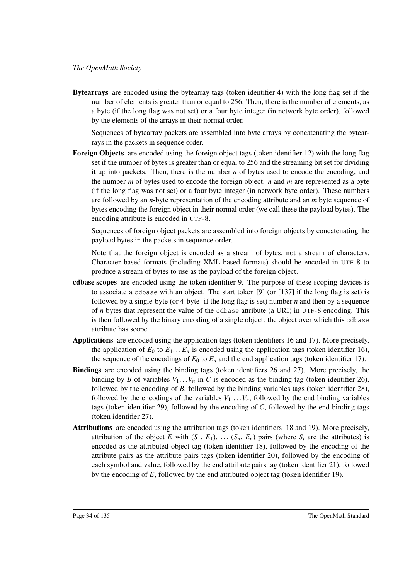Bytearrays are encoded using the bytearray tags (token identifier 4) with the long flag set if the number of elements is greater than or equal to 256. Then, there is the number of elements, as a byte (if the long flag was not set) or a four byte integer (in network byte order), followed by the elements of the arrays in their normal order.

Sequences of bytearray packets are assembled into byte arrays by concatenating the bytearrays in the packets in sequence order.

Foreign Objects are encoded using the foreign object tags (token identifier 12) with the long flag set if the number of bytes is greater than or equal to 256 and the streaming bit set for dividing it up into packets. Then, there is the number  $n$  of bytes used to encode the encoding, and the number *m* of bytes used to encode the foreign object. *n* and *m* are represented as a byte (if the long flag was not set) or a four byte integer (in network byte order). These numbers are followed by an *n*-byte representation of the encoding attribute and an *m* byte sequence of bytes encoding the foreign object in their normal order (we call these the payload bytes). The encoding attribute is encoded in UTF-8.

Sequences of foreign object packets are assembled into foreign objects by concatenating the payload bytes in the packets in sequence order.

Note that the foreign object is encoded as a stream of bytes, not a stream of characters. Character based formats (including XML based formats) should be encoded in UTF-8 to produce a stream of bytes to use as the payload of the foreign object.

- cdbase scopes are encoded using the token identifier 9. The purpose of these scoping devices is to associate a cdbase with an object. The start token [9] (or [137] if the long flag is set) is followed by a single-byte (or 4-byte- if the long flag is set) number *n* and then by a sequence of *n* bytes that represent the value of the cdbase attribute (a URI) in UTF-8 encoding. This is then followed by the binary encoding of a single object: the object over which this cdbase attribute has scope.
- Applications are encoded using the application tags (token identifiers 16 and 17). More precisely, the application of  $E_0$  to  $E_1 \ldots E_n$  is encoded using the application tags (token identifier 16), the sequence of the encodings of  $E_0$  to  $E_n$  and the end application tags (token identifier 17).
- Bindings are encoded using the binding tags (token identifiers 26 and 27). More precisely, the binding by *B* of variables  $V_1 \ldots V_n$  in *C* is encoded as the binding tag (token identifier 26), followed by the encoding of *B*, followed by the binding variables tags (token identifier 28), followed by the encodings of the variables  $V_1 \ldots V_n$ , followed by the end binding variables tags (token identifier 29), followed by the encoding of *C*, followed by the end binding tags (token identifier 27).
- Attributions are encoded using the attribution tags (token identifiers 18 and 19). More precisely, attribution of the object *E* with  $(S_1, E_1)$ , ...  $(S_n, E_n)$  pairs (where  $S_i$  are the attributes) is encoded as the attributed object tag (token identifier 18), followed by the encoding of the attribute pairs as the attribute pairs tags (token identifier 20), followed by the encoding of each symbol and value, followed by the end attribute pairs tag (token identifier 21), followed by the encoding of *E*, followed by the end attributed object tag (token identifier 19).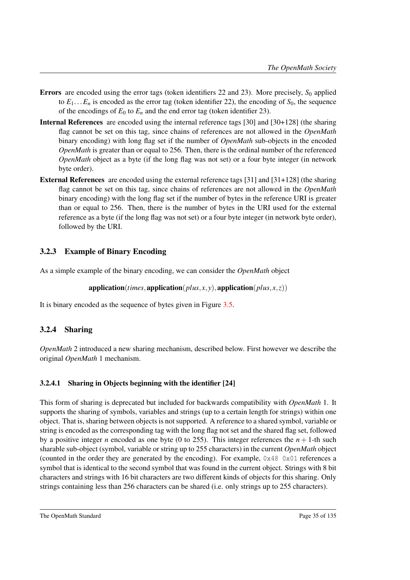- Errors are encoded using the error tags (token identifiers 22 and 23). More precisely, *S*<sup>0</sup> applied to  $E_1...E_n$  is encoded as the error tag (token identifier 22), the encoding of  $S_0$ , the sequence of the encodings of  $E_0$  to  $E_n$  and the end error tag (token identifier 23).
- Internal References are encoded using the internal reference tags [30] and [30+128] (the sharing flag cannot be set on this tag, since chains of references are not allowed in the *OpenMath* binary encoding) with long flag set if the number of *OpenMath* sub-objects in the encoded *OpenMath* is greater than or equal to 256. Then, there is the ordinal number of the referenced *OpenMath* object as a byte (if the long flag was not set) or a four byte integer (in network byte order).
- External References are encoded using the external reference tags [31] and [31+128] (the sharing flag cannot be set on this tag, since chains of references are not allowed in the *OpenMath* binary encoding) with the long flag set if the number of bytes in the reference URI is greater than or equal to 256. Then, there is the number of bytes in the URI used for the external reference as a byte (if the long flag was not set) or a four byte integer (in network byte order), followed by the URI.

### 3.2.3 Example of Binary Encoding

As a simple example of the binary encoding, we can consider the *OpenMath* object

application(*times*, application(*plus*, *x*, *y*), application(*plus*, *x*, *z*))

It is binary encoded as the sequence of bytes given in Figure [3.5.](#page-40-1)

### 3.2.4 Sharing

*OpenMath* 2 introduced a new sharing mechanism, described below. First however we describe the original *OpenMath* 1 mechanism.

### 3.2.4.1 Sharing in Objects beginning with the identifier [24]

This form of sharing is deprecated but included for backwards compatibility with *OpenMath* 1. It supports the sharing of symbols, variables and strings (up to a certain length for strings) within one object. That is, sharing between objects is not supported. A reference to a shared symbol, variable or string is encoded as the corresponding tag with the long flag not set and the shared flag set, followed by a positive integer *n* encoded as one byte (0 to 255). This integer references the  $n + 1$ -th such sharable sub-object (symbol, variable or string up to 255 characters) in the current *OpenMath* object (counted in the order they are generated by the encoding). For example,  $0 \times 48$  0x01 references a symbol that is identical to the second symbol that was found in the current object. Strings with 8 bit characters and strings with 16 bit characters are two different kinds of objects for this sharing. Only strings containing less than 256 characters can be shared (i.e. only strings up to 255 characters).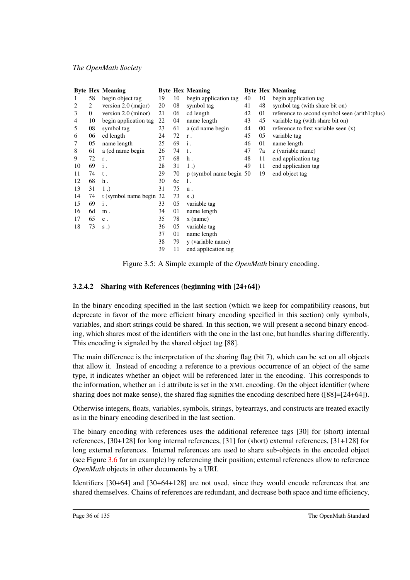|    |              | <b>Byte Hex Meaning</b> |    |    | <b>Byte Hex Meaning</b> |    |    | <b>Byte Hex Meaning</b>                       |
|----|--------------|-------------------------|----|----|-------------------------|----|----|-----------------------------------------------|
| 1  | 58           | begin object tag        | 19 | 10 | begin application tag   | 40 | 10 | begin application tag                         |
| 2  | 2            | version 2.0 (major)     | 20 | 08 | symbol tag              | 41 | 48 | symbol tag (with share bit on)                |
| 3  | $\mathbf{0}$ | version 2.0 (minor)     | 21 | 06 | cd length               | 42 | 01 | reference to second symbol seen (arith1:plus) |
| 4  | 10           | begin application tag   | 22 | 04 | name length             | 43 | 45 | variable tag (with share bit on)              |
| 5  | 08           | symbol tag              | 23 | 61 | a (cd name begin        | 44 | 00 | reference to first variable seen $(x)$        |
| 6  | 06           | cd length               | 24 | 72 | $\mathbf r$ .           | 45 | 05 | variable tag                                  |
| 7  | 05           | name length             | 25 | 69 | $\mathbf i$ .           | 46 | 01 | name length                                   |
| 8  | 61           | a (cd name begin        | 26 | 74 | t.                      | 47 | 7a | z (variable name)                             |
| 9  | 72           | r.                      | 27 | 68 | $h$ .                   | 48 | 11 | end application tag                           |
| 10 | 69           | i.                      | 28 | 31 | $1$ .                   | 49 | 11 | end application tag                           |
| 11 | 74           | t.                      | 29 | 70 | p (symbol name begin 50 |    | 19 | end object tag                                |
| 12 | 68           | $h$ .                   | 30 | 6c | 1.                      |    |    |                                               |
| 13 | 31           | 1.                      | 31 | 75 | u.                      |    |    |                                               |
| 14 | 74           | t (symbol name begin 32 |    | 73 | $s$ .)                  |    |    |                                               |
| 15 | 69           | i.                      | 33 | 05 | variable tag            |    |    |                                               |
| 16 | 6d           | $m$ .                   | 34 | 01 | name length             |    |    |                                               |
| 17 | 65           | e .                     | 35 | 78 | $x$ (name)              |    |    |                                               |
| 18 | 73           | $s$ .)                  | 36 | 05 | variable tag            |    |    |                                               |
|    |              |                         | 37 | 01 | name length             |    |    |                                               |
|    |              |                         | 38 | 79 | y (variable name)       |    |    |                                               |
|    |              |                         | 39 | 11 | end application tag     |    |    |                                               |

<span id="page-40-1"></span>Figure 3.5: A Simple example of the *OpenMath* binary encoding.

### <span id="page-40-0"></span>3.2.4.2 Sharing with References (beginning with [24+64])

In the binary encoding specified in the last section (which we keep for compatibility reasons, but deprecate in favor of the more efficient binary encoding specified in this section) only symbols, variables, and short strings could be shared. In this section, we will present a second binary encoding, which shares most of the identifiers with the one in the last one, but handles sharing differently. This encoding is signaled by the shared object tag [88].

The main difference is the interpretation of the sharing flag (bit 7), which can be set on all objects that allow it. Instead of encoding a reference to a previous occurrence of an object of the same type, it indicates whether an object will be referenced later in the encoding. This corresponds to the information, whether an id attribute is set in the XML encoding. On the object identifier (where sharing does not make sense), the shared flag signifies the encoding described here ([88]=[24+64]).

Otherwise integers, floats, variables, symbols, strings, bytearrays, and constructs are treated exactly as in the binary encoding described in the last section.

The binary encoding with references uses the additional reference tags [30] for (short) internal references, [30+128] for long internal references, [31] for (short) external references, [31+128] for long external references. Internal references are used to share sub-objects in the encoded object (see Figure [3.6](#page-41-0) for an example) by referencing their position; external references allow to reference *OpenMath* objects in other documents by a URI.

Identifiers [30+64] and [30+64+128] are not used, since they would encode references that are shared themselves. Chains of references are redundant, and decrease both space and time efficiency,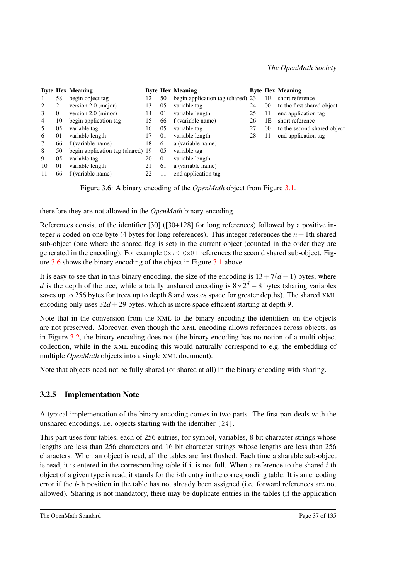|    |    | <b>Byte Hex Meaning</b>           |    |    | <b>Byte Hex Meaning</b>           |    |        | <b>Byte Hex Meaning</b>     |
|----|----|-----------------------------------|----|----|-----------------------------------|----|--------|-----------------------------|
|    | 58 | begin object tag                  | 12 | 50 | begin application tag (shared) 23 |    | 1E     | short reference             |
|    | 2  | version $2.0$ (major)             | 13 | 05 | variable tag                      | 24 | $00\,$ | to the first shared object  |
| 3  | 0  | version 2.0 (minor)               | 14 | 01 | variable length                   | 25 | 11     | end application tag         |
| 4  | 10 | begin application tag             | 15 | 66 | f (variable name)                 | 26 | 1Ε     | short reference             |
|    | 05 | variable tag                      | 16 | 05 | variable tag                      | 27 | $00\,$ | to the second shared object |
| 6  | 01 | variable length                   | 17 | 01 | variable length                   | 28 | 11     | end application tag         |
|    | 66 | f (variable name)                 | 18 | 61 | a (variable name)                 |    |        |                             |
| 8  | 50 | begin application tag (shared) 19 |    | 05 | variable tag                      |    |        |                             |
| 9  | 05 | variable tag                      | 20 | 01 | variable length                   |    |        |                             |
| 10 | 01 | variable length                   | 21 | 61 | a (variable name)                 |    |        |                             |
| 11 | 66 | f (variable name)                 | 22 |    | end application tag               |    |        |                             |

<span id="page-41-0"></span>Figure 3.6: A binary encoding of the *OpenMath* object from Figure [3.1.](#page-31-0)

therefore they are not allowed in the *OpenMath* binary encoding.

References consist of the identifier [30] ([30+128] for long references) followed by a positive integer *n* coded on one byte (4 bytes for long references). This integer references the  $n + 1$ th shared sub-object (one where the shared flag is set) in the current object (counted in the order they are generated in the encoding). For example  $Ox7E$   $Ox01$  references the second shared sub-object. Figure [3.6](#page-41-0) shows the binary encoding of the object in Figure [3.1](#page-31-0) above.

It is easy to see that in this binary encoding, the size of the encoding is  $13+7(d-1)$  bytes, where *d* is the depth of the tree, while a totally unshared encoding is  $8 \times 2^d - 8$  bytes (sharing variables saves up to 256 bytes for trees up to depth 8 and wastes space for greater depths). The shared XML encoding only uses  $32d + 29$  bytes, which is more space efficient starting at depth 9.

Note that in the conversion from the XML to the binary encoding the identifiers on the objects are not preserved. Moreover, even though the XML encoding allows references across objects, as in Figure [3.2,](#page-32-0) the binary encoding does not (the binary encoding has no notion of a multi-object collection, while in the XML encoding this would naturally correspond to e.g. the embedding of multiple *OpenMath* objects into a single XML document).

Note that objects need not be fully shared (or shared at all) in the binary encoding with sharing.

### 3.2.5 Implementation Note

A typical implementation of the binary encoding comes in two parts. The first part deals with the unshared encodings, i.e. objects starting with the identifier [24].

This part uses four tables, each of 256 entries, for symbol, variables, 8 bit character strings whose lengths are less than 256 characters and 16 bit character strings whose lengths are less than 256 characters. When an object is read, all the tables are first flushed. Each time a sharable sub-object is read, it is entered in the corresponding table if it is not full. When a reference to the shared *i*-th object of a given type is read, it stands for the *i*-th entry in the corresponding table. It is an encoding error if the *i*-th position in the table has not already been assigned (i.e. forward references are not allowed). Sharing is not mandatory, there may be duplicate entries in the tables (if the application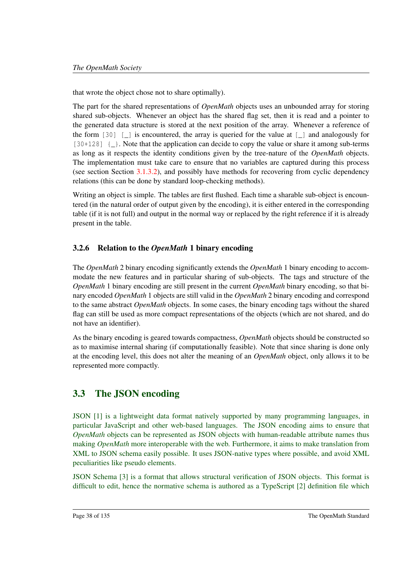that wrote the object chose not to share optimally).

The part for the shared representations of *OpenMath* objects uses an unbounded array for storing shared sub-objects. Whenever an object has the shared flag set, then it is read and a pointer to the generated data structure is stored at the next position of the array. Whenever a reference of the form  $[30]$  [\_] is encountered, the array is queried for the value at [\_] and analogously for [30+128]  $\{\_\}$ . Note that the application can decide to copy the value or share it among sub-terms as long as it respects the identity conditions given by the tree-nature of the *OpenMath* objects. The implementation must take care to ensure that no variables are captured during this process (see section Section [3.1.3.2\)](#page-33-0), and possibly have methods for recovering from cyclic dependency relations (this can be done by standard loop-checking methods).

Writing an object is simple. The tables are first flushed. Each time a sharable sub-object is encountered (in the natural order of output given by the encoding), it is either entered in the corresponding table (if it is not full) and output in the normal way or replaced by the right reference if it is already present in the table.

### 3.2.6 Relation to the *OpenMath* 1 binary encoding

The *OpenMath* 2 binary encoding significantly extends the *OpenMath* 1 binary encoding to accommodate the new features and in particular sharing of sub-objects. The tags and structure of the *OpenMath* 1 binary encoding are still present in the current *OpenMath* binary encoding, so that binary encoded *OpenMath* 1 objects are still valid in the *OpenMath* 2 binary encoding and correspond to the same abstract *OpenMath* objects. In some cases, the binary encoding tags without the shared flag can still be used as more compact representations of the objects (which are not shared, and do not have an identifier).

As the binary encoding is geared towards compactness, *OpenMath* objects should be constructed so as to maximise internal sharing (if computationally feasible). Note that since sharing is done only at the encoding level, this does not alter the meaning of an *OpenMath* object, only allows it to be represented more compactly.

### 3.3 The JSON encoding

JSON [\[1\]](#page-137-0) is a lightweight data format natively supported by many programming languages, in particular JavaScript and other web-based languages. The JSON encoding aims to ensure that *OpenMath* objects can be represented as JSON objects with human-readable attribute names thus making *OpenMath* more interoperable with the web. Furthermore, it aims to make translation from XML to JSON schema easily possible. It uses JSON-native types where possible, and avoid XML peculiarities like pseudo elements.

JSON Schema [\[3\]](#page-137-1) is a format that allows structural verification of JSON objects. This format is difficult to edit, hence the normative schema is authored as a TypeScript [\[2\]](#page-137-2) definition file which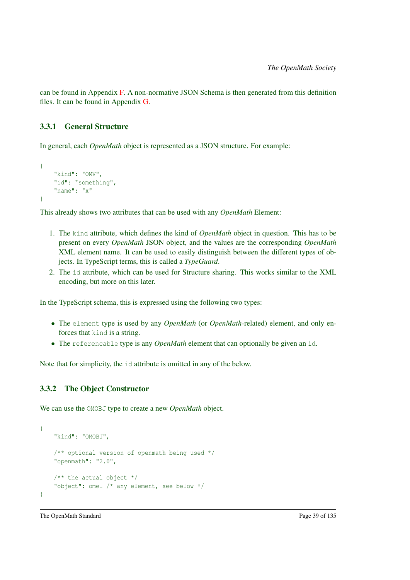can be found in Appendix [F.](#page-127-0) A non-normative JSON Schema is then generated from this definition files. It can be found in Appendix [G.](#page-129-0)

### 3.3.1 General Structure

In general, each *OpenMath* object is represented as a JSON structure. For example:

```
{
    "kind": "OMV",
    "id": "something",
    "name": "x"
}
```
This already shows two attributes that can be used with any *OpenMath* Element:

- 1. The kind attribute, which defines the kind of *OpenMath* object in question. This has to be present on every *OpenMath* JSON object, and the values are the corresponding *OpenMath* XML element name. It can be used to easily distinguish between the different types of objects. In TypeScript terms, this is called a *TypeGuard*.
- 2. The id attribute, which can be used for Structure sharing. This works similar to the XML encoding, but more on this later.

In the TypeScript schema, this is expressed using the following two types:

- The element type is used by any *OpenMath* (or *OpenMath*-related) element, and only enforces that kind is a string.
- The referencable type is any *OpenMath* element that can optionally be given an id.

Note that for simplicity, the id attribute is omitted in any of the below.

### 3.3.2 The Object Constructor

We can use the OMOBJ type to create a new *OpenMath* object.

```
{
   "kind": "OMOBJ",
    /** optional version of openmath being used */
   "openmath": "2.0",
   /** the actual object */"object": omel /* any element, see below */
}
```
The OpenMath Standard Page 39 of 135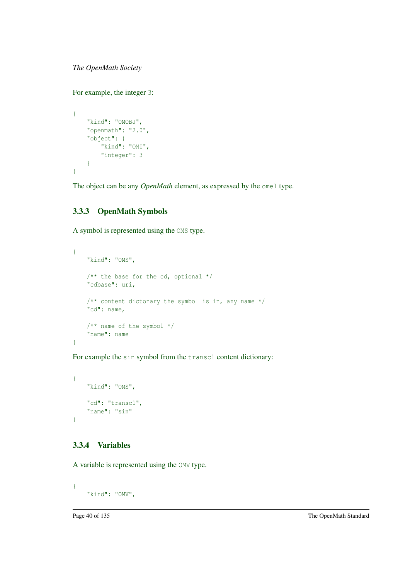For example, the integer 3:

```
{
    "kind": "OMOBJ",
    "openmath": "2.0",
    "object": {
       "kind": "OMI",
        "integer": 3
    }
}
```
The object can be any *OpenMath* element, as expressed by the omel type.

### 3.3.3 OpenMath Symbols

A symbol is represented using the OMS type.

```
{
    "kind": "OMS",
    /** the base for the cd, optional */"cdbase": uri,
    /** content dictonary the symbol is in, any name */"cd": name,
    /** name of the symbol */
    "name": name
}
```
For example the sin symbol from the transc1 content dictionary:

```
{
    "kind": "OMS",
   "cd": "transc1",
    "name": "sin"
}
```
### 3.3.4 Variables

A variable is represented using the OMV type.

```
{
    "kind": "OMV",
```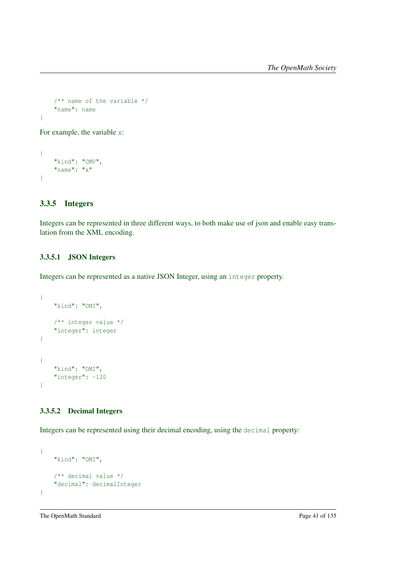```
/** name of the variable */
"name": name
```
For example, the variable x:

```
{
    "kind": "OMV",
    "name": "x"
}
```
### 3.3.5 Integers

}

Integers can be represented in three different ways, to both make use of json and enable easy translation from the XML encoding.

#### 3.3.5.1 JSON Integers

Integers can be represented as a native JSON Integer, using an integer property.

```
{
    "kind": "OMI",
   /** integer value */
   "integer": integer
}
{
   "kind": "OMI",
   "integer": -120
}
```
### 3.3.5.2 Decimal Integers

Integers can be represented using their decimal encoding, using the decimal property:

```
{
   "kind": "OMI",
   /** decimal value */
   "decimal": decimalInteger
}
```
The OpenMath Standard Page 41 of 135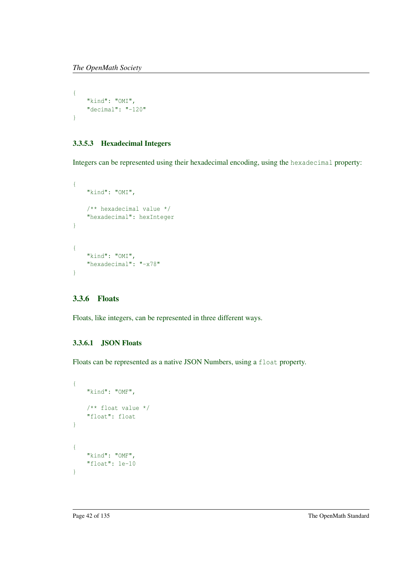```
{
    "kind": "OMI",
    "decimal": "-120"
}
```
### 3.3.5.3 Hexadecimal Integers

Integers can be represented using their hexadecimal encoding, using the hexadecimal property:

```
{
    "kind": "OMI",
    /** hexadecimal value */
    "hexadecimal": hexInteger
}
{
    "kind": "OMI",
    "hexadecimal": "-x78"
}
```
### 3.3.6 Floats

Floats, like integers, can be represented in three different ways.

### 3.3.6.1 JSON Floats

Floats can be represented as a native JSON Numbers, using a float property.

```
{
    "kind": "OMF",
    /** float value */
    "float": float
}
{
    "kind": "OMF",
    "float": 1e-10
}
```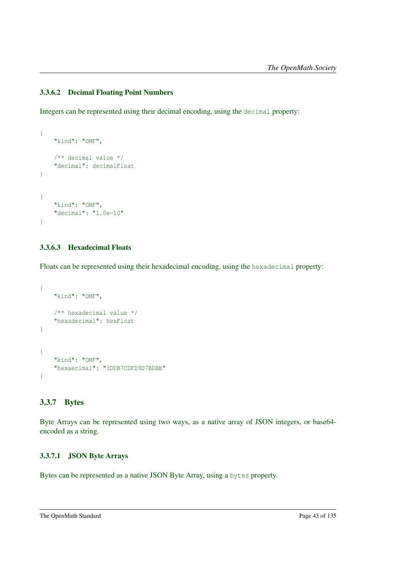### 3.3.6.2 Decimal Floating Point Numbers

Integers can be represented using their decimal encoding, using the decimal property:

```
{
    "kind": "OMF",
    /** decimal value */
    "decimal": decimalFloat
}
{
    "kind": "OMF",
    "decimal": "1.0e-10"
}
```
### 3.3.6.3 Hexadecimal Floats

Floats can be represented using their hexadecimal encoding, using the hexadecimal property:

```
{
    "kind": "OMF",
    /** hexadecimal value */
    "hexadecimal": hexFloat
}
{
    "kind": "OMF",
    "hexaecimal": "3DDB7CDFD9D7BDBB"
}
```
### 3.3.7 Bytes

Byte Arrays can be represented using two ways, as a native array of JSON integers, or base64 encoded as a string.

### 3.3.7.1 JSON Byte Arrays

Bytes can be represented as a native JSON Byte Array, using a bytes property.

The OpenMath Standard Page 43 of 135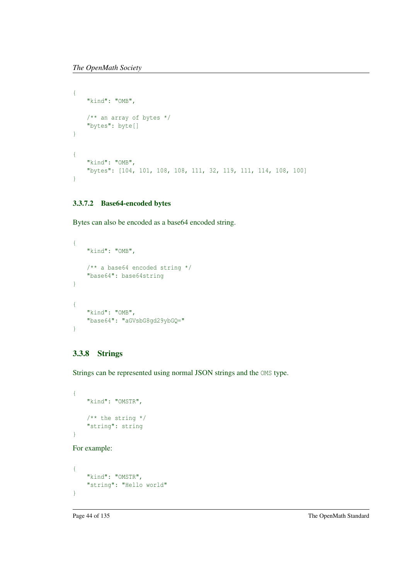```
{
    "kind": "OMB",
   /** an array of bytes */
   "bytes": byte[]
}
{
    "kind": "OMB",
    "bytes": [104, 101, 108, 108, 111, 32, 119, 111, 114, 108, 100]
}
```
### 3.3.7.2 Base64-encoded bytes

Bytes can also be encoded as a base64 encoded string.

```
{
   "kind": "OMB",
    /** a base64 encoded string */
    "base64": base64string
}
{
   "kind": "OMB",
    "base64": "aGVsbG8gd29ybGQ="
}
```
### 3.3.8 Strings

Strings can be represented using normal JSON strings and the OMS type.

```
{
   "kind": "OMSTR",
   /** the string */"string": string
}
```
For example:

```
{
   "kind": "OMSTR",
   "string": "Hello world"
}
```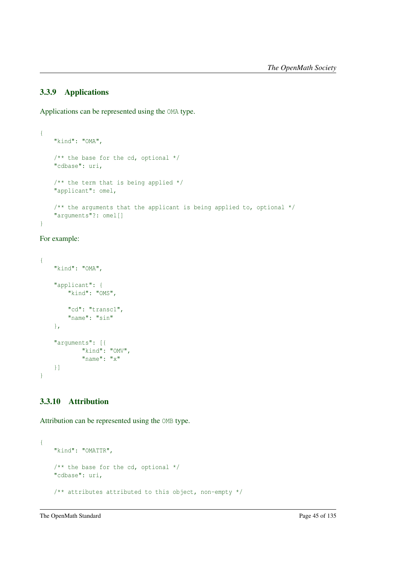### 3.3.9 Applications

Applications can be represented using the OMA type.

```
{
    "kind": "OMA",
    /** the base for the cd, optional */
    "cdbase": uri,
    /** the term that is being applied */
    "applicant": omel,
    /** the arguments that the applicant is being applied to, optional */
    "arguments"?: omel[]
}
```

```
For example:
```

```
{
    "kind": "OMA",
    "applicant": {
        "kind": "OMS",
        "cd": "transc1",
        "name": "sin"
    },
    "arguments": [{
            "kind": "OMV",
            "name": "x"
   }]
}
```
### 3.3.10 Attribution

Attribution can be represented using the OMB type.

```
{
   "kind": "OMATTR",
   /** the base for the cd, optional */"cdbase": uri,
   /** attributes attributed to this object, non-empty */
```
The OpenMath Standard Page 45 of 135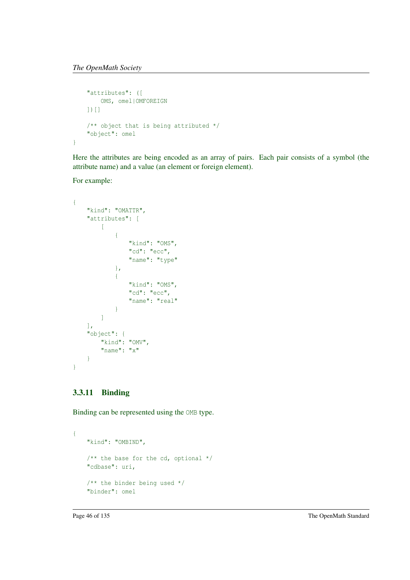```
"attributes": ([
      OMS, omel|OMFOREIGN
    ])[]
    /** object that is being attributed */
    "object": omel
}
```
Here the attributes are being encoded as an array of pairs. Each pair consists of a symbol (the attribute name) and a value (an element or foreign element).

For example:

```
{
    "kind": "OMATTR",
    "attributes": [
        \mathbb{R}{
                  "kind": "OMS",
                  "cd": "ecc",
                  "name": "type"
             },
             {
                  "kind": "OMS",
                  "cd": "ecc",
                  "name": "real"
             }
        \, ]
    \vert,
    "object": {
        "kind": "OMV",
        "name": "x"
    }
}
```
### 3.3.11 Binding

Binding can be represented using the OMB type.

```
{
   "kind": "OMBIND",
   /** the base for the cd, optional */
   "cdbase": uri,
   /** the binder being used */
   "binder": omel
```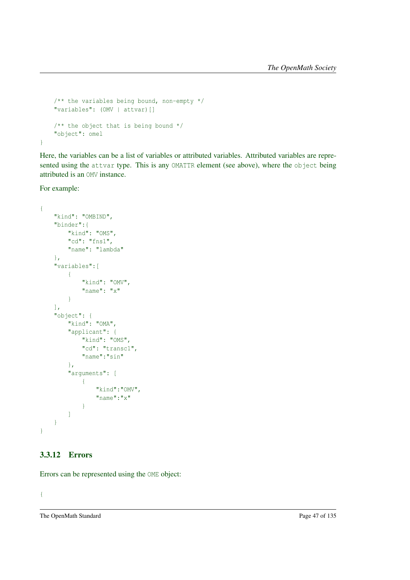```
/** the variables being bound, non-empty */
"variables": (OMV | attvar)[]
/** the object that is being bound */
"object": omel
```
Here, the variables can be a list of variables or attributed variables. Attributed variables are represented using the attvar type. This is any OMATTR element (see above), where the object being attributed is an OMV instance.

For example:

}

```
{
    "kind": "OMBIND",
    "binder":{
        "kind": "OMS",
        "cd": "fns1",
        "name": "lambda"
    },
    "variables":[
        \left\{ \right."kind": "OMV",
             "name": "x"
         }
    ],
    "object": {
         "kind": "OMA",
         "applicant": {
             "kind": "OMS",
             "cd": "transc1",
             "name":"sin"
         },
         "arguments": [
             \left\{ \right."kind":"OMV",
                  "name":"x"
             }
         ]
    }
}
```
### 3.3.12 Errors

Errors can be represented using the OME object:

{

The OpenMath Standard Page 47 of 135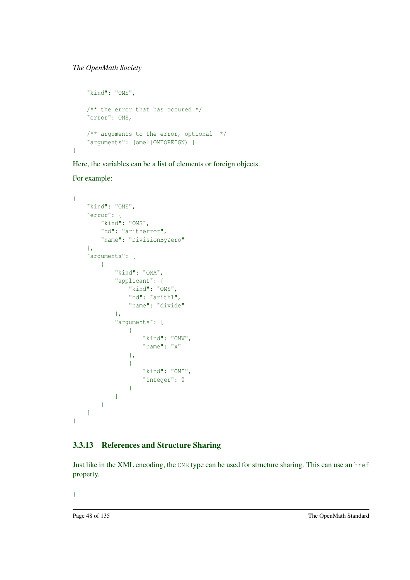```
"kind": "OME",
   /** the error that has occured */
   "error": OMS,
   /** arguments to the error, optional */
   "arguments": (omel|OMFOREIGN)[]
}
```
Here, the variables can be a list of elements or foreign objects.

For example:

```
{
    "kind": "OME",
    "error": {
        "kind": "OMS",
        "cd": "aritherror",
        "name": "DivisionByZero"
    },
    "arguments": [
        {
            "kind": "OMA",
            "applicant": {
                "kind": "OMS",
                "cd": "arith1",
                "name": "divide"
            },
            "arguments": [
                {
                    "kind": "OMV",
                     "name": "x"
                },
                {
                    "kind": "OMI",
                    "integer": 0
                }
            ]
        }
    ]
}
```
### 3.3.13 References and Structure Sharing

Just like in the XML encoding, the OMR type can be used for structure sharing. This can use an href property.

{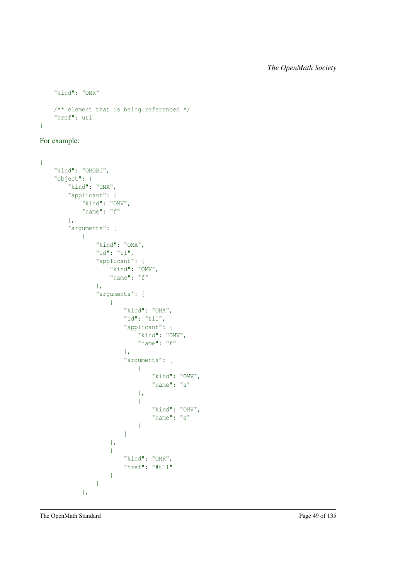```
"kind": "OMR"
    /** element that is being referenced */
   "href": uri
}
```
For example:

```
{
    "kind": "OMOBJ",
    "object": {
        "kind": "OMA",
         "applicant": {
             "kind": "OMV",
             "name": "f"
         },
         "arguments": [
            \left\{ \begin{array}{c} \end{array} \right."kind": "OMA",
                  "id": "t1",
                  "applicant": {
                      "kind": "OMV",
                      "name": "f"
                  },
                  "arguments": [
                       {
                           "kind": "OMA",
                           "id": "t11",
                           "applicant": {
                               "kind": "OMV",
                                "name": "f"
                           },
                           "arguments": [
                                {
                                    "kind": "OMV",
                                    "name": "a"
                                },
                                {
                                    "kind": "OMV",
                                    "name": "a"
                                }
                           ]
                      },
                       {
                           "kind": "OMR",
                           "href": "#t11"
                      }
                  ]
             },
```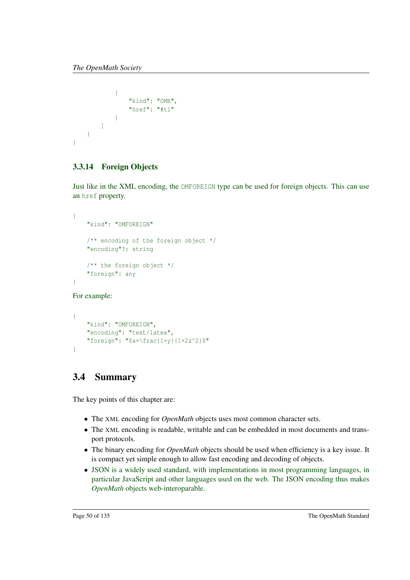```
{
                  "kind": "OMR",
                  "href": "#t1"
             }
        ]
    }
}
```
### 3.3.14 Foreign Objects

Just like in the XML encoding, the OMFOREIGN type can be used for foreign objects. This can use an href property.

```
{
    "kind": "OMFOREIGN"
   /** encoding of the foreign object */
   "encoding"?: string
   /** the foreign object */
   "foreign": any
}
```
For example:

```
{
    "kind": "OMFOREIGN",
    "encoding": "text/latex",
    "foreign": "$x=\frac{1+y}{1+2z^2}$"
}
```
### 3.4 Summary

The key points of this chapter are:

- The XML encoding for *OpenMath* objects uses most common character sets.
- The XML encoding is readable, writable and can be embedded in most documents and transport protocols.
- The binary encoding for *OpenMath* objects should be used when efficiency is a key issue. It is compact yet simple enough to allow fast encoding and decoding of objects.
- JSON is a widely used standard, with implementations in most programming languages, in particular JavaScript and other languages used on the web. The JSON encoding thus makes *OpenMath* objects web-interoparable.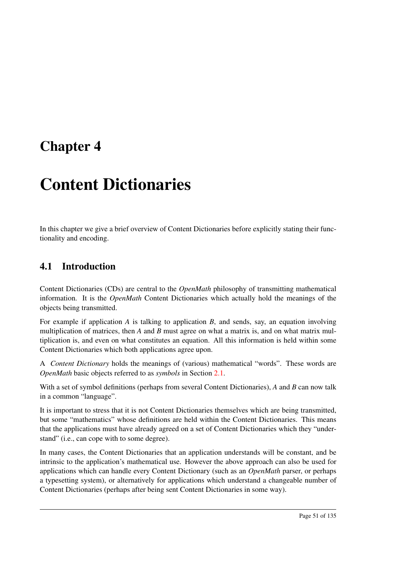## Chapter 4

# Content Dictionaries

In this chapter we give a brief overview of Content Dictionaries before explicitly stating their functionality and encoding.

### 4.1 Introduction

Content Dictionaries (CDs) are central to the *OpenMath* philosophy of transmitting mathematical information. It is the *OpenMath* Content Dictionaries which actually hold the meanings of the objects being transmitted.

For example if application *A* is talking to application *B*, and sends, say, an equation involving multiplication of matrices, then *A* and *B* must agree on what a matrix is, and on what matrix multiplication is, and even on what constitutes an equation. All this information is held within some Content Dictionaries which both applications agree upon.

A *Content Dictionary* holds the meanings of (various) mathematical "words". These words are *OpenMath* basic objects referred to as *symbols* in Section [2.1.](#page-14-0)

With a set of symbol definitions (perhaps from several Content Dictionaries), *A* and *B* can now talk in a common "language".

It is important to stress that it is not Content Dictionaries themselves which are being transmitted, but some "mathematics" whose definitions are held within the Content Dictionaries. This means that the applications must have already agreed on a set of Content Dictionaries which they "understand" (i.e., can cope with to some degree).

In many cases, the Content Dictionaries that an application understands will be constant, and be intrinsic to the application's mathematical use. However the above approach can also be used for applications which can handle every Content Dictionary (such as an *OpenMath* parser, or perhaps a typesetting system), or alternatively for applications which understand a changeable number of Content Dictionaries (perhaps after being sent Content Dictionaries in some way).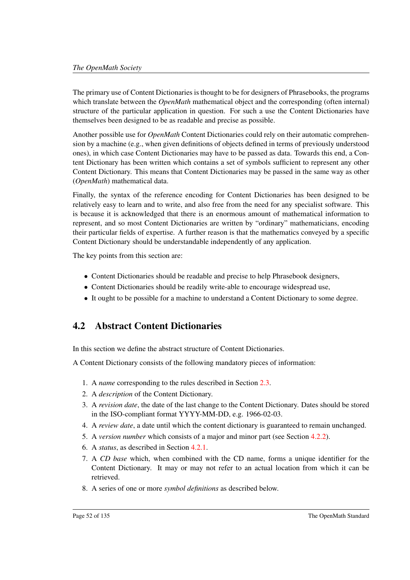The primary use of Content Dictionaries is thought to be for designers of Phrasebooks, the programs which translate between the *OpenMath* mathematical object and the corresponding (often internal) structure of the particular application in question. For such a use the Content Dictionaries have themselves been designed to be as readable and precise as possible.

Another possible use for *OpenMath* Content Dictionaries could rely on their automatic comprehension by a machine (e.g., when given definitions of objects defined in terms of previously understood ones), in which case Content Dictionaries may have to be passed as data. Towards this end, a Content Dictionary has been written which contains a set of symbols sufficient to represent any other Content Dictionary. This means that Content Dictionaries may be passed in the same way as other (*OpenMath*) mathematical data.

Finally, the syntax of the reference encoding for Content Dictionaries has been designed to be relatively easy to learn and to write, and also free from the need for any specialist software. This is because it is acknowledged that there is an enormous amount of mathematical information to represent, and so most Content Dictionaries are written by "ordinary" mathematicians, encoding their particular fields of expertise. A further reason is that the mathematics conveyed by a specific Content Dictionary should be understandable independently of any application.

The key points from this section are:

- Content Dictionaries should be readable and precise to help Phrasebook designers,
- Content Dictionaries should be readily write-able to encourage widespread use,
- It ought to be possible for a machine to understand a Content Dictionary to some degree.

### <span id="page-56-0"></span>4.2 Abstract Content Dictionaries

In this section we define the abstract structure of Content Dictionaries.

A Content Dictionary consists of the following mandatory pieces of information:

- 1. A *name* corresponding to the rules described in Section [2.3.](#page-20-0)
- 2. A *description* of the Content Dictionary.
- 3. A *revision date*, the date of the last change to the Content Dictionary. Dates should be stored in the ISO-compliant format YYYY-MM-DD, e.g. 1966-02-03.
- 4. A *review date*, a date until which the content dictionary is guaranteed to remain unchanged.
- 5. A *version number* which consists of a major and minor part (see Section [4.2.2\)](#page-58-0).
- 6. A *status*, as described in Section [4.2.1.](#page-57-0)
- 7. A *CD base* which, when combined with the CD name, forms a unique identifier for the Content Dictionary. It may or may not refer to an actual location from which it can be retrieved.
- 8. A series of one or more *symbol definitions* as described below.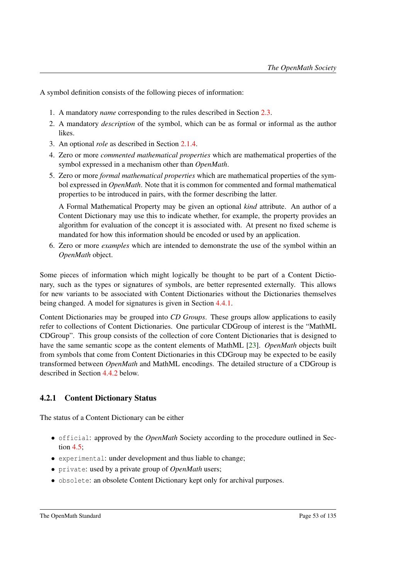A symbol definition consists of the following pieces of information:

- 1. A mandatory *name* corresponding to the rules described in Section [2.3.](#page-20-0)
- 2. A mandatory *description* of the symbol, which can be as formal or informal as the author likes.
- 3. An optional *role* as described in Section [2.1.4.](#page-16-0)
- 4. Zero or more *commented mathematical properties* which are mathematical properties of the symbol expressed in a mechanism other than *OpenMath*.
- 5. Zero or more *formal mathematical properties* which are mathematical properties of the symbol expressed in *OpenMath*. Note that it is common for commented and formal mathematical properties to be introduced in pairs, with the former describing the latter.

A Formal Mathematical Property may be given an optional *kind* attribute. An author of a Content Dictionary may use this to indicate whether, for example, the property provides an algorithm for evaluation of the concept it is associated with. At present no fixed scheme is mandated for how this information should be encoded or used by an application.

6. Zero or more *examples* which are intended to demonstrate the use of the symbol within an *OpenMath* object.

Some pieces of information which might logically be thought to be part of a Content Dictionary, such as the types or signatures of symbols, are better represented externally. This allows for new variants to be associated with Content Dictionaries without the Dictionaries themselves being changed. A model for signatures is given in Section [4.4.1.](#page-61-0)

Content Dictionaries may be grouped into *CD Groups*. These groups allow applications to easily refer to collections of Content Dictionaries. One particular CDGroup of interest is the "MathML CDGroup". This group consists of the collection of core Content Dictionaries that is designed to have the same semantic scope as the content elements of MathML [\[23\]](#page-138-0). *OpenMath* objects built from symbols that come from Content Dictionaries in this CDGroup may be expected to be easily transformed between *OpenMath* and MathML encodings. The detailed structure of a CDGroup is described in Section [4.4.2](#page-63-0) below.

### <span id="page-57-0"></span>4.2.1 Content Dictionary Status

The status of a Content Dictionary can be either

- official: approved by the *OpenMath* Society according to the procedure outlined in Section [4.5;](#page-66-0)
- experimental: under development and thus liable to change;
- private: used by a private group of *OpenMath* users;
- obsolete: an obsolete Content Dictionary kept only for archival purposes.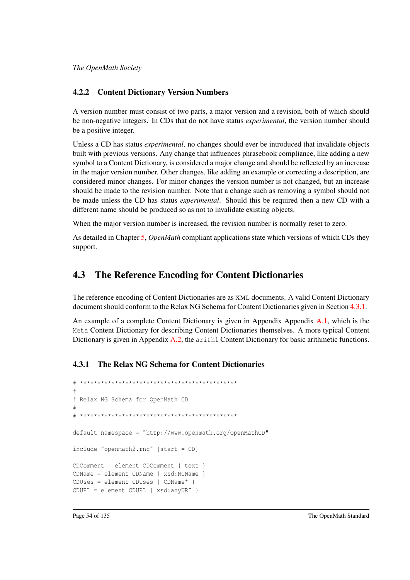### <span id="page-58-0"></span>4.2.2 Content Dictionary Version Numbers

A version number must consist of two parts, a major version and a revision, both of which should be non-negative integers. In CDs that do not have status *experimental*, the version number should be a positive integer.

Unless a CD has status *experimental*, no changes should ever be introduced that invalidate objects built with previous versions. Any change that influences phrasebook compliance, like adding a new symbol to a Content Dictionary, is considered a major change and should be reflected by an increase in the major version number. Other changes, like adding an example or correcting a description, are considered minor changes. For minor changes the version number is not changed, but an increase should be made to the revision number. Note that a change such as removing a symbol should not be made unless the CD has status *experimental*. Should this be required then a new CD with a different name should be produced so as not to invalidate existing objects.

When the major version number is increased, the revision number is normally reset to zero.

As detailed in Chapter [5,](#page-67-0) *OpenMath* compliant applications state which versions of which CDs they support.

### 4.3 The Reference Encoding for Content Dictionaries

The reference encoding of Content Dictionaries are as XML documents. A valid Content Dictionary document should conform to the Relax NG Schema for Content Dictionaries given in Section [4.3.1.](#page-58-1)

An example of a complete Content Dictionary is given in Appendix Appendix [A.1,](#page-73-0) which is the Meta Content Dictionary for describing Content Dictionaries themselves. A more typical Content Dictionary is given in Appendix [A.2,](#page-79-0) the arith1 Content Dictionary for basic arithmetic functions.

### <span id="page-58-1"></span>4.3.1 The Relax NG Schema for Content Dictionaries

```
# *********************************************
#
# Relax NG Schema for OpenMath CD
#
# *********************************************
default namespace = "http://www.openmath.org/OpenMathCD"
include "openmath2.rnc" {start = CD}
CDComment = element CDComment { text }
CDName = element CDName { xsd:NCName }
CDUses = element CDUses { CDName* }
CDURL = element CDURL { xsd:anyURI }
```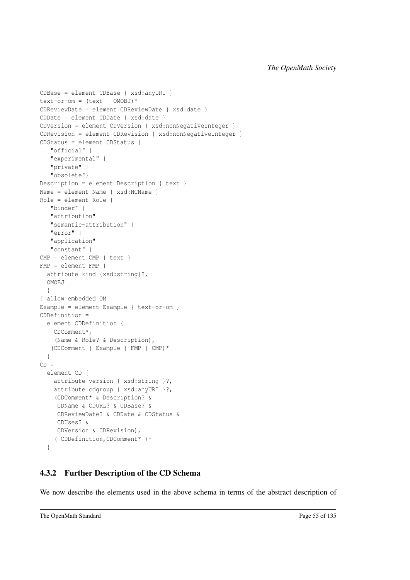```
CDBase = element CDBase { xsd:anyURI }
text - or - om = (text | OMOBJ)*CDReviewDate = element CDReviewDate { xsd:date }
CDDate = element CDDate { xsd:date }
CDVersion = element CDVersion { xsd:nonNegativeInteger }
CDRevision = element CDRevision { xsd:nonNegativeInteger }
CDStatus = element CDStatus {
   "official" |
   "experimental" |
   "private" |
   "obsolete"}
Description = element Description { text }
Name = element Name { xsd:NCName }
Role = element Role {
  "binder" |
   "attribution" |
   "semantic-attribution" |
   "error" |
   "application" |
   "constant" }
CMP = element CMP { text }
FMP = element FMP {
  attribute kind {xsd:string}?,
  OMOBJ
 }
# allow embedded OM
Example = element Example { text-or-om }
CDDefinition =
  element CDDefinition {
    CDComment*,
    (Name & Role? & Description),
   (CDComment | Example | FMP | CMP)*
  }
CD =element CD {
    attribute version { xsd:string }?,
    attribute cdgroup { xsd:anyURI }?,
    (CDComment* & Description? &
     CDName & CDURL? & CDBase? &
     CDReviewDate? & CDDate & CDStatus &
     CDUses? &
    CDVersion & CDRevision),
    ( CDDefinition,CDComment* )+
  }
```
### <span id="page-59-0"></span>4.3.2 Further Description of the CD Schema

We now describe the elements used in the above schema in terms of the abstract description of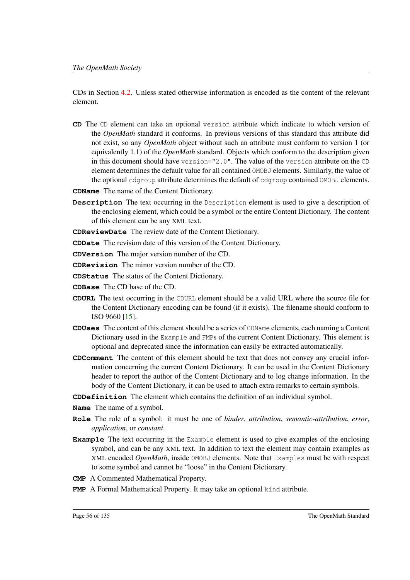CDs in Section [4.2.](#page-56-0) Unless stated otherwise information is encoded as the content of the relevant element.

**CD** The CD element can take an optional version attribute which indicate to which version of the *OpenMath* standard it conforms. In previous versions of this standard this attribute did not exist, so any *OpenMath* object without such an attribute must conform to version 1 (or equivalently 1.1) of the *OpenMath* standard. Objects which conform to the description given in this document should have version="2.0". The value of the version attribute on the CD element determines the default value for all contained OMOBJ elements. Similarly, the value of the optional cdgroup attribute determines the default of cdgroup contained OMOBJ elements.

**CDName** The name of the Content Dictionary.

- **Description** The text occurring in the Description element is used to give a description of the enclosing element, which could be a symbol or the entire Content Dictionary. The content of this element can be any XML text.
- **CDReviewDate** The review date of the Content Dictionary.
- **CDDate** The revision date of this version of the Content Dictionary.
- **CDVersion** The major version number of the CD.
- **CDRevision** The minor version number of the CD.
- **CDStatus** The status of the Content Dictionary.
- **CDBase** The CD base of the CD.
- **CDURL** The text occurring in the CDURL element should be a valid URL where the source file for the Content Dictionary encoding can be found (if it exists). The filename should conform to ISO 9660 [\[15\]](#page-138-1).
- **CDUses** The content of this element should be a series of CDName elements, each naming a Content Dictionary used in the Example and FMPs of the current Content Dictionary. This element is optional and deprecated since the information can easily be extracted automatically.
- **CDComment** The content of this element should be text that does not convey any crucial information concerning the current Content Dictionary. It can be used in the Content Dictionary header to report the author of the Content Dictionary and to log change information. In the body of the Content Dictionary, it can be used to attach extra remarks to certain symbols.
- **CDDefinition** The element which contains the definition of an individual symbol.
- **Name** The name of a symbol.
- **Role** The role of a symbol: it must be one of *binder*, *attribution*, *semantic-attribution*, *error*, *application*, or *constant*.
- **Example** The text occurring in the Example element is used to give examples of the enclosing symbol, and can be any XML text. In addition to text the element may contain examples as XML encoded *OpenMath*, inside OMOBJ elements. Note that Examples must be with respect to some symbol and cannot be "loose" in the Content Dictionary.
- **CMP** A Commented Mathematical Property.
- **FMP** A Formal Mathematical Property. It may take an optional kind attribute.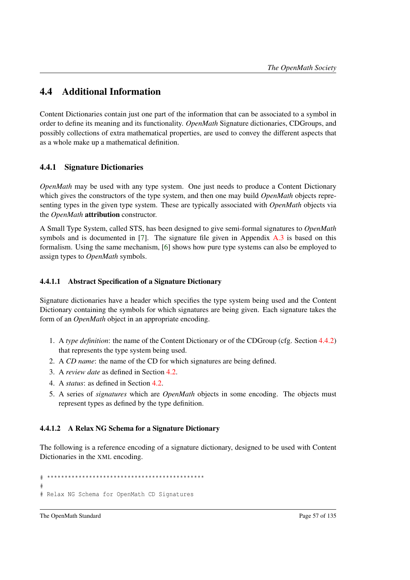### 4.4 Additional Information

Content Dictionaries contain just one part of the information that can be associated to a symbol in order to define its meaning and its functionality. *OpenMath* Signature dictionaries, CDGroups, and possibly collections of extra mathematical properties, are used to convey the different aspects that as a whole make up a mathematical definition.

### <span id="page-61-0"></span>4.4.1 Signature Dictionaries

*OpenMath* may be used with any type system. One just needs to produce a Content Dictionary which gives the constructors of the type system, and then one may build *OpenMath* objects representing types in the given type system. These are typically associated with *OpenMath* objects via the *OpenMath* attribution constructor.

A Small Type System, called STS, has been designed to give semi-formal signatures to *OpenMath* symbols and is documented in [\[7\]](#page-137-3). The signature file given in Appendix [A.3](#page-98-0) is based on this formalism. Using the same mechanism, [\[6\]](#page-137-4) shows how pure type systems can also be employed to assign types to *OpenMath* symbols.

### 4.4.1.1 Abstract Specification of a Signature Dictionary

Signature dictionaries have a header which specifies the type system being used and the Content Dictionary containing the symbols for which signatures are being given. Each signature takes the form of an *OpenMath* object in an appropriate encoding.

- 1. A *type definition*: the name of the Content Dictionary or of the CDGroup (cfg. Section [4.4.2\)](#page-63-0) that represents the type system being used.
- 2. A *CD name*: the name of the CD for which signatures are being defined.
- 3. A *review date* as defined in Section [4.2.](#page-56-0)
- 4. A *status*: as defined in Section [4.2.](#page-56-0)
- 5. A series of *signatures* which are *OpenMath* objects in some encoding. The objects must represent types as defined by the type definition.

### <span id="page-61-1"></span>4.4.1.2 A Relax NG Schema for a Signature Dictionary

The following is a reference encoding of a signature dictionary, designed to be used with Content Dictionaries in the XML encoding.

# \*\*\*\*\*\*\*\*\*\*\*\*\*\*\*\*\*\*\*\*\*\*\*\*\*\*\*\*\*\*\*\*\*\*\*\*\*\*\*\*\*\*\*\*\* # # Relax NG Schema for OpenMath CD Signatures

The OpenMath Standard Page 57 of 135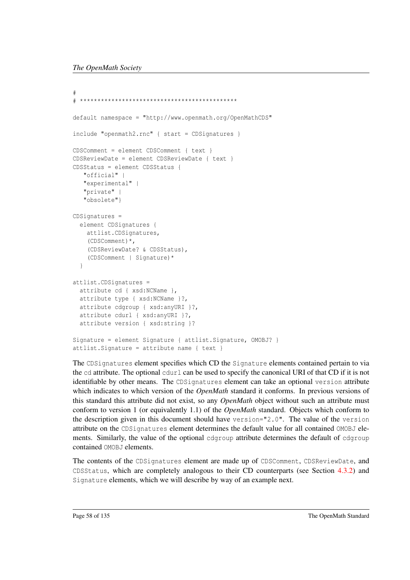```
#
# *********************************************
default namespace = "http://www.openmath.org/OpenMathCDS"
include "openmath2.rnc" { start = CDSignatures }
CDSComment = element CDSComment { text }
CDSReviewDate = element CDSReviewDate { text }
CDSStatus = element CDSStatus {
   "official" |
   "experimental" |
   "private" |
   "obsolete"}
CDSignatures =
 element CDSignatures {
   attlist.CDSignatures,
    (CDSComment)*,
    (CDSReviewDate? & CDSStatus),
    (CDSComment | Signature)*
 }
attlist.CDSignatures =
 attribute cd { xsd:NCName },
 attribute type { xsd:NCName }?,
 attribute cdgroup { xsd:anyURI }?,
 attribute cdurl { xsd:anyURI }?,
 attribute version { xsd:string }?
Signature = element Signature { attlist.Signature, OMOBJ? }
attlist.Signature = attribute name { text }
```
The CDSignatures element specifies which CD the Signature elements contained pertain to via the cd attribute. The optional cdurl can be used to specify the canonical URI of that CD if it is not identifiable by other means. The CDSignatures element can take an optional version attribute which indicates to which version of the *OpenMath* standard it conforms. In previous versions of this standard this attribute did not exist, so any *OpenMath* object without such an attribute must conform to version 1 (or equivalently 1.1) of the *OpenMath* standard. Objects which conform to the description given in this document should have version="2.0". The value of the version attribute on the CDSignatures element determines the default value for all contained OMOBJ elements. Similarly, the value of the optional cdgroup attribute determines the default of cdgroup contained OMOBJ elements.

The contents of the CDSignatures element are made up of CDSComment, CDSReviewDate, and CDSStatus, which are completely analogous to their CD counterparts (see Section [4.3.2\)](#page-59-0) and Signature elements, which we will describe by way of an example next.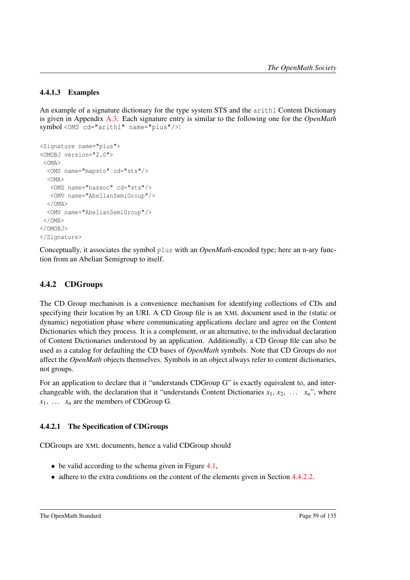### 4.4.1.3 Examples

An example of a signature dictionary for the type system STS and the arith1 Content Dictionary is given in Appendix [A.3.](#page-98-0) Each signature entry is similar to the following one for the *OpenMath* symbol <OMS cd="arith1" name="plus"/>:

```
<Signature name="plus">
<OMOBJ version="2.0">
 <OMA>
  <OMS name="mapsto" cd="sts"/>
 < OMA ><OMS name="nassoc" cd="sts"/>
  <OMV name="AbelianSemiGroup"/>
  \langle / \cap MA><OMV name="AbelianSemiGroup"/>
</OMA>
\langle/OMORJ</Signature>
```
Conceptually, it associates the symbol plus with an *OpenMath*-encoded type; here an n-ary function from an Abelian Semigroup to itself.

### <span id="page-63-0"></span>4.4.2 CDGroups

The CD Group mechanism is a convenience mechanism for identifying collections of CDs and specifying their location by an URI. A CD Group file is an XML document used in the (static or dynamic) negotiation phase where communicating applications declare and agree on the Content Dictionaries which they process. It is a complement, or an alternative, to the individual declaration of Content Dictionaries understood by an application. Additionally, a CD Group file can also be used as a catalog for defaulting the CD bases of *OpenMath* symbols. Note that CD Groups do *not* affect the *OpenMath* objects themselves. Symbols in an object always refer to content dictionaries, not groups.

For an application to declare that it "understands CDGroup G" is exactly equivalent to, and interchangeable with, the declaration that it "understands Content Dictionaries  $x_1, x_2, \ldots, x_n$ ", where  $x_1$ , ...  $x_n$  are the members of CDGroup G.

### 4.4.2.1 The Specification of CDGroups

CDGroups are XML documents, hence a valid CDGroup should

- $\bullet$  be valid according to the schema given in Figure [4.1,](#page-64-0)
- adhere to the extra conditions on the content of the elements given in Section [4.4.2.2.](#page-65-0)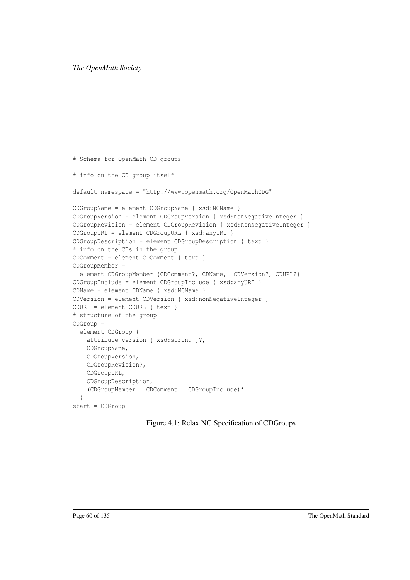```
# Schema for OpenMath CD groups
# info on the CD group itself
default namespace = "http://www.openmath.org/OpenMathCDG"
CDGroupName = element CDGroupName { xsd:NCName }
CDGroupVersion = element CDGroupVersion { xsd:nonNegativeInteger }
CDGroupRevision = element CDGroupRevision { xsd:nonNegativeInteger }
CDGroupURL = element CDGroupURL { xsd:anyURI }
CDGroupDescription = element CDGroupDescription { text }
# info on the CDs in the group
CDComment = element CDComment { text }
CDGroupMember =
  element CDGroupMember {CDComment?, CDName, CDVersion?, CDURL?}
CDGroupInclude = element CDGroupInclude { xsd:anyURI }
CDName = element CDName { xsd:NCName }
CDVersion = element CDVersion { xsd:nonNegativeInteger }
CDURL = element CDURL { text }
# structure of the group
CDGroup =
 element CDGroup {
    attribute version { xsd:string }?,
   CDGroupName,
   CDGroupVersion,
   CDGroupRevision?,
    CDGroupURL,
    CDGroupDescription,
    (CDGroupMember | CDComment | CDGroupInclude)*
  }
start = CDGroup
```
<span id="page-64-0"></span>Figure 4.1: Relax NG Specification of CDGroups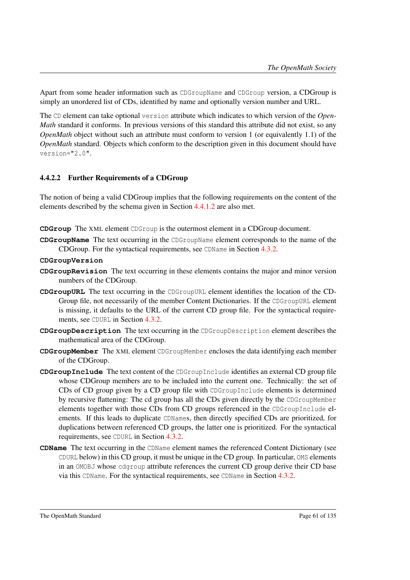Apart from some header information such as CDGroupName and CDGroup version, a CDGroup is simply an unordered list of CDs, identified by name and optionally version number and URL.

The CD element can take optional version attribute which indicates to which version of the *Open-Math* standard it conforms. In previous versions of this standard this attribute did not exist, so any *OpenMath* object without such an attribute must conform to version 1 (or equivalently 1.1) of the *OpenMath* standard. Objects which conform to the description given in this document should have version="2.0".

### <span id="page-65-0"></span>4.4.2.2 Further Requirements of a CDGroup

The notion of being a valid CDGroup implies that the following requirements on the content of the elements described by the schema given in Section [4.4.1.2](#page-61-1) are also met.

**CDGroup** The XML element CDGroup is the outermost element in a CDGroup document.

**CDGroupName** The text occurring in the CDGroupName element corresponds to the name of the CDGroup. For the syntactical requirements, see CDName in Section [4.3.2.](#page-59-0)

#### **CDGroupVersion**

- **CDGroupRevision** The text occurring in these elements contains the major and minor version numbers of the CDGroup.
- **CDGroupURL** The text occurring in the CDGroupURL element identifies the location of the CD-Group file, not necessarily of the member Content Dictionaries. If the CDGroupURL element is missing, it defaults to the URL of the current CD group file. For the syntactical requirements, see CDURL in Section [4.3.2.](#page-59-0)
- **CDGroupDescription** The text occurring in the CDGroupDescription element describes the mathematical area of the CDGroup.
- **CDGroupMember** The XML element CDGroupMember encloses the data identifying each member of the CDGroup.
- **CDGroupInclude** The text content of the CDGroupInclude identifies an external CD group file whose CDGroup members are to be included into the current one. Technically: the set of CDs of CD group given by a CD group file with CDGroupInclude elements is determined by recursive flattening: The cd group has all the CDs given directly by the CDGroupMember elements together with those CDs from CD groups referenced in the CDGroupInclude elements. If this leads to duplicate CDNames, then directly specified CDs are prioritized, for duplications between referenced CD groups, the latter one is prioritized. For the syntactical requirements, see CDURL in Section [4.3.2.](#page-59-0)
- **CDName** The text occurring in the CDName element names the referenced Content Dictionary (see CDURL below) in this CD group, it must be unique in the CD group. In particular, OMS elements in an OMOBJ whose cdgroup attribute references the current CD group derive their CD base via this CDName. For the syntactical requirements, see CDName in Section [4.3.2.](#page-59-0)

The OpenMath Standard Page 61 of 135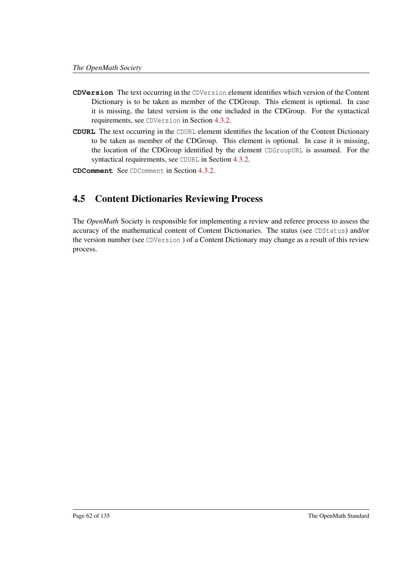- **CDVersion** The text occurring in the CDVersion element identifies which version of the Content Dictionary is to be taken as member of the CDGroup. This element is optional. In case it is missing, the latest version is the one included in the CDGroup. For the syntactical requirements, see CDVersion in Section [4.3.2.](#page-59-0)
- **CDURL** The text occurring in the CDURL element identifies the location of the Content Dictionary to be taken as member of the CDGroup. This element is optional. In case it is missing, the location of the CDGroup identified by the element CDGroupURL is assumed. For the syntactical requirements, see CDURL in Section [4.3.2.](#page-59-0)

**CDComment** See CDComment in Section [4.3.2.](#page-59-0)

### <span id="page-66-0"></span>4.5 Content Dictionaries Reviewing Process

The *OpenMath* Society is responsible for implementing a review and referee process to assess the accuracy of the mathematical content of Content Dictionaries. The status (see CDStatus) and/or the version number (see CDVersion ) of a Content Dictionary may change as a result of this review process.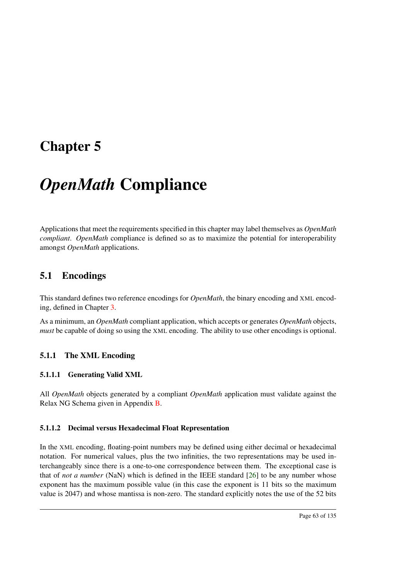## <span id="page-67-0"></span>Chapter 5

# *OpenMath* Compliance

Applications that meet the requirements specified in this chapter may label themselves as *OpenMath compliant*. *OpenMath* compliance is defined so as to maximize the potential for interoperability amongst *OpenMath* applications.

### 5.1 Encodings

This standard defines two reference encodings for *OpenMath*, the binary encoding and XML encoding, defined in Chapter [3.](#page-23-0)

As a minimum, an *OpenMath* compliant application, which accepts or generates *OpenMath* objects, *must* be capable of doing so using the XML encoding. The ability to use other encodings is optional.

### 5.1.1 The XML Encoding

### 5.1.1.1 Generating Valid XML

All *OpenMath* objects generated by a compliant *OpenMath* application must validate against the Relax NG Schema given in Appendix [B.](#page-110-0)

### 5.1.1.2 Decimal versus Hexadecimal Float Representation

In the XML encoding, floating-point numbers may be defined using either decimal or hexadecimal notation. For numerical values, plus the two infinities, the two representations may be used interchangeably since there is a one-to-one correspondence between them. The exceptional case is that of *not a number* (NaN) which is defined in the IEEE standard [\[26\]](#page-139-0) to be any number whose exponent has the maximum possible value (in this case the exponent is 11 bits so the maximum value is 2047) and whose mantissa is non-zero. The standard explicitly notes the use of the 52 bits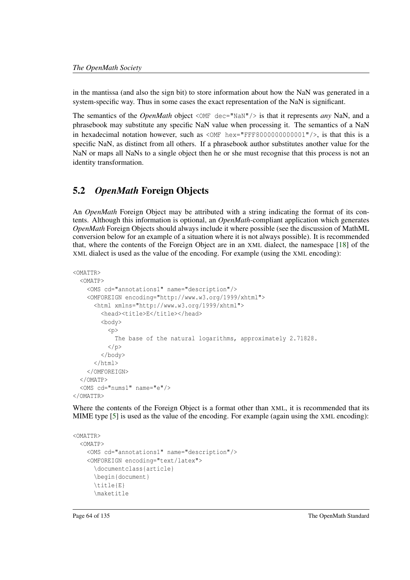in the mantissa (and also the sign bit) to store information about how the NaN was generated in a system-specific way. Thus in some cases the exact representation of the NaN is significant.

The semantics of the *OpenMath* object <OMF dec="NaN"/> is that it represents *any* NaN, and a phrasebook may substitute any specific NaN value when processing it. The semantics of a NaN in hexadecimal notation however, such as  $\langle \text{OMF} \rangle$  hex="FFF8000000000001"/>, is that this is a specific NaN, as distinct from all others. If a phrasebook author substitutes another value for the NaN or maps all NaNs to a single object then he or she must recognise that this process is not an identity transformation.

### 5.2 *OpenMath* Foreign Objects

An *OpenMath* Foreign Object may be attributed with a string indicating the format of its contents. Although this information is optional, an *OpenMath*-compliant application which generates *OpenMath* Foreign Objects should always include it where possible (see the discussion of MathML conversion below for an example of a situation where it is not always possible). It is recommended that, where the contents of the Foreign Object are in an XML dialect, the namespace [\[18\]](#page-138-2) of the XML dialect is used as the value of the encoding. For example (using the XML encoding):

```
<OMATTR>
 <OMATP>
    <OMS cd="annotations1" name="description"/>
    <OMFOREIGN encoding="http://www.w3.org/1999/xhtml">
      <html xmlns="http://www.w3.org/1999/xhtml">
        <head><title>E</title></head>
        <body>
          <p>
            The base of the natural logarithms, approximately 2.71828.
          \langle/p>
        </body>
      </html>
    </OMFOREIGN>
 </OMATP>
  <OMS cd="nums1" name="e"/>
</OMATTR>
```
Where the contents of the Foreign Object is a format other than XML, it is recommended that its MIME type [\[5\]](#page-137-5) is used as the value of the encoding. For example (again using the XML encoding):

```
<OMATTR>
  <OMATP>
    <OMS cd="annotations1" name="description"/>
    <OMFOREIGN encoding="text/latex">
      \documentclass{article}
      \begin{document}
      \title{E}
      \maketitle
```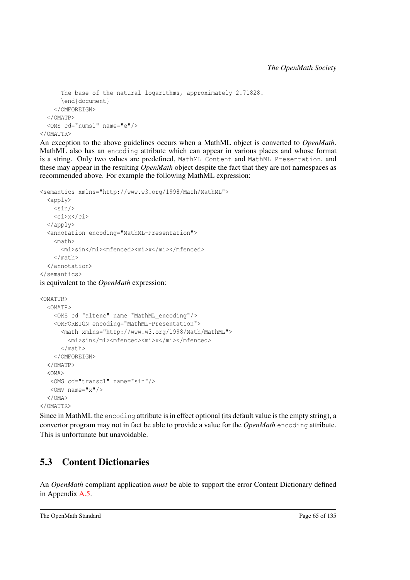```
The base of the natural logarithms, approximately 2.71828.
     \end{document}
   </OMFOREIGN>
 </OMATP>
 <OMS cd="nums1" name="e"/>
</OMATTR>
```
An exception to the above guidelines occurs when a MathML object is converted to *OpenMath*. MathML also has an encoding attribute which can appear in various places and whose format is a string. Only two values are predefined, MathML-Content and MathML-Presentation, and these may appear in the resulting *OpenMath* object despite the fact that they are not namespaces as recommended above. For example the following MathML expression:

```
<semantics xmlns="http://www.w3.org/1998/Math/MathML">
  \langle \text{apply} \rangle\sin/>
    <ci>x</ci>
  </apply>
  <annotation encoding="MathML-Presentation">
    <math>
      <mi>sin</mi><mfenced><mi>x</mi></mfenced>
    \langle/math>
  </annotation>
</semantics>
is equivalent to the OpenMath expression:
```

```
< OMATTR<OMATP>
    <OMS cd="altenc" name="MathML_encoding"/>
    <OMFOREIGN encoding="MathML-Presentation">
      <math xmlns="http://www.w3.org/1998/Math/MathML">
        <mi>sin</mi><mfenced><mi>x</mi></mfenced>
      \langle/math\rangle</OMFOREIGN>
  </OMATP>
  <OMA>
  <OMS cd="transc1" name="sin"/>
  <OMV name="x"/>
  \langle/\capM\Delta</OMATTR>
```
Since in MathML the encoding attribute is in effect optional (its default value is the empty string), a convertor program may not in fact be able to provide a value for the *OpenMath* encoding attribute. This is unfortunate but unavoidable.

### 5.3 Content Dictionaries

An *OpenMath* compliant application *must* be able to support the error Content Dictionary defined in Appendix [A.5.](#page-107-0)

```
The OpenMath Standard Page 65 of 135
```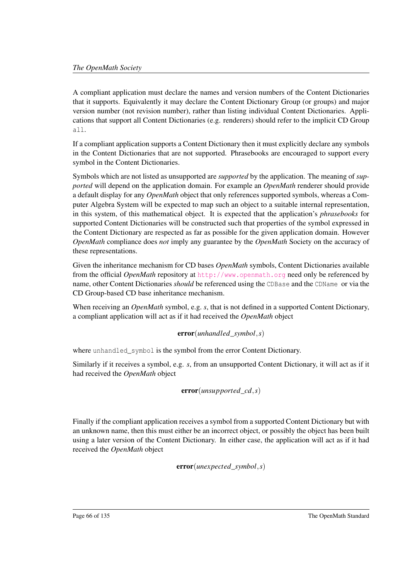A compliant application must declare the names and version numbers of the Content Dictionaries that it supports. Equivalently it may declare the Content Dictionary Group (or groups) and major version number (not revision number), rather than listing individual Content Dictionaries. Applications that support all Content Dictionaries (e.g. renderers) should refer to the implicit CD Group all.

If a compliant application supports a Content Dictionary then it must explicitly declare any symbols in the Content Dictionaries that are not supported. Phrasebooks are encouraged to support every symbol in the Content Dictionaries.

Symbols which are not listed as unsupported are *supported* by the application. The meaning of *supported* will depend on the application domain. For example an *OpenMath* renderer should provide a default display for any *OpenMath* object that only references supported symbols, whereas a Computer Algebra System will be expected to map such an object to a suitable internal representation, in this system, of this mathematical object. It is expected that the application's *phrasebooks* for supported Content Dictionaries will be constructed such that properties of the symbol expressed in the Content Dictionary are respected as far as possible for the given application domain. However *OpenMath* compliance does *not* imply any guarantee by the *OpenMath* Society on the accuracy of these representations.

Given the inheritance mechanism for CD bases *OpenMath* symbols, Content Dictionaries available from the official *OpenMath* repository at <http://www.openmath.org> need only be referenced by name, other Content Dictionaries *should* be referenced using the CDBase and the CDName or via the CD Group-based CD base inheritance mechanism.

When receiving an *OpenMath* symbol, e.g. *s*, that is not defined in a supported Content Dictionary, a compliant application will act as if it had received the *OpenMath* object

### error(*unhandled*\_*symbol*,*s*)

where unhandled\_symbol is the symbol from the error Content Dictionary.

Similarly if it receives a symbol, e.g. *s*, from an unsupported Content Dictionary, it will act as if it had received the *OpenMath* object

```
error(unsupported_cd,s)
```
Finally if the compliant application receives a symbol from a supported Content Dictionary but with an unknown name, then this must either be an incorrect object, or possibly the object has been built using a later version of the Content Dictionary. In either case, the application will act as if it had received the *OpenMath* object

error(*unexpected*\_*symbol*,*s*)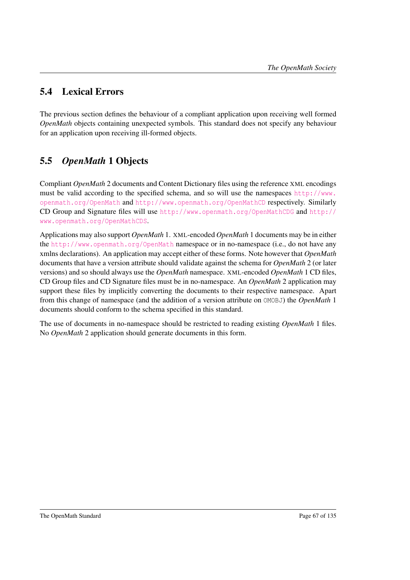### 5.4 Lexical Errors

The previous section defines the behaviour of a compliant application upon receiving well formed *OpenMath* objects containing unexpected symbols. This standard does not specify any behaviour for an application upon receiving ill-formed objects.

### 5.5 *OpenMath* 1 Objects

Compliant *OpenMath* 2 documents and Content Dictionary files using the reference XML encodings must be valid according to the specified schema, and so will use the namespaces [http://www.](http://www.openmath.org/OpenMath) [openmath.org/OpenMath](http://www.openmath.org/OpenMath) and <http://www.openmath.org/OpenMathCD> respectively. Similarly CD Group and Signature files will use <http://www.openmath.org/OpenMathCDG> and [http://](http://www.openmath.org/OpenMathCDS) [www.openmath.org/OpenMathCDS](http://www.openmath.org/OpenMathCDS).

Applications may also support *OpenMath* 1. XML-encoded *OpenMath* 1 documents may be in either the <http://www.openmath.org/OpenMath> namespace or in no-namespace (i.e., do not have any xmlns declarations). An application may accept either of these forms. Note however that *OpenMath* documents that have a version attribute should validate against the schema for *OpenMath* 2 (or later versions) and so should always use the *OpenMath* namespace. XML-encoded *OpenMath* 1 CD files, CD Group files and CD Signature files must be in no-namespace. An *OpenMath* 2 application may support these files by implicitly converting the documents to their respective namespace. Apart from this change of namespace (and the addition of a version attribute on OMOBJ) the *OpenMath* 1 documents should conform to the schema specified in this standard.

The use of documents in no-namespace should be restricted to reading existing *OpenMath* 1 files. No *OpenMath* 2 application should generate documents in this form.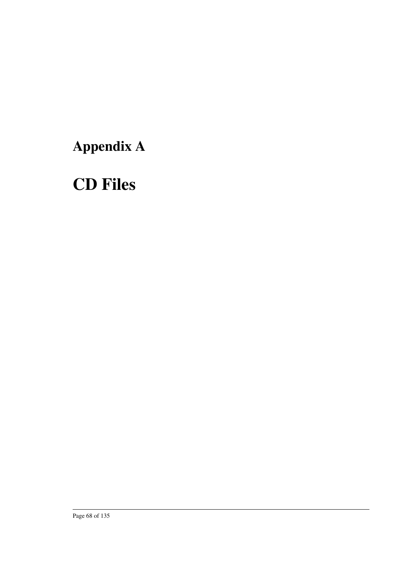# Appendix A

# CD Files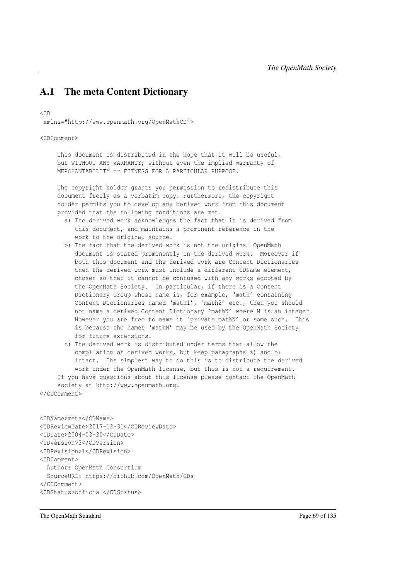### A.1 The meta Content Dictionary

<CD

xmlns="http://www.openmath.org/OpenMathCD">

<CDComment>

This document is distributed in the hope that it will be useful, but WITHOUT ANY WARRANTY; without even the implied warranty of MERCHANTABILITY or FITNESS FOR A PARTICULAR PURPOSE.

The copyright holder grants you permission to redistribute this document freely as a verbatim copy. Furthermore, the copyright holder permits you to develop any derived work from this document provided that the following conditions are met.

- a) The derived work acknowledges the fact that it is derived from this document, and maintains a prominent reference in the work to the original source.
- b) The fact that the derived work is not the original OpenMath document is stated prominently in the derived work. Moreover if both this document and the derived work are Content Dictionaries then the derived work must include a different CDName element, chosen so that it cannot be confused with any works adopted by the OpenMath Society. In particular, if there is a Content Dictionary Group whose name is, for example, 'math' containing Content Dictionaries named 'math1', 'math2' etc., then you should not name a derived Content Dictionary 'mathN' where N is an integer. However you are free to name it 'private\_mathN' or some such. This is because the names 'mathN' may be used by the OpenMath Society for future extensions.
- c) The derived work is distributed under terms that allow the compilation of derived works, but keep paragraphs a) and b) intact. The simplest way to do this is to distribute the derived work under the OpenMath license, but this is not a requirement. If you have questions about this license please contact the OpenMath

society at http://www.openmath.org. </CDComment>

```
<CDName>meta</CDName>
<CDReviewDate>2017-12-31</CDReviewDate>
<CDDate>2004-03-30</CDDate>
<CDVersion>3</CDVersion>
<CDRevision>1</CDRevision>
<CDComment>
 Author: OpenMath Consortium
 SourceURL: https://github.com/OpenMath/CDs
</CDComment>
<CDStatus>official</CDStatus>
```
The OpenMath Standard Page 69 of 135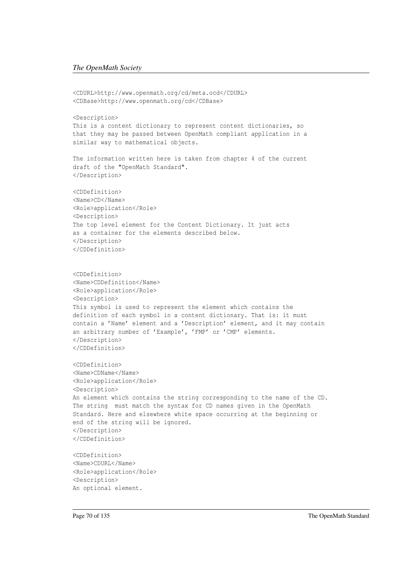```
<CDURL>http://www.openmath.org/cd/meta.ocd</CDURL>
<CDBase>http://www.openmath.org/cd</CDBase>
<Description>
This is a content dictionary to represent content dictionaries, so
that they may be passed between OpenMath compliant application in a
similar way to mathematical objects.
The information written here is taken from chapter 4 of the current
draft of the "OpenMath Standard".
</Description>
<CDDefinition>
<Name>CD</Name>
<Role>application</Role>
<Description>
The top level element for the Content Dictionary. It just acts
as a container for the elements described below.
</Description>
</CDDefinition>
<CDDefinition>
<Name>CDDefinition</Name>
<Role>application</Role>
<Description>
This symbol is used to represent the element which contains the
definition of each symbol in a content dictionary. That is: it must
contain a 'Name' element and a 'Description' element, and it may contain
an arbitrary number of 'Example', 'FMP' or 'CMP' elements.
</Description>
</CDDefinition>
<CDDefinition>
<Name>CDName</Name>
<Role>application</Role>
<Description>
An element which contains the string corresponding to the name of the CD.
The string must match the syntax for CD names given in the OpenMath
Standard. Here and elsewhere white space occurring at the beginning or
end of the string will be ignored.
</Description>
</CDDefinition>
<CDDefinition>
<Name>CDURL</Name>
<Role>application</Role>
<Description>
An optional element.
```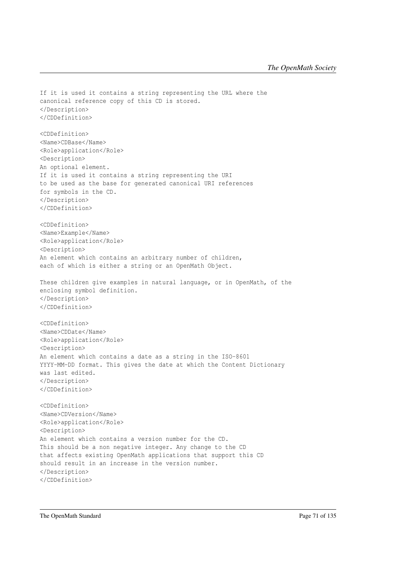If it is used it contains a string representing the URL where the canonical reference copy of this CD is stored. </Description> </CDDefinition> <CDDefinition> <Name>CDBase</Name> <Role>application</Role> <Description> An optional element. If it is used it contains a string representing the URI to be used as the base for generated canonical URI references for symbols in the CD. </Description> </CDDefinition> <CDDefinition> <Name>Example</Name> <Role>application</Role> <Description> An element which contains an arbitrary number of children, each of which is either a string or an OpenMath Object. These children give examples in natural language, or in OpenMath, of the enclosing symbol definition. </Description> </CDDefinition> <CDDefinition> <Name>CDDate</Name> <Role>application</Role> <Description> An element which contains a date as a string in the ISO-8601 YYYY-MM-DD format. This gives the date at which the Content Dictionary was last edited. </Description> </CDDefinition> <CDDefinition> <Name>CDVersion</Name> <Role>application</Role> <Description> An element which contains a version number for the CD. This should be a non negative integer. Any change to the CD that affects existing OpenMath applications that support this CD should result in an increase in the version number. </Description> </CDDefinition>

The OpenMath Standard Page 71 of 135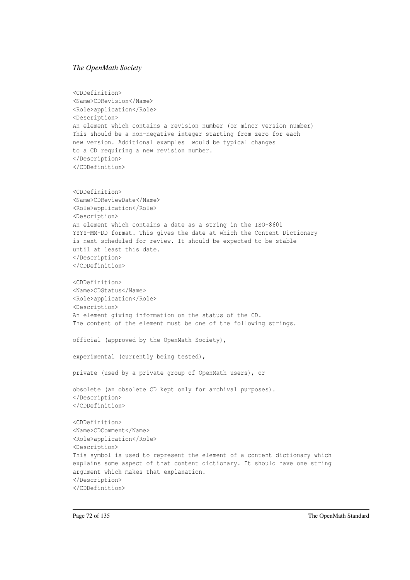#### *The OpenMath Society*

```
<CDDefinition>
<Name>CDRevision</Name>
<Role>application</Role>
<Description>
An element which contains a revision number (or minor version number)
This should be a non-negative integer starting from zero for each
new version. Additional examples would be typical changes
to a CD requiring a new revision number.
</Description>
</CDDefinition>
<CDDefinition>
<Name>CDReviewDate</Name>
<Role>application</Role>
<Description>
An element which contains a date as a string in the ISO-8601
YYYY-MM-DD format. This gives the date at which the Content Dictionary
is next scheduled for review. It should be expected to be stable
until at least this date.
</Description>
</CDDefinition>
<CDDefinition>
<Name>CDStatus</Name>
<Role>application</Role>
<Description>
An element giving information on the status of the CD.
The content of the element must be one of the following strings.
official (approved by the OpenMath Society),
experimental (currently being tested),
private (used by a private group of OpenMath users), or
obsolete (an obsolete CD kept only for archival purposes).
</Description>
</CDDefinition>
<CDDefinition>
<Name>CDComment</Name>
<Role>application</Role>
<Description>
This symbol is used to represent the element of a content dictionary which
explains some aspect of that content dictionary. It should have one string
argument which makes that explanation.
</Description>
</CDDefinition>
```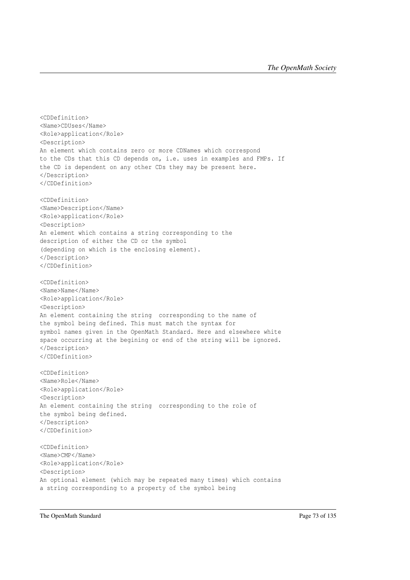```
<CDDefinition>
<Name>CDUses</Name>
<Role>application</Role>
<Description>
An element which contains zero or more CDNames which correspond
to the CDs that this CD depends on, i.e. uses in examples and FMPs. If
the CD is dependent on any other CDs they may be present here.
</Description>
</CDDefinition>
<CDDefinition>
<Name>Description</Name>
<Role>application</Role>
<Description>
An element which contains a string corresponding to the
description of either the CD or the symbol
(depending on which is the enclosing element).
</Description>
</CDDefinition>
<CDDefinition>
<Name>Name</Name>
<Role>application</Role>
<Description>
An element containing the string corresponding to the name of
the symbol being defined. This must match the syntax for
symbol names given in the OpenMath Standard. Here and elsewhere white
space occurring at the begining or end of the string will be ignored.
</Description>
</CDDefinition>
<CDDefinition>
<Name>Role</Name>
<Role>application</Role>
<Description>
An element containing the string corresponding to the role of
the symbol being defined.
</Description>
</CDDefinition>
<CDDefinition>
<Name>CMP</Name>
<Role>application</Role>
<Description>
An optional element (which may be repeated many times) which contains
a string corresponding to a property of the symbol being
```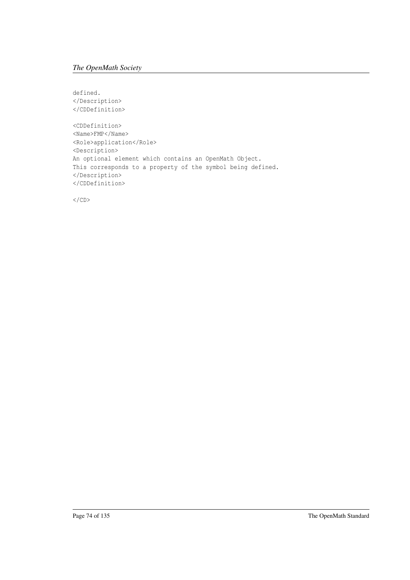defined. </Description> </CDDefinition> <CDDefinition> <Name>FMP</Name> <Role>application</Role> <Description> An optional element which contains an OpenMath Object. This corresponds to a property of the symbol being defined. </Description> </CDDefinition>

 $\langle$ /CD>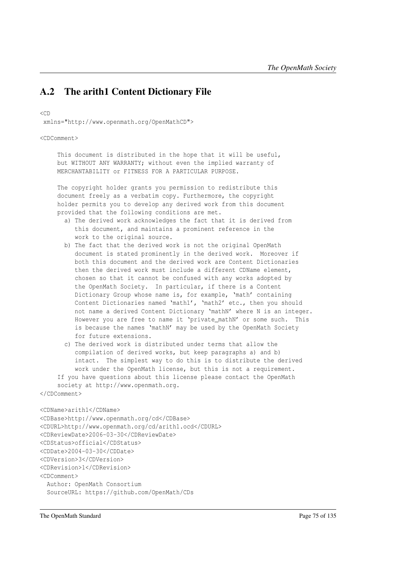## A.2 The arith1 Content Dictionary File

<CD

xmlns="http://www.openmath.org/OpenMathCD">

<CDComment>

This document is distributed in the hope that it will be useful, but WITHOUT ANY WARRANTY; without even the implied warranty of MERCHANTABILITY or FITNESS FOR A PARTICULAR PURPOSE.

The copyright holder grants you permission to redistribute this document freely as a verbatim copy. Furthermore, the copyright holder permits you to develop any derived work from this document provided that the following conditions are met.

- a) The derived work acknowledges the fact that it is derived from this document, and maintains a prominent reference in the work to the original source.
- b) The fact that the derived work is not the original OpenMath document is stated prominently in the derived work. Moreover if both this document and the derived work are Content Dictionaries then the derived work must include a different CDName element, chosen so that it cannot be confused with any works adopted by the OpenMath Society. In particular, if there is a Content Dictionary Group whose name is, for example, 'math' containing Content Dictionaries named 'math1', 'math2' etc., then you should not name a derived Content Dictionary 'mathN' where N is an integer. However you are free to name it 'private\_mathN' or some such. This is because the names 'mathN' may be used by the OpenMath Society for future extensions.
- c) The derived work is distributed under terms that allow the compilation of derived works, but keep paragraphs a) and b) intact. The simplest way to do this is to distribute the derived work under the OpenMath license, but this is not a requirement. If you have questions about this license please contact the OpenMath

society at http://www.openmath.org.

```
</CDComment>
```

```
<CDName>arith1</CDName>
<CDBase>http://www.openmath.org/cd</CDBase>
<CDURL>http://www.openmath.org/cd/arith1.ocd</CDURL>
<CDReviewDate>2006-03-30</CDReviewDate>
<CDStatus>official</CDStatus>
<CDDate>2004-03-30</CDDate>
<CDVersion>3</CDVersion>
<CDRevision>1</CDRevision>
<CDComment>
 Author: OpenMath Consortium
 SourceURL: https://github.com/OpenMath/CDs
```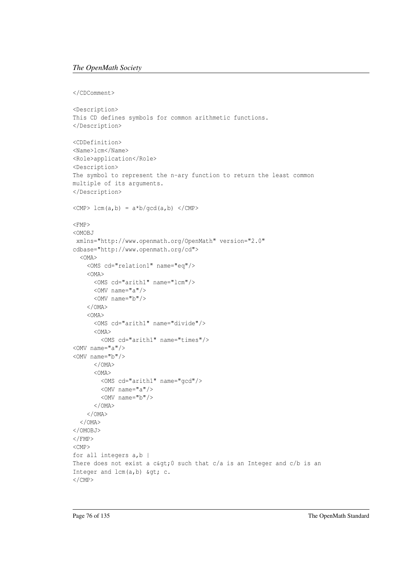#### *The OpenMath Society*

```
</CDComment>
```

```
<Description>
This CD defines symbols for common arithmetic functions.
</Description>
<CDDefinition>
<Name>lcm</Name>
<Role>application</Role>
<Description>
The symbol to represent the n-ary function to return the least common
multiple of its arguments.
</Description>
\langle CMP \rangle lcm(a,b) = a*b/gcd(a,b) \langle CMP \rangle<FMP>
<OMOBJ
xmlns="http://www.openmath.org/OpenMath" version="2.0"
cdbase="http://www.openmath.org/cd">
  <OMA>
    <OMS cd="relation1" name="eq"/>
    <OMA>
      <OMS cd="arith1" name="lcm"/>
     <OMV name="a"/>
      <OMV name="b"/>
    </OMA>
    <OMA>
      <OMS cd="arith1" name="divide"/>
      <OMA>
       <OMS cd="arith1" name="times"/>
<OMV name="a"/>
<OMV name="b"/>
      </OMA>
      <OMA>
       <OMS cd="arith1" name="gcd"/>
       <OMV name="a"/>
       <OMV name="b"/>
      </OMA>
    </OMA>
  </OMA>
</OMOBJ>
\langle/FMP><CMP>
for all integers a,b |
There does not exist a c\>g, 0 such that c/a is an Integer and c/b is an
Integer and lcm(a,b) >c.\langle / CMP>
```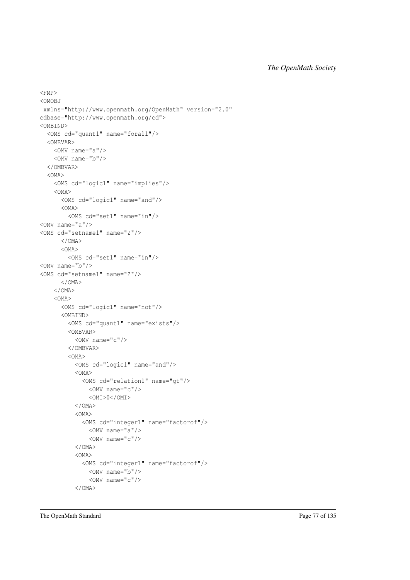```
<FMP>
<OMOBJ
xmlns="http://www.openmath.org/OpenMath" version="2.0"
cdbase="http://www.openmath.org/cd">
<OMBIND>
 <OMS cd="quant1" name="forall"/>
 <OMBVAR>
   <OMV name="a"/>
   <OMV name="b"/>
  </OMBVAR>
  <OMA>
   <OMS cd="logic1" name="implies"/>
   <OMA>
     <OMS cd="logic1" name="and"/>
     <OMA>
       <OMS cd="set1" name="in"/>
<OMV name="a"/>
<OMS cd="setname1" name="Z"/>
     </OMA>
      <OMA>
       <OMS cd="set1" name="in"/>
<OMV name="b"/>
<OMS cd="setname1" name="Z"/>
     </OMA>
    </OMA>
    <OMA>
      <OMS cd="logic1" name="not"/>
      <OMBIND>
        <OMS cd="quant1" name="exists"/>
        <OMBVAR>
         <OMV name="c"/>
        </OMBVAR>
        <OMA>
          <OMS cd="logic1" name="and"/>
          <OMA>
            <OMS cd="relation1" name="gt"/>
             <OMV name="c"/>
              <OMI>0</OMI>
          </OMA>
          <OMA>
            <OMS cd="integer1" name="factorof"/>
             <OMV name="a"/>
              <OMV name="c"/>
          </OMA>
          < OMA<OMS cd="integer1" name="factorof"/>
              <OMV name="b"/>
              <OMV name="c"/>
          </OMA>
```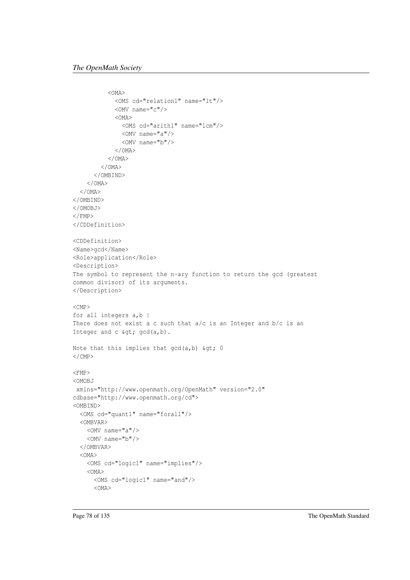```
<OMA>
            <OMS cd="relation1" name="lt"/>
            <OMV name="c"/>
            <OMA>
              <OMS cd="arith1" name="lcm"/>
              <OMV name="a"/>
              <OMV name="b"/>
            </OMA>
          </OMA>
        </OMA>
      </OMBIND>
    </OMA>
  </OMA>
</OMBIND>
</OMOBJ>
\langle/FMP></CDDefinition>
<CDDefinition>
<Name>gcd</Name>
<Role>application</Role>
<Description>
The symbol to represent the n-ary function to return the gcd (greatest
common divisor) of its arguments.
</Description>
\langleCMP\ranglefor all integers a, b |
There does not exist a c such that a/c is an Integer and b/c is an
Integer and c > gcd(a,b).
Note that this implies that gcd(a, b) & qt; 0
\langle/CMP><FMP>
<OMOBJ
xmlns="http://www.openmath.org/OpenMath" version="2.0"
cdbase="http://www.openmath.org/cd">
<OMBIND>
  <OMS cd="quant1" name="forall"/>
  <OMBVAR>
    <OMV name="a"/>
    <OMV name="b"/>
  </OMBVAR>
  < OMA ><OMS cd="logic1" name="implies"/>
    <OMA>
      <OMS cd="logic1" name="and"/>
      <OMA>
```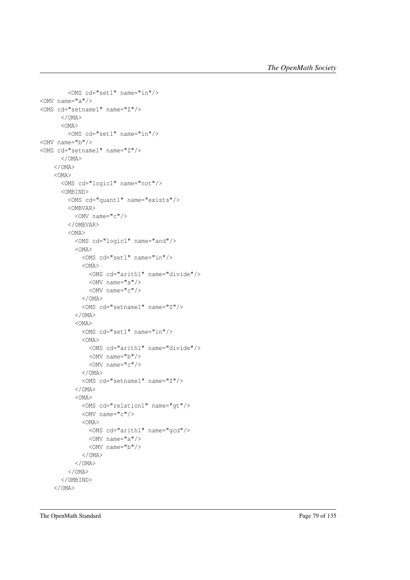```
<OMS cd="set1" name="in"/>
<OMV name="a"/>
<OMS cd="setname1" name="Z"/>
     </OMA>
      <OMA>
        <OMS cd="set1" name="in"/>
<OMV name="b"/>
<OMS cd="setname1" name="Z"/>
      </OMA>
    </OMA>
    <OMA>
      <OMS cd="logic1" name="not"/>
      <OMBIND>
        <OMS cd="quant1" name="exists"/>
        <OMBVAR>
         <OMV name="c"/>
        </OMBVAR>
        <OMA>
          <OMS cd="logic1" name="and"/>
          <OMA>
           <OMS cd="set1" name="in"/>
           <OMA>
             <OMS cd="arith1" name="divide"/>
             <OMV name="a"/>
              <OMV name="c"/>
            </OMA>
            <OMS cd="setname1" name="Z"/>
          </OMA>
          <OMA>
            <OMS cd="set1" name="in"/>
            <OMA>
              <OMS cd="arith1" name="divide"/>
             <OMV name="b"/>
              <OMV name="c"/>
            </OMA>
            <OMS cd="setname1" name="Z"/>
          </OMA>
          <OMA>
            <OMS cd="relation1" name="gt"/>
            <OMV name="c"/>
           <OMA>
             <OMS cd="arith1" name="gcd"/>
             <OMV name="a"/>
             <OMV name="b"/>
           </OMA>
          </OMA>
        </OMA>
      </OMBIND>
    </OMA>
```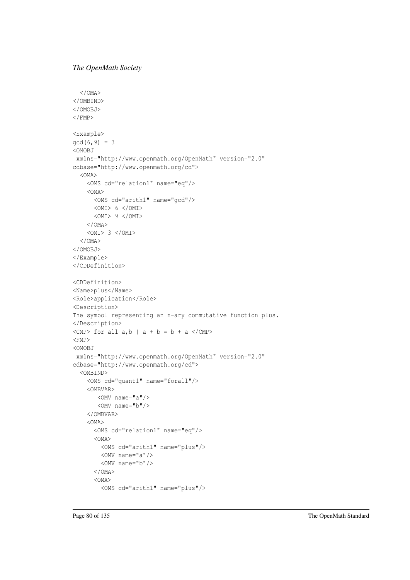```
</OMA>
</OMBIND>
</OMOBJ>
\langle FMP><Example>
gcd(6, 9) = 3<OMOBJ
xmlns="http://www.openmath.org/OpenMath" version="2.0"
cdbase="http://www.openmath.org/cd">
  <OMA>
    <OMS cd="relation1" name="eq"/>
    <OMA>
      <OMS cd="arith1" name="gcd"/>
     < OMI> 6 </OMI>
      <OMI> 9 </OMI>
    </OMA>
    <OMI> 3 </OMI>
  </OMA>
</OMOBJ>
</Example>
</CDDefinition>
<CDDefinition>
<Name>plus</Name>
<Role>application</Role>
<Description>
The symbol representing an n-ary commutative function plus.
</Description>
\langle CMP> for all a, b | a + b = b + a \langle / CMP>
<FMP>
<OMOBJ
xmlns="http://www.openmath.org/OpenMath" version="2.0"
cdbase="http://www.openmath.org/cd">
  <OMBIND>
    <OMS cd="quant1" name="forall"/>
    <OMBVAR>
       <OMV name="a"/>
       <OMV name="b"/>
    </OMBVAR>
    <OMA>
      <OMS cd="relation1" name="eq"/>
      <OMA>
        <OMS cd="arith1" name="plus"/>
       <OMV name="a"/>
        <OMV name="b"/>
      </OMA>
      < OMA<OMS cd="arith1" name="plus"/>
```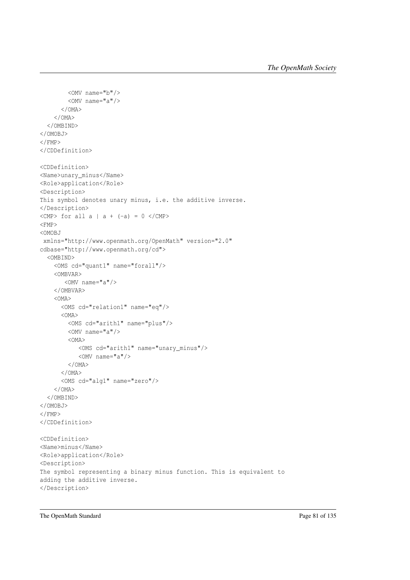```
<OMV name="b"/>
        <OMV name="a"/>
      </OMA>
    </OMA>
  </OMBIND>
</OMOBJ>
\langle/FMP\rangle</CDDefinition>
<CDDefinition>
<Name>unary_minus</Name>
<Role>application</Role>
<Description>
This symbol denotes unary minus, i.e. the additive inverse.
</Description>
\langleCMP> for all a | a + (-a) = 0 \langle/CMP>
<FMP>
<OMOBJ
xmlns="http://www.openmath.org/OpenMath" version="2.0"
cdbase="http://www.openmath.org/cd">
  <OMBIND>
    <OMS cd="quant1" name="forall"/>
    <OMBVAR>
       <OMV name="a"/>
    </OMBVAR>
    < OMA ><OMS cd="relation1" name="eq"/>
      < OMA ><OMS cd="arith1" name="plus"/>
        <OMV name="a"/>
        <OMA>
           <OMS cd="arith1" name="unary_minus"/>
           <OMV name="a"/>
        </OMA>
      </OMA>
      <OMS cd="alg1" name="zero"/>
    </OMA>
  </OMBIND>
</OMOBJ>
\langle/FMP></CDDefinition>
<CDDefinition>
<Name>minus</Name>
<Role>application</Role>
<Description>
The symbol representing a binary minus function. This is equivalent to
adding the additive inverse.
</Description>
```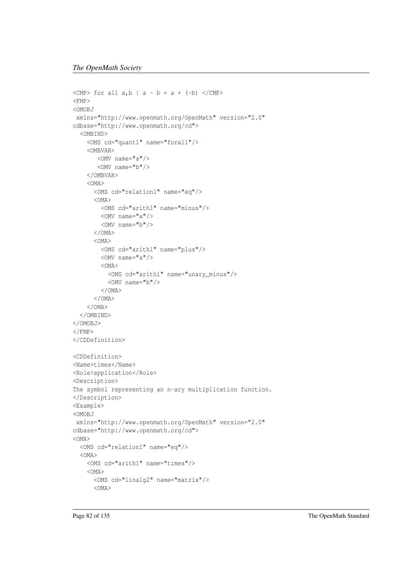```
\langle CMP> for all a, b | a - b = a + (-b) \langle/CMP>
<FMP><OMOBJ
xmlns="http://www.openmath.org/OpenMath" version="2.0"
cdbase="http://www.openmath.org/cd">
  <OMBIND>
    <OMS cd="quant1" name="forall"/>
    <OMBVAR>
       <OMV name="a"/>
       <OMV name="b"/>
    </OMBVAR>
    <OMA>
      <OMS cd="relation1" name="eq"/>
      <OMA>
        <OMS cd="arith1" name="minus"/>
        <OMV name="a"/>
        <OMV name="b"/>
      </OMA>
      <OMA>
        <OMS cd="arith1" name="plus"/>
        <OMV name="a"/>
        <OMA>
          <OMS cd="arith1" name="unary_minus"/>
          <OMV name="b"/>
        </OMA>
      </OMA>
    \langle/OMA</OMBIND>
</OMOBJ>
\langle/FMP></CDDefinition>
<CDDefinition>
<Name>times</Name>
<Role>application</Role>
<Description>
The symbol representing an n-ary multiplication function.
</Description>
<Example>
<OMOBJ
xmlns="http://www.openmath.org/OpenMath" version="2.0"
cdbase="http://www.openmath.org/cd">
<OMA>
  <OMS cd="relation1" name="eq"/>
  < OMA ><OMS cd="arith1" name="times"/>
    <OMA>
      <OMS cd="linalg2" name="matrix"/>
      <OMA>
```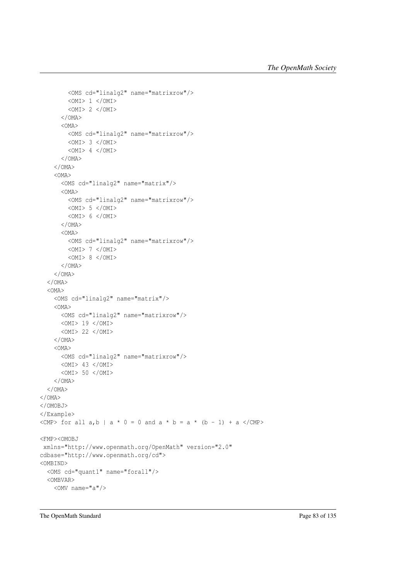```
<OMS cd="linalg2" name="matrixrow"/>
        < OMI> 1 </OMI>
        <OMI> 2 </OMI>
      </OMA>
      <OMA>
        <OMS cd="linalg2" name="matrixrow"/>
        <OMI> 3 </OMI>
        < OMI> 4 </OMI>
      </OMA>
    </OMA>
    <OMA>
      <OMS cd="linalg2" name="matrix"/>
      <OMA>
        <OMS cd="linalg2" name="matrixrow"/>
       <OMI> 5 </OMI>
        <OMI> 6 </OMI>
      </OMA>
      <OMA>
       <OMS cd="linalg2" name="matrixrow"/>
       < OMI> 7 </OMI>
        < OMI > 8 </OMI >
      </OMA>
    </OMA>
  </OMA>
  <OMA>
    <OMS cd="linalg2" name="matrix"/>
    <OMA>
     <OMS cd="linalg2" name="matrixrow"/>
     <OMI> 19 </OMI>
     <OMI> 22 </OMI>
    </OMA>
    <OMA>
     <OMS cd="linalg2" name="matrixrow"/>
     <OMI> 43 </OMI>
     <OMI> 50 </OMI>
    </OMA>
  </OMA>
</OMA>
</OMOBJ>
</Example>
<CMP> for all a, b \mid a * 0 = 0 and a * b = a * (b - 1) + a </CMP>
<FMP><OMOBJ
xmlns="http://www.openmath.org/OpenMath" version="2.0"
cdbase="http://www.openmath.org/cd">
<OMBIND>
  <OMS cd="quant1" name="forall"/>
  <OMBVAR>
    <OMV name="a"/>
```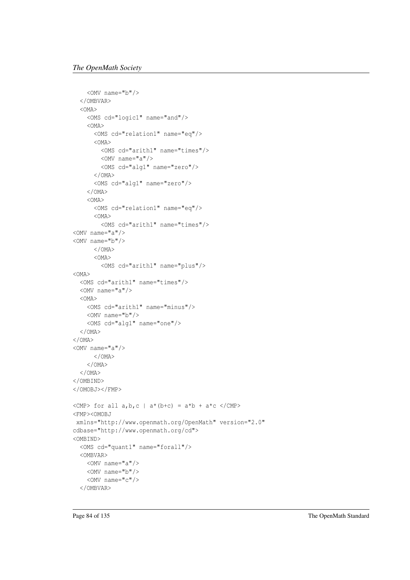```
<OMV name="b"/>
  </OMBVAR>
  <OMA>
    <OMS cd="logic1" name="and"/>
    <OMA>
      <OMS cd="relation1" name="eq"/>
      \angleOMA><OMS cd="arith1" name="times"/>
        <OMV name="a"/>
       <OMS cd="alg1" name="zero"/>
      </OMA>
      <OMS cd="alg1" name="zero"/>
    </OMA>
    <OMA>
      <OMS cd="relation1" name="eq"/>
      <OMA>
        <OMS cd="arith1" name="times"/>
<OMV name="a"/>
<OMV name="b"/>
      </OMA>
      <OMA>
       <OMS cd="arith1" name="plus"/>
<OMA>
  <OMS cd="arith1" name="times"/>
  <OMV name="a"/>
  < OMA ><OMS cd="arith1" name="minus"/>
    <OMV name="b"/>
    <OMS cd="alg1" name="one"/>
  </OMA>
</OMA>
<OMV name="a"/>
     </OMA>
    </OMA>
  </OMA>
</OMBIND>
</OMOBJ></FMP>
\langle CMP> for all a, b, c | a*(b+c) = a*b + a*c \langle/CMP>
<FMP><OMOBJ
xmlns="http://www.openmath.org/OpenMath" version="2.0"
cdbase="http://www.openmath.org/cd">
<OMBIND>
  <OMS cd="quant1" name="forall"/>
  <OMBVAR>
    <OMV name="a"/>
    <OMV name="b"/>
    <OMV name="c"/>
  </OMBVAR>
```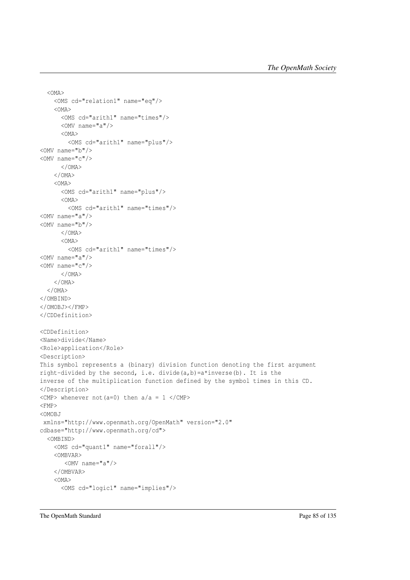```
<OMA>
    <OMS cd="relation1" name="eq"/>
    <OMA>
     <OMS cd="arith1" name="times"/>
     <OMV name="a"/>
     < OMA><OMS cd="arith1" name="plus"/>
<OMV name="b"/>
<OMV name="c"/>
      </OMA>
    </OMA>
    <OMA>
      <OMS cd="arith1" name="plus"/>
      <OMA>
        <OMS cd="arith1" name="times"/>
<OMV name="a"/>
<OMV name="b"/>
      </OMA>
      <OMA>
       <OMS cd="arith1" name="times"/>
<OMV name="a"/>
<OMV name="c"/>
     </OMA>
    </OMA>
  </OMA>
</OMBIND>
</OMOBJ></FMP>
</CDDefinition>
<CDDefinition>
<Name>divide</Name>
<Role>application</Role>
<Description>
This symbol represents a (binary) division function denoting the first argument
right-divided by the second, i.e. divide(a,b)=a*inverse(b). It is the
inverse of the multiplication function defined by the symbol times in this CD.
</Description>
<CMP> whenever not (a=0) then a/a = 1 </CMP>
<FMP>
<OMOBJ
xmlns="http://www.openmath.org/OpenMath" version="2.0"
cdbase="http://www.openmath.org/cd">
  <OMBIND>
    <OMS cd="quant1" name="forall"/>
    <OMBVAR>
       <OMV name="a"/>
    </OMBVAR>
    < OMA<OMS cd="logic1" name="implies"/>
```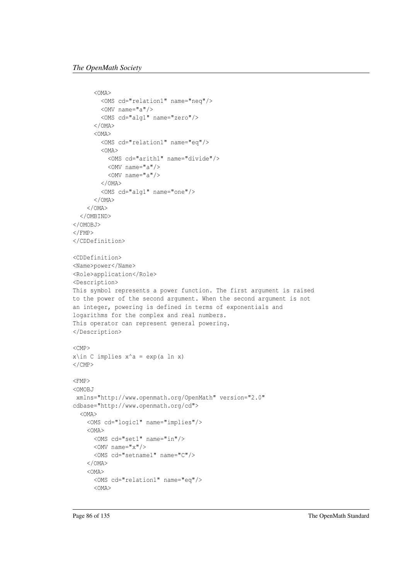```
<OMA>
        <OMS cd="relation1" name="neq"/>
        <OMV name="a"/>
        <OMS cd="alg1" name="zero"/>
      </OMA>
      <OMA>
        <OMS cd="relation1" name="eq"/>
        < OMA ><OMS cd="arith1" name="divide"/>
          <OMV name="a"/>
          <OMV name="a"/>
        </OMA>
        <OMS cd="alg1" name="one"/>
      </OMA>
    </OMA>
  </OMBIND>
</OMOBJ>
\langle/FMP></CDDefinition>
<CDDefinition>
<Name>power</Name>
<Role>application</Role>
<Description>
This symbol represents a power function. The first argument is raised
to the power of the second argument. When the second argument is not
an integer, powering is defined in terms of exponentials and
logarithms for the complex and real numbers.
This operator can represent general powering.
</Description>
<CMP>
x\in C implies x^a = exp(a ln x)\langle/CMP><FMP><OMOBJ
xmlns="http://www.openmath.org/OpenMath" version="2.0"
cdbase="http://www.openmath.org/cd">
  <OMA>
    <OMS cd="logic1" name="implies"/>
    <OMA>
     <OMS cd="set1" name="in"/>
     \langleOMV name="x"/>
      <OMS cd="setname1" name="C"/>
    </OMA>
    <OMA>
      <OMS cd="relation1" name="eq"/>
      < OMA >
```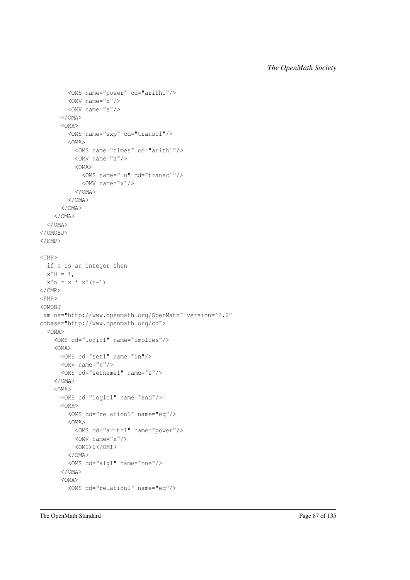```
<OMS name="power" cd="arith1"/>
        <OMV name="x"/>
        <OMV name="a"/>
      </OMA>
      <OMA>
        <OMS name="exp" cd="transc1"/>
        < OMA ><OMS name="times" cd="arith1"/>
          <OMV name="a"/>
          < OMA<OMS name="ln" cd="transc1"/>
            \langleOMV name="x"/>
          </OMA>
        </OMA>
      </OMA>
    </OMA>
  </OMA>
</OMOBJ>
</FMP<CMP>
 if n is an integer then
 x^0 = 1,
 x^n = x * x^k (n-1)
\langle/CMP\rangle<FMP>
<OMOBJ
xmlns="http://www.openmath.org/OpenMath" version="2.0"
cdbase="http://www.openmath.org/cd">
  <OMA>
    <OMS cd="logic1" name="implies"/>
    <OMA>
     <OMS cd="set1" name="in"/>
     <OMV name="n"/>
      <OMS cd="setname1" name="Z"/>
    </OMA>
    <OMA>
      <OMS cd="logic1" name="and"/>
      <OMA>
        <OMS cd="relation1" name="eq"/>
        <OMA>
         <OMS cd="arith1" name="power"/>
         <OMV name="x"/>
          <OMI>0</OMI>
        </OMA>
        <OMS cd="alg1" name="one"/>
      </OMA>
      < OMA<OMS cd="relation1" name="eq"/>
```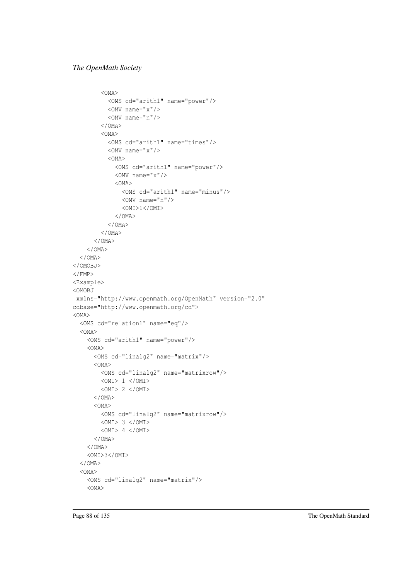```
<OMA>
          <OMS cd="arith1" name="power"/>
          <OMV name="x"/>
          \langleOMV name="n"/>
        </OMA>
        <OMA><OMS cd="arith1" name="times"/>
          \langleOMV name="x"/>
          <OMA>
            <OMS cd="arith1" name="power"/>
            <OMV name="x"/>
            <OMA>
              <OMS cd="arith1" name="minus"/>
              \langleOMV name="n"/>
              <OMI>1</OMI>
            </OMA>
          </OMA>
        </OMA>
      </OMA>
    </OMA>
  </OMA>
</OMOBJ>
\langle / FMP><Example>
<OMOBJ
xmlns="http://www.openmath.org/OpenMath" version="2.0"
cdbase="http://www.openmath.org/cd">
<OMA>
  <OMS cd="relation1" name="eq"/>
  <OMA>
    <OMS cd="arith1" name="power"/>
    <OMA>
      <OMS cd="linalg2" name="matrix"/>
      <OMA>
       <OMS cd="linalg2" name="matrixrow"/>
       <OMI> 1 </OMI>
        <OMI> 2 </OMI>
      </OMA>
      <OMA>
        <OMS cd="linalg2" name="matrixrow"/>
       <OMI> 3 </OMI>
        <OMI> 4 </OMI>
      </OMA>
    </OMA>
    <OMI>3</OMI>
  </OMA>
  <OMA>
    <OMS cd="linalg2" name="matrix"/>
    <OMA>
```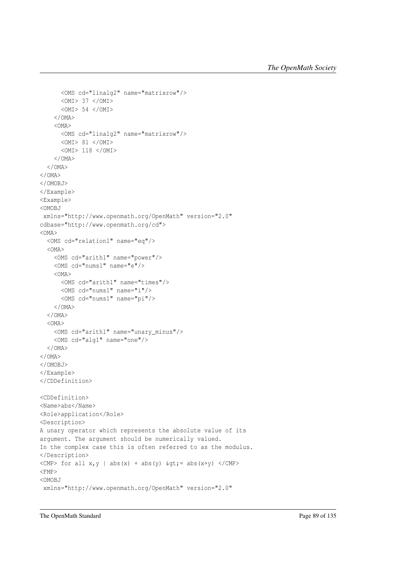```
<OMS cd="linalg2" name="matrixrow"/>
      <OMI> 37 </OMI>
      <OMI> 54 </OMI>
    </OMA>
    <OMA>
      <OMS cd="linalg2" name="matrixrow"/>
     <OMI> 81 </OMI>
     <OMI> 118 </OMI>
    </OMA>
  </OMA>
</OMA>
</OMOBJ>
</Example>
<Example>
<OMOBJ
xmlns="http://www.openmath.org/OpenMath" version="2.0"
cdbase="http://www.openmath.org/cd">
<OMA>
 <OMS cd="relation1" name="eq"/>
 <OMA>
   <OMS cd="arith1" name="power"/>
   <OMS cd="nums1" name="e"/>
    <OMA>
     <OMS cd="arith1" name="times"/>
     <OMS cd="nums1" name="i"/>
     <OMS cd="nums1" name="pi"/>
   </OMA></OMA>
  < OMA ><OMS cd="arith1" name="unary_minus"/>
   <OMS cd="alg1" name="one"/>
 </OMA>
</OMA>
</OMOBJ>
</Example>
</CDDefinition>
<CDDefinition>
<Name>abs</Name>
<Role>application</Role>
<Description>
A unary operator which represents the absolute value of its
argument. The argument should be numerically valued.
In the complex case this is often referred to as the modulus.
</Description>
<CMP> for all x, y | abs(x) + abs(y) \sqrt{GMP} = abs(x+y) </CMP>
<FMP><OMOBJ
xmlns="http://www.openmath.org/OpenMath" version="2.0"
```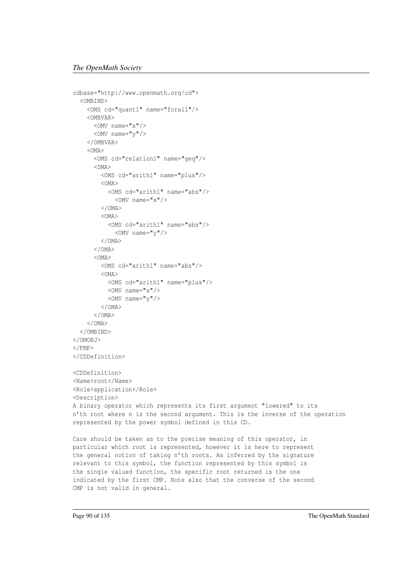```
cdbase="http://www.openmath.org/cd">
  <OMBIND>
    <OMS cd="quant1" name="forall"/>
    <OMBVAR>
      <OMV name="x"/>
      <OMV name="y"/>
    </OMBVAR>
    \angleOMA><OMS cd="relation1" name="geq"/>
      <OMA>
        <OMS cd="arith1" name="plus"/>
        <OMA>
          <OMS cd="arith1" name="abs"/>
            \langleOMV name="x"/>
        </OMA>
        < OMA ><OMS cd="arith1" name="abs"/>
            \langleOMV name="v"/>
        </OMA>
      </OMA>
      <OMA>
        <OMS cd="arith1" name="abs"/>
        <OMA>
          <OMS cd="arith1" name="plus"/>
          <OMV name="x"/>
          \langleOMV name="\vee"/>
        </OMA>
      \langle/OMA</OMA>
  </OMBIND>
</OMOBJ>
</FMP</CDDefinition>
<CDDefinition>
<Name>root</Name>
<Role>application</Role>
<Description>
A binary operator which represents its first argument "lowered" to its
n'th root where n is the second argument. This is the inverse of the operation
represented by the power symbol defined in this CD.
Care should be taken as to the precise meaning of this operator, in
```
particular which root is represented, however it is here to represent the general notion of taking n'th roots. As inferred by the signature relevant to this symbol, the function represented by this symbol is the single valued function, the specific root returned is the one indicated by the first CMP. Note also that the converse of the second CMP is not valid in general.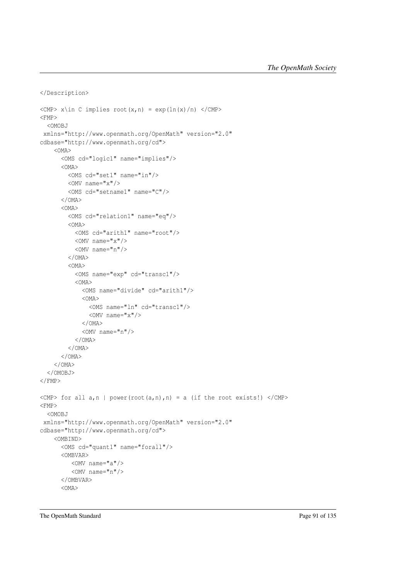```
</Description>
\langle CMP> x \rangle C implies root(x,n) = exp(ln(x)/n) </CMP>
<FMP><OMOBJ
xmlns="http://www.openmath.org/OpenMath" version="2.0"
cdbase="http://www.openmath.org/cd">
    < OMA ><OMS cd="logic1" name="implies"/>
      < OMA ><OMS cd="set1" name="in"/>
        <OMV name="x"/>
        <OMS cd="setname1" name="C"/>
      </OMA>
      <OMA>
        <OMS cd="relation1" name="eq"/>
        <OMA>
          <OMS cd="arith1" name="root"/>
          \langleOMV name="x"/>
          <OMV name="n"/>
        </OMA>
        <OMA>
          <OMS name="exp" cd="transc1"/>
          <OMA>
            <OMS name="divide" cd="arith1"/>
             <OMA>
               <OMS name="ln" cd="transc1"/>
               \langleOMV name="x"/>
             \langle/OMA<OMV name="n"/>
          </OMA>
        </OMA>
      </OMA>
    </OMA>
  </OMOBJ>
\langle/FMP>\langle \text{CMP> for all } a, n \rangle | power(root(a,n),n) = a (if the root exists!) \langle \text{/CMP>}}<FMP><OMOBJ
xmlns="http://www.openmath.org/OpenMath" version="2.0"
cdbase="http://www.openmath.org/cd">
    <OMBIND>
      <OMS cd="quant1" name="forall"/>
      <OMBVAR>
         <OMV name="a"/>
         <OMV name="n"/>
      </OMBVAR>
      <OMA>
```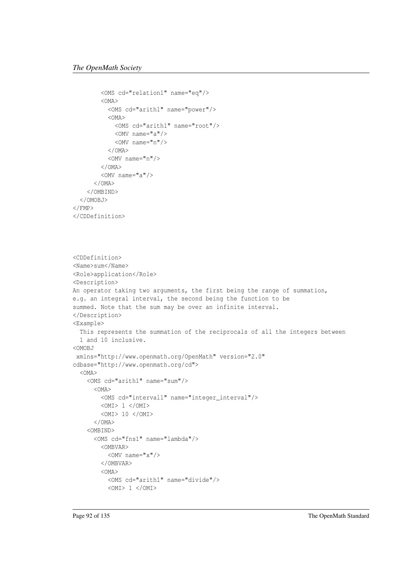```
<OMS cd="relation1" name="eq"/>
        <OMA>
          <OMS cd="arith1" name="power"/>
          <OMA>
            <OMS cd="arith1" name="root"/>
            <OMV name="a"/>
            \langleOMV name="n"/>
          </OMA>
          <OMV name="n"/>
        </OMA>
        <OMV name="a"/>
      </OMA>
    </OMBIND>
  </OMOBJ>
\langle/FMP\rangle</CDDefinition>
<CDDefinition>
<Name>sum</Name>
<Role>application</Role>
<Description>
An operator taking two arguments, the first being the range of summation,
e.g. an integral interval, the second being the function to be
summed. Note that the sum may be over an infinite interval.
</Description>
<Example>
  This represents the summation of the reciprocals of all the integers between
```
1 and 10 inclusive. <OMOBJ

 $<$ OMI> 1  $<$ /OMI>

```
xmlns="http://www.openmath.org/OpenMath" version="2.0"
cdbase="http://www.openmath.org/cd">
 <OMA>
```

```
<OMS cd="arith1" name="sum"/>
  <OMA>
   <OMS cd="interval1" name="integer_interval"/>
    < OMI> 1 </OMI>
   <OMI> 10 </OMI>
  </OMA>
<OMBIND>
  <OMS cd="fns1" name="lambda"/>
    <OMBVAR>
      \langleOMV name="x"/>
   </OMBVAR>
    <OMA>
```
<OMS cd="arith1" name="divide"/>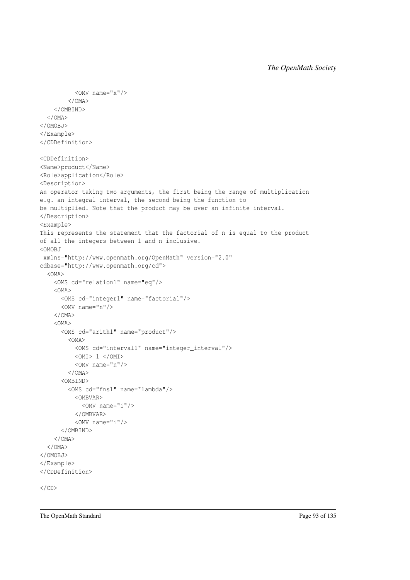```
\langleOMV name="x"/>
        </OMA>
    </OMBIND>
  </OMA>
</OMOBJ>
</Example>
</CDDefinition>
<CDDefinition>
<Name>product</Name>
<Role>application</Role>
<Description>
An operator taking two arguments, the first being the range of multiplication
e.g. an integral interval, the second being the function to
be multiplied. Note that the product may be over an infinite interval.
</Description>
<Example>
This represents the statement that the factorial of n is equal to the product
of all the integers between 1 and n inclusive.
<OMOBJ
xmlns="http://www.openmath.org/OpenMath" version="2.0"
cdbase="http://www.openmath.org/cd">
  <OMA>
    <OMS cd="relation1" name="eq"/>
    <OMA>
      <OMS cd="integer1" name="factorial"/>
      <OMV name="n"/>
    </OMA>< OMA ><OMS cd="arith1" name="product"/>
        <OMA>
          <OMS cd="interval1" name="integer_interval"/>
          <OMI> 1 </OMI>
          <OMV name="n"/>
        </OMA>
      <OMBIND>
        <OMS cd="fns1" name="lambda"/>
          <OMBVAR>
            <OMV name="i"/>
          </OMBVAR>
          <OMV name="i"/>
      </OMBIND>
    </OMA>
  </OMA>
</OMOBJ>
</Example>
</CDDefinition>
\langle/CD>
```
The OpenMath Standard Page 93 of 135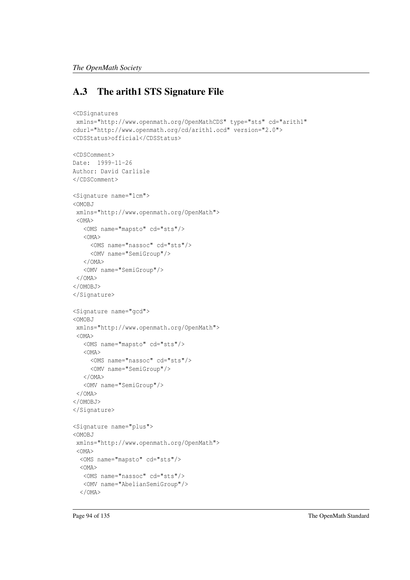# A.3 The arith1 STS Signature File

```
<CDSignatures
xmlns="http://www.openmath.org/OpenMathCDS" type="sts" cd="arith1"
cdurl="http://www.openmath.org/cd/arith1.ocd" version="2.0">
<CDSStatus>official</CDSStatus>
<CDSComment>
Date: 1999-11-26
Author: David Carlisle
</CDSComment>
<Signature name="lcm">
<OMOBJ
xmlns="http://www.openmath.org/OpenMath">
 <OMA>
   <OMS name="mapsto" cd="sts"/>
   <OMA>
    <OMS name="nassoc" cd="sts"/>
    <OMV name="SemiGroup"/>
   </OMA>
   <OMV name="SemiGroup"/>
 </OMA>
</OMOBJ>
</Signature>
<Signature name="gcd">
<OMOBJ
xmlns="http://www.openmath.org/OpenMath">
 < OMA ><OMS name="mapsto" cd="sts"/>
   <OMA>
    <OMS name="nassoc" cd="sts"/>
    <OMV name="SemiGroup"/>
   </OMA>
   <OMV name="SemiGroup"/>
 \langle/OMA</OMOBJ>
</Signature>
<Signature name="plus">
<OMOBJ
xmlns="http://www.openmath.org/OpenMath">
 <OMA>
 <OMS name="mapsto" cd="sts"/>
  <OMA>
  <OMS name="nassoc" cd="sts"/>
  <OMV name="AbelianSemiGroup"/>
  </OMA>
```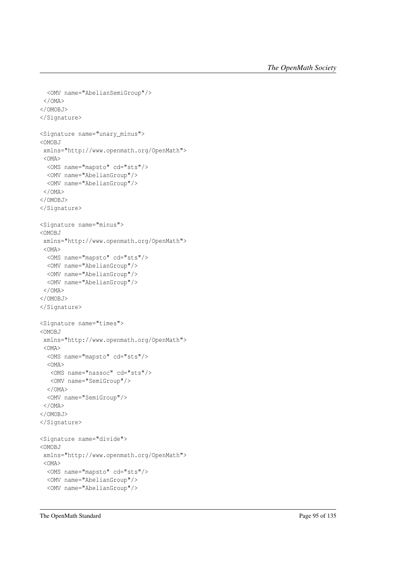```
<OMV name="AbelianSemiGroup"/>
</OMA>
</OMOBJ>
</Signature>
<Signature name="unary_minus">
<OMOBJ
xmlns="http://www.openmath.org/OpenMath">
 <OMA>
 <OMS name="mapsto" cd="sts"/>
 <OMV name="AbelianGroup"/>
 <OMV name="AbelianGroup"/>
</OMA>
</OMOBJ>
</Signature>
<Signature name="minus">
<OMOBJ
xmlns="http://www.openmath.org/OpenMath">
<OMA>
 <OMS name="mapsto" cd="sts"/>
 <OMV name="AbelianGroup"/>
 <OMV name="AbelianGroup"/>
 <OMV name="AbelianGroup"/>
</OMA>
</OMOBJ>
</Signature>
<Signature name="times">
<OMOBJ
xmlns="http://www.openmath.org/OpenMath">
 <OMA>
 <OMS name="mapsto" cd="sts"/>
 <OMA>
  <OMS name="nassoc" cd="sts"/>
  <OMV name="SemiGroup"/>
 </OMA>
 <OMV name="SemiGroup"/>
 </OMA>
</OMOBJ>
</Signature>
<Signature name="divide">
<OMOBJ
xmlns="http://www.openmath.org/OpenMath">
 <OMA>
 <OMS name="mapsto" cd="sts"/>
 <OMV name="AbelianGroup"/>
 <OMV name="AbelianGroup"/>
```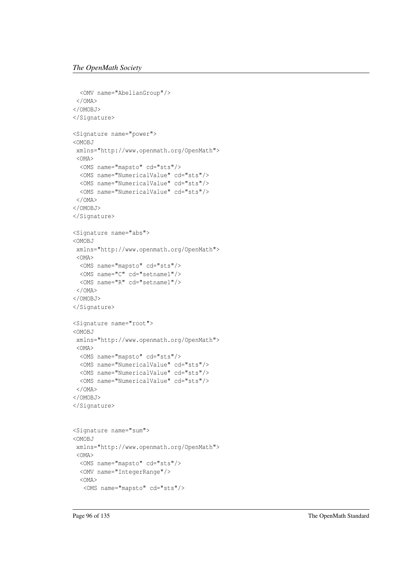```
<OMV name="AbelianGroup"/>
</OMA>
</OMOBJ>
</Signature>
<Signature name="power">
<OMOBJ
xmlns="http://www.openmath.org/OpenMath">
 <OMA>
 <OMS name="mapsto" cd="sts"/>
 <OMS name="NumericalValue" cd="sts"/>
 <OMS name="NumericalValue" cd="sts"/>
 <OMS name="NumericalValue" cd="sts"/>
</OMA>
</OMOBJ>
</Signature>
<Signature name="abs">
<OMOBJ
xmlns="http://www.openmath.org/OpenMath">
<OMA>
 <OMS name="mapsto" cd="sts"/>
 <OMS name="C" cd="setname1"/>
 <OMS name="R" cd="setname1"/>
</OMA>
</OMOBJ>
</Signature>
<Signature name="root">
<OMOBJ
xmlns="http://www.openmath.org/OpenMath">
<OMA>
 <OMS name="mapsto" cd="sts"/>
 <OMS name="NumericalValue" cd="sts"/>
 <OMS name="NumericalValue" cd="sts"/>
 <OMS name="NumericalValue" cd="sts"/>
</OMA>
</OMOBJ>
</Signature>
<Signature name="sum">
<OMOBJ
xmlns="http://www.openmath.org/OpenMath">
<OMA>
 <OMS name="mapsto" cd="sts"/>
 <OMV name="IntegerRange"/>
 < OMA ><OMS name="mapsto" cd="sts"/>
```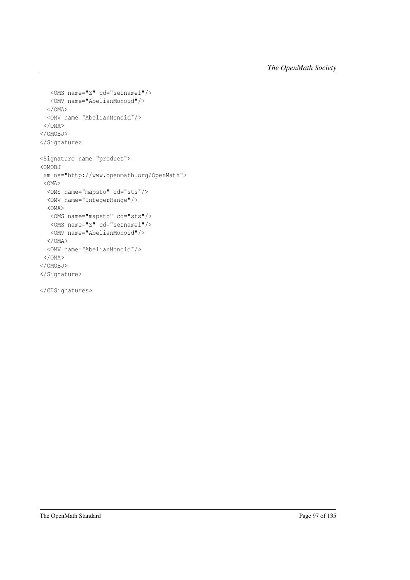```
<OMS name="Z" cd="setname1"/>
  <OMV name="AbelianMonoid"/>
 </OMA><OMV name="AbelianMonoid"/>
</OMA>
</OMOBJ>
</Signature>
<Signature name="product">
<OMOBJ
xmlns="http://www.openmath.org/OpenMath">
<OMA>
 <OMS name="mapsto" cd="sts"/>
 <OMV name="IntegerRange"/>
 <OMA>
  <OMS name="mapsto" cd="sts"/>
  <OMS name="Z" cd="setname1"/>
  <OMV name="AbelianMonoid"/>
 </OMA>
 <OMV name="AbelianMonoid"/>
</OMA>
</OMOBJ>
</Signature>
```

```
</CDSignatures>
```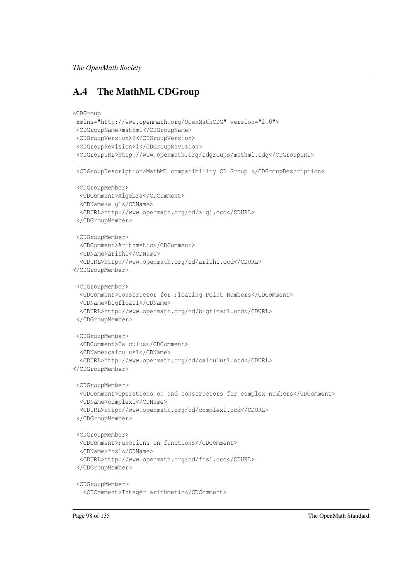## A.4 The MathML CDGroup

```
<CDGroup
xmlns="http://www.openmath.org/OpenMathCDG" version="2.0">
 <CDGroupName>mathml</CDGroupName>
 <CDGroupVersion>2</CDGroupVersion>
 <CDGroupRevision>1</CDGroupRevision>
 <CDGroupURL>http://www.openmath.org/cdgroups/mathml.cdg</CDGroupURL>
 <CDGroupDescription>MathML compatibility CD Group </CDGroupDescription>
 <CDGroupMember>
 <CDComment>Algebra</CDComment>
 <CDName>alg1</CDName>
  <CDURL>http://www.openmath.org/cd/alg1.ocd</CDURL>
 </CDGroupMember>
 <CDGroupMember>
 <CDComment>Arithmetic</CDComment>
 <CDName>arith1</CDName>
  <CDURL>http://www.openmath.org/cd/arith1.ocd</CDURL>
</CDGroupMember>
 <CDGroupMember>
 <CDComment>Constructor for Floating Point Numbers</CDComment>
 <CDName>bigfloat1</CDName>
 <CDURL>http://www.openmath.org/cd/bigfloat1.ocd</CDURL>
 </CDGroupMember>
 <CDGroupMember>
 <CDComment>Calculus</CDComment>
 <CDName>calculus1</CDName>
 <CDURL>http://www.openmath.org/cd/calculus1.ocd</CDURL>
</CDGroupMember>
 <CDGroupMember>
 <CDComment>Operations on and constructors for complex numbers</CDComment>
 <CDName>complex1</CDName>
 <CDURL>http://www.openmath.org/cd/complex1.ocd</CDURL>
 </CDGroupMember>
 <CDGroupMember>
 <CDComment>Functions on functions</CDComment>
 <CDName>fns1</CDName>
  <CDURL>http://www.openmath.org/cd/fns1.ocd</CDURL>
 </CDGroupMember>
 <CDGroupMember>
   <CDComment>Integer arithmetic</CDComment>
```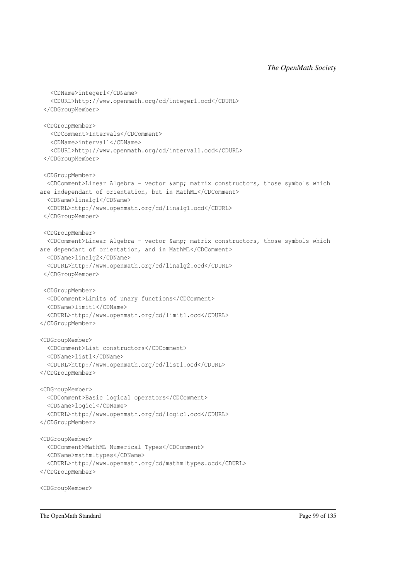```
<CDName>integer1</CDName>
  <CDURL>http://www.openmath.org/cd/integer1.ocd</CDURL>
 </CDGroupMember>
 <CDGroupMember>
   <CDComment>Intervals</CDComment>
  <CDName>interval1</CDName>
   <CDURL>http://www.openmath.org/cd/interval1.ocd</CDURL>
 </CDGroupMember>
<CDGroupMember>
 <CDComment>Linear Algebra - vector &amp; matrix constructors, those symbols which
are independant of orientation, but in MathML</CDComment>
 <CDName>linalg1</CDName>
 <CDURL>http://www.openmath.org/cd/linalg1.ocd</CDURL>
 </CDGroupMember>
<CDGroupMember>
 <CDComment>Linear Algebra - vector &amp; matrix constructors, those symbols which
are dependant of orientation, and in MathML</CDComment>
 <CDName>linalg2</CDName>
 <CDURL>http://www.openmath.org/cd/linalg2.ocd</CDURL>
 </CDGroupMember>
 <CDGroupMember>
 <CDComment>Limits of unary functions</CDComment>
 <CDName>limit1</CDName>
 <CDURL>http://www.openmath.org/cd/limit1.ocd</CDURL>
</CDGroupMember>
<CDGroupMember>
 <CDComment>List constructors</CDComment>
 <CDName>list1</CDName>
 <CDURL>http://www.openmath.org/cd/list1.ocd</CDURL>
</CDGroupMember>
<CDGroupMember>
 <CDComment>Basic logical operators</CDComment>
 <CDName>logic1</CDName>
 <CDURL>http://www.openmath.org/cd/logic1.ocd</CDURL>
</CDGroupMember>
<CDGroupMember>
 <CDComment>MathML Numerical Types</CDComment>
 <CDName>mathmltypes</CDName>
 <CDURL>http://www.openmath.org/cd/mathmltypes.ocd</CDURL>
</CDGroupMember>
<CDGroupMember>
```
The OpenMath Standard Page 99 of 135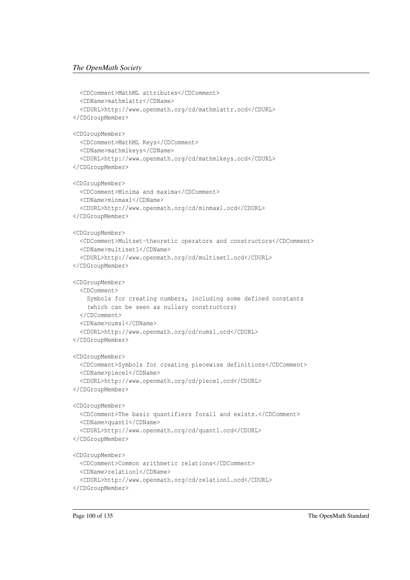```
<CDComment>MathML attributes</CDComment>
 <CDName>mathmlattr</CDName>
  <CDURL>http://www.openmath.org/cd/mathmlattr.ocd</CDURL>
</CDGroupMember>
<CDGroupMember>
 <CDComment>MathML Keys</CDComment>
 <CDName>mathmlkeys</CDName>
  <CDURL>http://www.openmath.org/cd/mathmlkeys.ocd</CDURL>
</CDGroupMember>
<CDGroupMember>
 <CDComment>Minima and maxima</CDComment>
 <CDName>minmax1</CDName>
  <CDURL>http://www.openmath.org/cd/minmax1.ocd</CDURL>
</CDGroupMember>
<CDGroupMember>
 <CDComment>Multset-theoretic operators and constructors</CDComment>
 <CDName>multiset1</CDName>
 <CDURL>http://www.openmath.org/cd/multiset1.ocd</CDURL>
</CDGroupMember>
<CDGroupMember>
 <CDComment>
    Symbols for creating numbers, including some defined constants
    (which can be seen as nullary constructors)
 </CDComment>
 <CDName>nums1</CDName>
  <CDURL>http://www.openmath.org/cd/nums1.ocd</CDURL>
</CDGroupMember>
<CDGroupMember>
 <CDComment>Symbols for creating piecewise definitions</CDComment>
 <CDName>piece1</CDName>
  <CDURL>http://www.openmath.org/cd/piece1.ocd</CDURL>
</CDGroupMember>
<CDGroupMember>
 <CDComment>The basic quantifiers forall and exists.</CDComment>
 <CDName>quant1</CDName>
  <CDURL>http://www.openmath.org/cd/quant1.ocd</CDURL>
</CDGroupMember>
<CDGroupMember>
  <CDComment>Common arithmetic relations</CDComment>
  <CDName>relation1</CDName>
  <CDURL>http://www.openmath.org/cd/relation1.ocd</CDURL>
</CDGroupMember>
```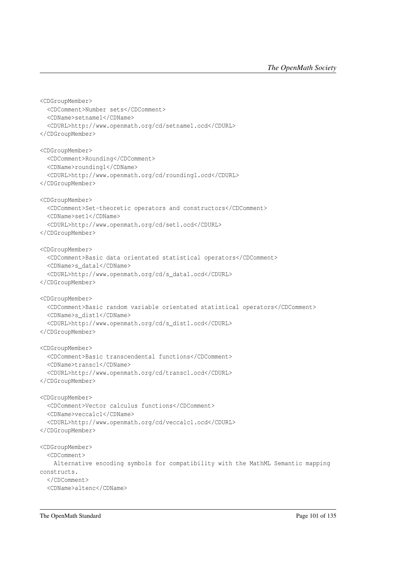```
<CDGroupMember>
 <CDComment>Number sets</CDComment>
 <CDName>setname1</CDName>
 <CDURL>http://www.openmath.org/cd/setname1.ocd</CDURL>
</CDGroupMember>
<CDGroupMember>
 <CDComment>Rounding</CDComment>
 <CDName>rounding1</CDName>
 <CDURL>http://www.openmath.org/cd/rounding1.ocd</CDURL>
</CDGroupMember>
<CDGroupMember>
 <CDComment>Set-theoretic operators and constructors</CDComment>
 <CDName>set1</CDName>
 <CDURL>http://www.openmath.org/cd/set1.ocd</CDURL>
</CDGroupMember>
<CDGroupMember>
 <CDComment>Basic data orientated statistical operators</CDComment>
 <CDName>s_data1</CDName>
 <CDURL>http://www.openmath.org/cd/s_data1.ocd</CDURL>
</CDGroupMember>
<CDGroupMember>
 <CDComment>Basic random variable orientated statistical operators</CDComment>
 <CDName>s_dist1</CDName>
 <CDURL>http://www.openmath.org/cd/s_dist1.ocd</CDURL>
</CDGroupMember>
<CDGroupMember>
 <CDComment>Basic transcendental functions</CDComment>
 <CDName>transc1</CDName>
 <CDURL>http://www.openmath.org/cd/transc1.ocd</CDURL>
</CDGroupMember>
<CDGroupMember>
 <CDComment>Vector calculus functions</CDComment>
 <CDName>veccalc1</CDName>
 <CDURL>http://www.openmath.org/cd/veccalc1.ocd</CDURL>
</CDGroupMember>
<CDGroupMember>
 <CDComment>
   Alternative encoding symbols for compatibility with the MathML Semantic mapping
constructs.
 </CDComment>
 <CDName>altenc</CDName>
```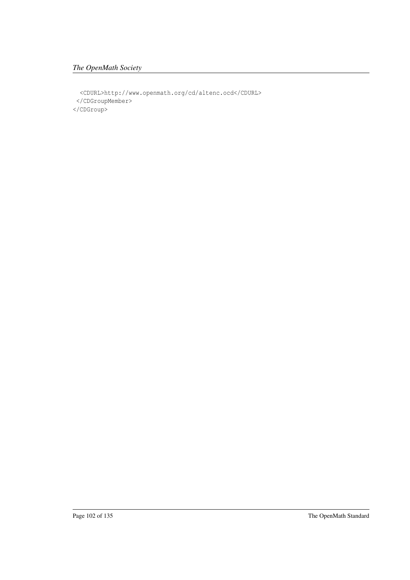#### *The OpenMath Society*

<CDURL>http://www.openmath.org/cd/altenc.ocd</CDURL> </CDGroupMember> </CDGroup>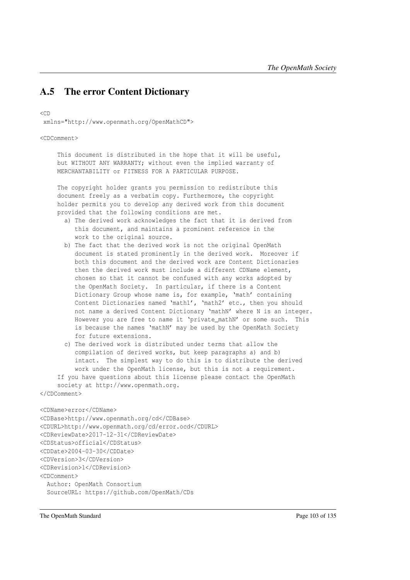## A.5 The error Content Dictionary

<CD

xmlns="http://www.openmath.org/OpenMathCD">

<CDComment>

This document is distributed in the hope that it will be useful, but WITHOUT ANY WARRANTY; without even the implied warranty of MERCHANTABILITY or FITNESS FOR A PARTICULAR PURPOSE.

The copyright holder grants you permission to redistribute this document freely as a verbatim copy. Furthermore, the copyright holder permits you to develop any derived work from this document provided that the following conditions are met.

- a) The derived work acknowledges the fact that it is derived from this document, and maintains a prominent reference in the work to the original source.
- b) The fact that the derived work is not the original OpenMath document is stated prominently in the derived work. Moreover if both this document and the derived work are Content Dictionaries then the derived work must include a different CDName element, chosen so that it cannot be confused with any works adopted by the OpenMath Society. In particular, if there is a Content Dictionary Group whose name is, for example, 'math' containing Content Dictionaries named 'math1', 'math2' etc., then you should not name a derived Content Dictionary 'mathN' where N is an integer. However you are free to name it 'private\_mathN' or some such. This is because the names 'mathN' may be used by the OpenMath Society for future extensions.
- c) The derived work is distributed under terms that allow the compilation of derived works, but keep paragraphs a) and b) intact. The simplest way to do this is to distribute the derived work under the OpenMath license, but this is not a requirement. If you have questions about this license please contact the OpenMath

society at http://www.openmath.org.

```
</CDComment>
```

```
<CDName>error</CDName>
```

```
<CDBase>http://www.openmath.org/cd</CDBase>
<CDURL>http://www.openmath.org/cd/error.ocd</CDURL>
<CDReviewDate>2017-12-31</CDReviewDate>
<CDStatus>official</CDStatus>
<CDDate>2004-03-30</CDDate>
<CDVersion>3</CDVersion>
<CDRevision>1</CDRevision>
<CDComment>
 Author: OpenMath Consortium
 SourceURL: https://github.com/OpenMath/CDs
```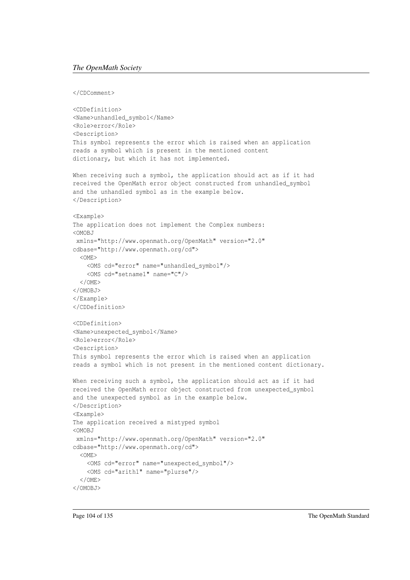#### *The OpenMath Society*

</CDComment>

```
<CDDefinition>
<Name>unhandled_symbol</Name>
<Role>error</Role>
<Description>
This symbol represents the error which is raised when an application
reads a symbol which is present in the mentioned content
dictionary, but which it has not implemented.
When receiving such a symbol, the application should act as if it had
received the OpenMath error object constructed from unhandled_symbol
and the unhandled symbol as in the example below.
</Description>
<Example>
The application does not implement the Complex numbers:
<OMOBJ
xmlns="http://www.openmath.org/OpenMath" version="2.0"
cdbase="http://www.openmath.org/cd">
 <OME>
    <OMS cd="error" name="unhandled_symbol"/>
    <OMS cd="setname1" name="C"/>
  </OME</OMOBJ>
</Example>
</CDDefinition>
<CDDefinition>
<Name>unexpected_symbol</Name>
<Role>error</Role>
<Description>
This symbol represents the error which is raised when an application
reads a symbol which is not present in the mentioned content dictionary.
When receiving such a symbol, the application should act as if it had
received the OpenMath error object constructed from unexpected_symbol
and the unexpected symbol as in the example below.
</Description>
<Example>
The application received a mistyped symbol
<OMOBJ
xmlns="http://www.openmath.org/OpenMath" version="2.0"
cdbase="http://www.openmath.org/cd">
  < OME>
    <OMS cd="error" name="unexpected_symbol"/>
    <OMS cd="arith1" name="plurse"/>
  \langle / OME</OMOBJ>
```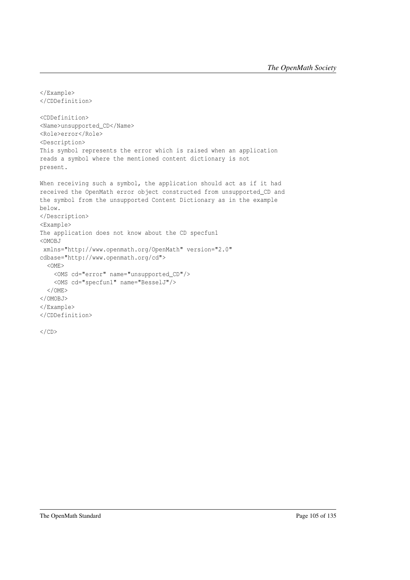```
</Example>
</CDDefinition>
<CDDefinition>
<Name>unsupported_CD</Name>
<Role>error</Role>
<Description>
This symbol represents the error which is raised when an application
reads a symbol where the mentioned content dictionary is not
present.
When receiving such a symbol, the application should act as if it had
received the OpenMath error object constructed from unsupported_CD and
the symbol from the unsupported Content Dictionary as in the example
below.
</Description>
<Example>
The application does not know about the CD specfun1
<OMOBJ
 xmlns="http://www.openmath.org/OpenMath" version="2.0"
cdbase="http://www.openmath.org/cd">
  <OME>
    <OMS cd="error" name="unsupported_CD"/>
    <OMS cd="specfun1" name="BesselJ"/>
  \langle/OME>
</OMOBJ>
</Example>
</CDDefinition>
```
 $\langle$ /CD>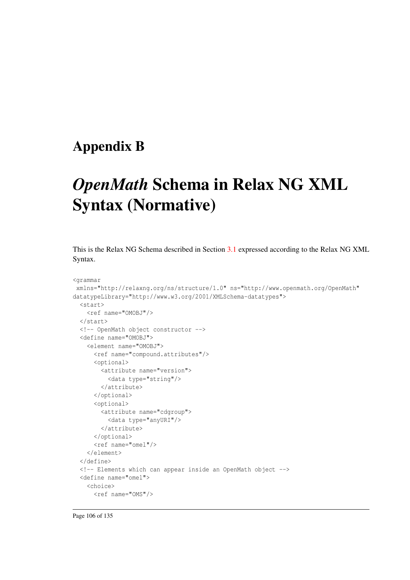### Appendix B

## *OpenMath* Schema in Relax NG XML Syntax (Normative)

This is the Relax NG Schema described in Section [3.1](#page-23-0) expressed according to the Relax NG XML Syntax.

```
<grammar
xmlns="http://relaxng.org/ns/structure/1.0" ns="http://www.openmath.org/OpenMath"
datatypeLibrary="http://www.w3.org/2001/XMLSchema-datatypes">
  <start>
   <ref name="OMOBJ"/>
  </start>
  <!-- OpenMath object constructor -->
  <define name="OMOBJ">
    <element name="OMOBJ">
      <ref name="compound.attributes"/>
      <optional>
       <attribute name="version">
         <data type="string"/>
       </attribute>
      </optional>
      <optional>
       <attribute name="cdgroup">
          <data type="anyURI"/>
       </attribute>
      </optional>
      <ref name="omel"/>
    </element>
  </define>
  <!-- Elements which can appear inside an OpenMath object -->
  <define name="omel">
    <choice>
      <ref name="OMS"/>
```
Page 106 of 135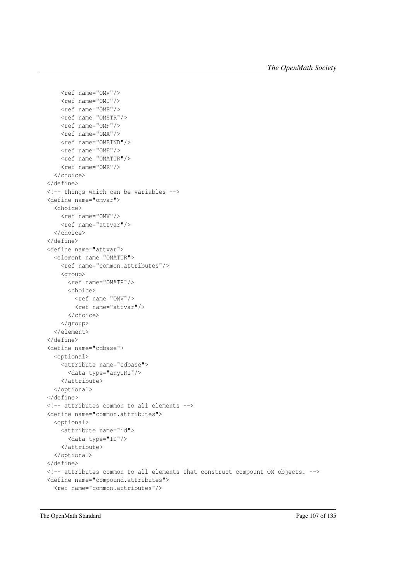```
<ref name="OMV"/>
   <ref name="OMI"/>
   <ref name="OMB"/>
   <ref name="OMSTR"/>
   <ref name="OMF"/>
   <ref name="OMA"/>
   <ref name="OMBIND"/>
   <ref name="OME"/>
   <ref name="OMATTR"/>
   <ref name="OMR"/>
 </choice>
</define>
<!-- things which can be variables -->
<define name="omvar">
 <choice>
   <ref name="OMV"/>
   <ref name="attvar"/>
 </choice>
</define>
<define name="attvar">
 <element name="OMATTR">
   <ref name="common.attributes"/>
   <group>
     <ref name="OMATP"/>
     <choice>
       <ref name="OMV"/>
       <ref name="attvar"/>
      </choice>
   </group>
 </element>
</define>
<define name="cdbase">
 <optional>
   <attribute name="cdbase">
     <data type="anyURI"/>
   </attribute>
 </optional>
</define>
<!-- attributes common to all elements -->
<define name="common.attributes">
 <optional>
   <attribute name="id">
     <data type="ID"/>
   </attribute>
 </optional>
</define>
<!-- attributes common to all elements that construct compount OM objects. -->
<define name="compound.attributes">
 <ref name="common.attributes"/>
```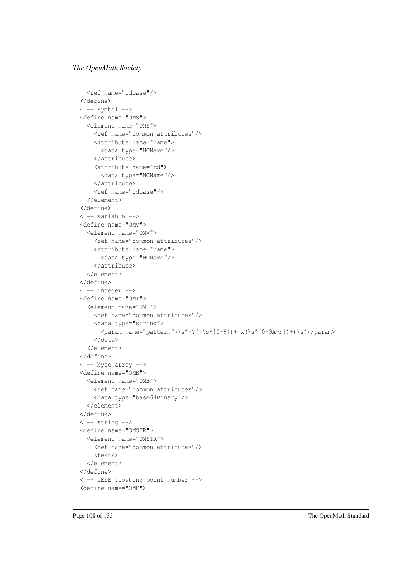```
<ref name="cdbase"/>
</define>
\langle !--symbol -- \rangle<define name="OMS">
  <element name="OMS">
    <ref name="common.attributes"/>
    <attribute name="name">
      <data type="NCName"/>
    </attribute>
    <attribute name="cd">
      <data type="NCName"/>
    </attribute>
    <ref name="cdbase"/>
  </element>
</define>
<!-- variable -->
<define name="OMV">
  <element name="OMV">
    <ref name="common.attributes"/>
    <attribute name="name">
      <data type="NCName"/>
    </attribute>
  </element>
</define>
<!-- integer -->
<define name="OMI">
  <element name="OMI">
    <ref name="common.attributes"/>
    <data type="string">
      \gamma <param name="pattern">\s*-?((\s*[0-9])+|x(\s*[0-9A-F])+)\s*</param>
    </data>
  </element>
</define>
<!-- byte array -->
<define name="OMB">
  <element name="OMB">
    <ref name="common.attributes"/>
    <data type="base64Binary"/>
  </element>
</define>
\left\langle \cdot \right\rangle -- string -->
<define name="OMSTR">
  <element name="OMSTR">
    <ref name="common.attributes"/>
    <text/>
  </element>
</define>
<!-- IEEE floating point number -->
<define name="OMF">
```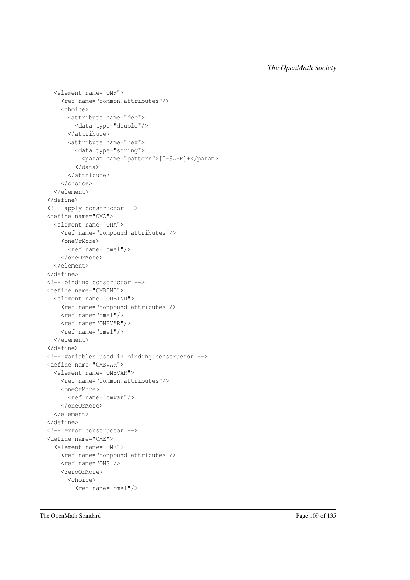```
<element name="OMF">
   <ref name="common.attributes"/>
   <choice>
     <attribute name="dec">
        <data type="double"/>
      </attribute>
     <attribute name="hex">
        <data type="string">
          <param name="pattern">[0-9A-F]+</param>
        </data>
      </attribute>
    </choice>
 </element>
</define>
<!-- apply constructor -->
<define name="OMA">
 <element name="OMA">
   <ref name="compound.attributes"/>
   <oneOrMore>
     <ref name="omel"/>
   </oneOrMore>
 </element>
</define>
<!-- binding constructor -->
<define name="OMBIND">
 <element name="OMBIND">
   <ref name="compound.attributes"/>
   <ref name="omel"/>
   <ref name="OMBVAR"/>
   <ref name="omel"/>
 </element>
</define>
<!-- variables used in binding constructor -->
<define name="OMBVAR">
 <element name="OMBVAR">
   <ref name="common.attributes"/>
   <oneOrMore>
     <ref name="omvar"/>
   </oneOrMore>
 </element>
</define>
<!-- error constructor -->
<define name="OME">
 <element name="OME">
   <ref name="compound.attributes"/>
   <ref name="OMS"/>
   <zeroOrMore>
     <choice>
        <ref name="omel"/>
```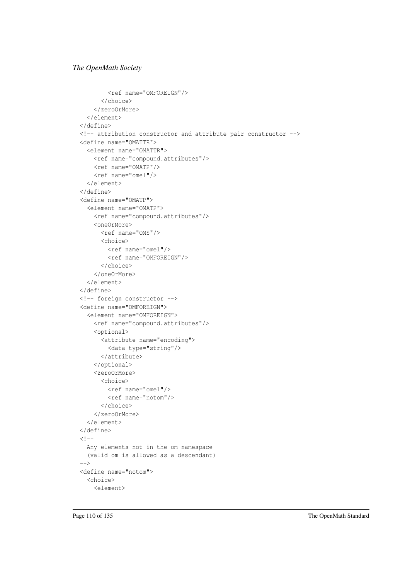```
<ref name="OMFOREIGN"/>
      </choice>
    </zeroOrMore>
  </element>
</define>
<!-- attribution constructor and attribute pair constructor -->
<define name="OMATTR">
  <element name="OMATTR">
    <ref name="compound.attributes"/>
    <ref name="OMATP"/>
    <ref name="omel"/>
  </element>
</define>
<define name="OMATP">
  <element name="OMATP">
    <ref name="compound.attributes"/>
   <oneOrMore>
     <ref name="OMS"/>
     <choice>
       <ref name="omel"/>
       <ref name="OMFOREIGN"/>
      </choice>
    </oneOrMore>
  </element>
</define>
<!-- foreign constructor -->
<define name="OMFOREIGN">
  <element name="OMFOREIGN">
    <ref name="compound.attributes"/>
    <optional>
      <attribute name="encoding">
        <data type="string"/>
      </attribute>
    </optional>
    <zeroOrMore>
      <choice>
       <ref name="omel"/>
        <ref name="notom"/>
      </choice>
    </zeroOrMore>
  </element>
</define>
< ! --Any elements not in the om namespace
  (valid om is allowed as a descendant)
\overline{z}<define name="notom">
  <choice>
    <element>
```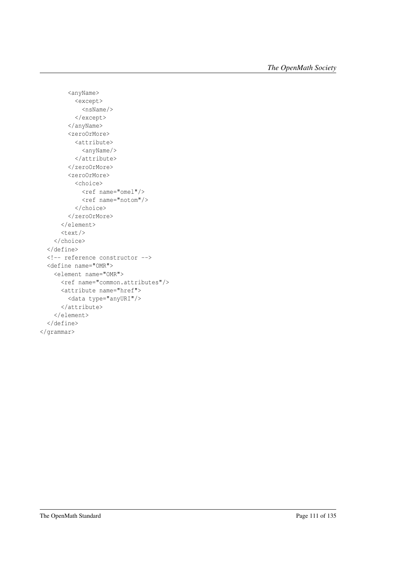```
<anyName>
         <except>
           <nsName/>
          </except>
        </anyName>
        <zeroOrMore>
          <attribute>
           <anyName/>
          </attribute>
        </zeroOrMore>
        <zeroOrMore>
          <choice>
           <ref name="omel"/>
           <ref name="notom"/>
          </choice>
        </zeroOrMore>
      </element>
      <text/>
   </choice>
 </define>
 <!-- reference constructor -->
 <define name="OMR">
   <element name="OMR">
     <ref name="common.attributes"/>
      <attribute name="href">
       <data type="anyURI"/>
      </attribute>
    </element>
 </define>
</grammar>
```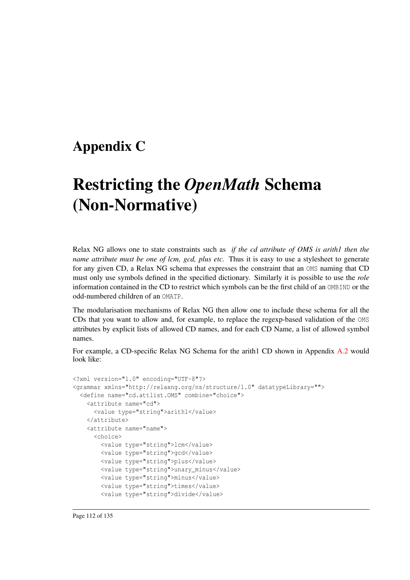### Appendix C

## Restricting the *OpenMath* Schema (Non-Normative)

Relax NG allows one to state constraints such as *if the cd attribute of OMS is arith1 then the name attribute must be one of lcm, gcd, plus etc.* Thus it is easy to use a stylesheet to generate for any given CD, a Relax NG schema that expresses the constraint that an OMS naming that CD must only use symbols defined in the specified dictionary. Similarly it is possible to use the *role* information contained in the CD to restrict which symbols can be the first child of an OMBIND or the odd-numbered children of an OMATP.

The modularisation mechanisms of Relax NG then allow one to include these schema for all the CDs that you want to allow and, for example, to replace the regexp-based validation of the OMS attributes by explicit lists of allowed CD names, and for each CD Name, a list of allowed symbol names.

For example, a CD-specific Relax NG Schema for the arith1 CD shown in Appendix [A.2](#page-79-0) would look like:

```
<?xml version="1.0" encoding="UTF-8"?>
<grammar xmlns="http://relaxng.org/ns/structure/1.0" datatypeLibrary="">
 <define name="cd.attlist.OMS" combine="choice">
   <attribute name="cd">
     <value type="string">arith1</value>
    </attribute>
    <attribute name="name">
      <choice>
        <value type="string">lcm</value>
       <value type="string">gcd</value>
       <value type="string">plus</value>
       <value type="string">unary_minus</value>
       <value type="string">minus</value>
        <value type="string">times</value>
        <value type="string">divide</value>
```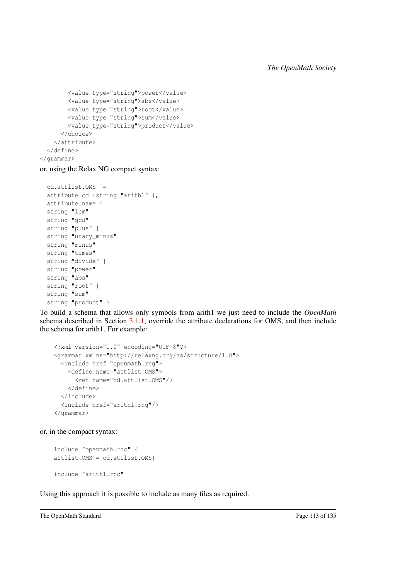```
<value type="string">power</value>
       <value type="string">abs</value>
       <value type="string">root</value>
       <value type="string">sum</value>
       <value type="string">product</value>
      </choice>
   </attribute>
 </define>
</grammar>
```
or, using the Relax NG compact syntax:

```
cd.attlist.OMS |=
attribute cd {string "arith1" },
attribute name {
string "lcm" |
string "gcd" |
string "plus" |
string "unary_minus" |
string "minus" |
string "times" |
string "divide" |
string "power" |
string "abs" |
string "root" |
string "sum" |
string "product" }
```
To build a schema that allows only symbols from arith1 we just need to include the *OpenMath* schema described in Section [3.1.1,](#page-24-0) override the attribute declarations for OMS, and then include the schema for arith1. For example:

```
<?xml version="1.0" encoding="UTF-8"?>
<grammar xmlns="http://relaxng.org/ns/structure/1.0">
 <include href="openmath.rng">
   <define name="attlist.OMS">
     <ref name="cd.attlist.OMS"/>
   </define>
 </include>
 <include href="arith1.rng"/>
</grammar>
```
or, in the compact syntax:

```
include "openmath.rnc" {
attlist.OMS = cd.attlist.OMS}
include "arith1.rnc"
```
Using this approach it is possible to include as many files as required.

```
The OpenMath Standard Page 113 of 135
```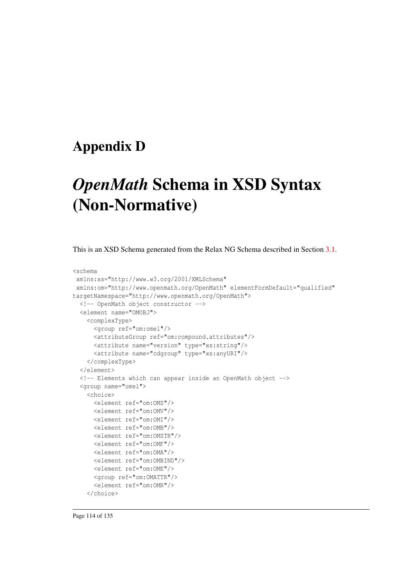### Appendix D

## *OpenMath* Schema in XSD Syntax (Non-Normative)

This is an XSD Schema generated from the Relax NG Schema described in Section [3.1.](#page-23-0)

```
<schema
xmlns:xs="http://www.w3.org/2001/XMLSchema"
xmlns:om="http://www.openmath.org/OpenMath" elementFormDefault="qualified"
targetNamespace="http://www.openmath.org/OpenMath">
 <!-- OpenMath object constructor -->
 <element name="OMOBJ">
    <complexType>
      <group ref="om:omel"/>
      <attributeGroup ref="om:compound.attributes"/>
      <attribute name="version" type="xs:string"/>
      <attribute name="cdgroup" type="xs:anyURI"/>
    </complexType>
 </element>
 <!-- Elements which can appear inside an OpenMath object -->
  <group name="omel">
    <choice>
      <element ref="om:OMS"/>
     <element ref="om:OMV"/>
     <element ref="om:OMI"/>
     <element ref="om:OMB"/>
     <element ref="om:OMSTR"/>
      <element ref="om:OMF"/>
      <element ref="om:OMA"/>
     <element ref="om:OMBIND"/>
     <element ref="om:OME"/>
      <group ref="om:OMATTR"/>
      <element ref="om:OMR"/>
    </choice>
```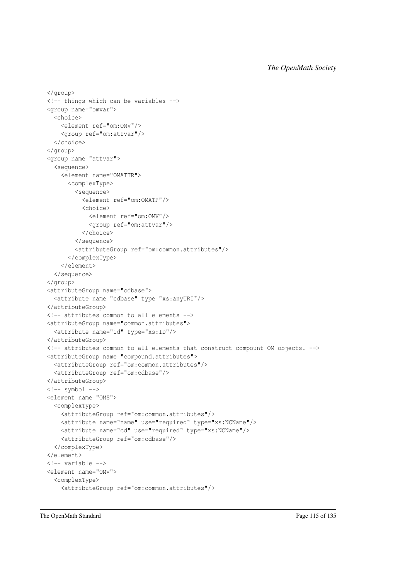```
</group>
<!-- things which can be variables -->
<group name="omvar">
  <choice>
    <element ref="om:OMV"/>
    <group ref="om:attvar"/>
  </choice>
</group>
<group name="attvar">
  <sequence>
    <element name="OMATTR">
      <complexType>
        <sequence>
          <element ref="om:OMATP"/>
          <choice>
            <element ref="om:OMV"/>
            <group ref="om:attvar"/>
          </choice>
        </sequence>
        <attributeGroup ref="om:common.attributes"/>
      </complexType>
    </element>
  </sequence>
</group>
<attributeGroup name="cdbase">
  <attribute name="cdbase" type="xs:anyURI"/>
</attributeGroup>
<!-- attributes common to all elements -->
<attributeGroup name="common.attributes">
  <attribute name="id" type="xs:ID"/>
</attributeGroup>
<!-- attributes common to all elements that construct compount OM objects. -->
<attributeGroup name="compound.attributes">
 <attributeGroup ref="om:common.attributes"/>
  <attributeGroup ref="om:cdbase"/>
</attributeGroup>
\left\langle \cdot \right\rangle -- symbol -->
<element name="OMS">
  <complexType>
    <attributeGroup ref="om:common.attributes"/>
    <attribute name="name" use="required" type="xs:NCName"/>
    <attribute name="cd" use="required" type="xs:NCName"/>
    <attributeGroup ref="om:cdbase"/>
  </complexType>
</element>
<!-- variable -->
<element name="OMV">
  <complexType>
    <attributeGroup ref="om:common.attributes"/>
```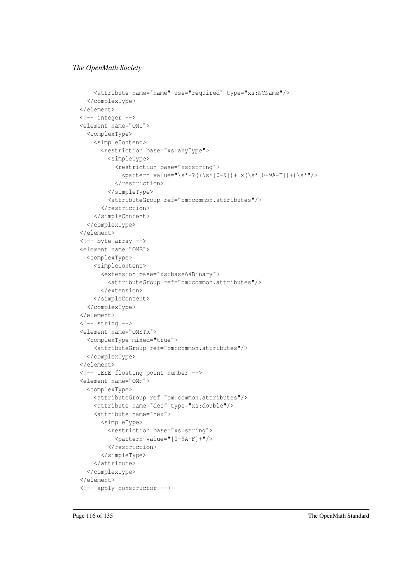```
<attribute name="name" use="required" type="xs:NCName"/>
  </complexType>
</element>
<!-- integer -->
<element name="OMI">
  <complexType>
    <simpleContent>
      <restriction base="xs:anyType">
        <simpleType>
          <restriction base="xs:string">
            \eta <pattern value="\s*-?((\s*[0-9])+|x(\s*[0-9A-F])+)\s*"/>
          </restriction>
        </simpleType>
        <attributeGroup ref="om:common.attributes"/>
      </restriction>
    </simpleContent>
  </complexType>
</element>
<!-- byte array -->
<element name="OMB">
  <complexType>
    <simpleContent>
      <extension base="xs:base64Binary">
        <attributeGroup ref="om:common.attributes"/>
      </extension>
    </simpleContent>
  </complexType>
</element>
\langle!-- string -->
<element name="OMSTR">
  <complexType mixed="true">
    <attributeGroup ref="om:common.attributes"/>
  </complexType>
</element>
<!-- IEEE floating point number -->
<element name="OMF">
  <complexType>
    <attributeGroup ref="om:common.attributes"/>
    <attribute name="dec" type="xs:double"/>
    <attribute name="hex">
      <simpleType>
        <restriction base="xs:string">
          <pattern value="[0-9A-F]+"/>
        </restriction>
      </simpleType>
    </attribute>
  </complexType>
</element>
<!-- apply constructor -->
```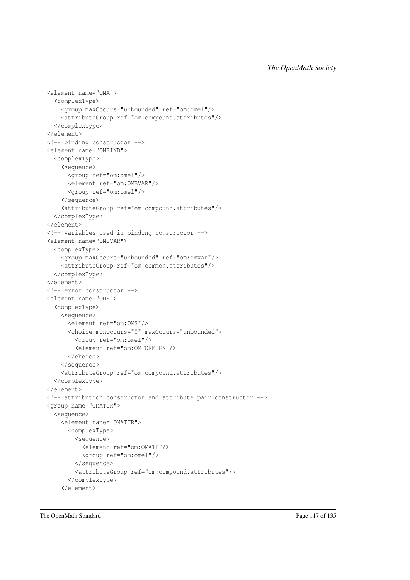```
<element name="OMA">
 <complexType>
   <group maxOccurs="unbounded" ref="om:omel"/>
   <attributeGroup ref="om:compound.attributes"/>
 </complexType>
</element>
<!-- binding constructor -->
<element name="OMBIND">
 <complexType>
   <sequence>
      <group ref="om:omel"/>
      <element ref="om:OMBVAR"/>
      <group ref="om:omel"/>
    </sequence>
    <attributeGroup ref="om:compound.attributes"/>
  </complexType>
</element>
<!-- variables used in binding constructor -->
<element name="OMBVAR">
 <complexType>
   <group maxOccurs="unbounded" ref="om:omvar"/>
    <attributeGroup ref="om:common.attributes"/>
 </complexType>
</element>
<!-- error constructor -->
<element name="OME">
 <complexType>
   <sequence>
      <element ref="om:OMS"/>
      <choice minOccurs="0" maxOccurs="unbounded">
        <group ref="om:omel"/>
        <element ref="om:OMFOREIGN"/>
      </choice>
    </sequence>
    <attributeGroup ref="om:compound.attributes"/>
 </complexType>
</element>
<!-- attribution constructor and attribute pair constructor -->
<group name="OMATTR">
  <sequence>
    <element name="OMATTR">
      <complexType>
        <sequence>
          <element ref="om:OMATP"/>
          <group ref="om:omel"/>
        </sequence>
        <attributeGroup ref="om:compound.attributes"/>
      </complexType>
    </element>
```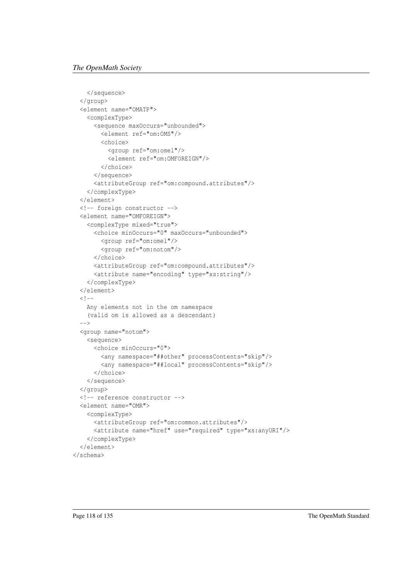```
</sequence>
 </group>
 <element name="OMATP">
    <complexType>
      <sequence maxOccurs="unbounded">
        <element ref="om:OMS"/>
        \zetachoice>
          <group ref="om:omel"/>
          <element ref="om:OMFOREIGN"/>
        </choice>
      </sequence>
      <attributeGroup ref="om:compound.attributes"/>
    </complexType>
 </element>
 <!-- foreign constructor -->
 <element name="OMFOREIGN">
    <complexType mixed="true">
      <choice minOccurs="0" maxOccurs="unbounded">
       <group ref="om:omel"/>
        <group ref="om:notom"/>
      </choice>
      <attributeGroup ref="om:compound.attributes"/>
      <attribute name="encoding" type="xs:string"/>
    </complexType>
  </element>
 \lt! --
   Any elements not in the om namespace
    (valid om is allowed as a descendant)
  \rightarrow<group name="notom">
    <sequence>
      <choice minOccurs="0">
       <any namespace="##other" processContents="skip"/>
        <any namespace="##local" processContents="skip"/>
      </choice>
    </sequence>
 </group>
 <!-- reference constructor -->
  <element name="OMR">
    <complexType>
      <attributeGroup ref="om:common.attributes"/>
      <attribute name="href" use="required" type="xs:anyURI"/>
    </complexType>
  </element>
</schema>
```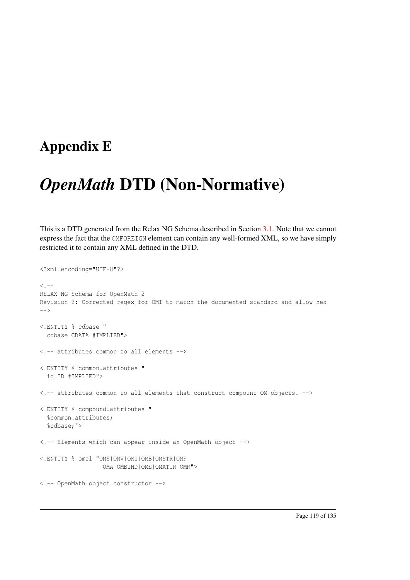### Appendix E

## *OpenMath* DTD (Non-Normative)

This is a DTD generated from the Relax NG Schema described in Section [3.1.](#page-23-0) Note that we cannot express the fact that the OMFOREIGN element can contain any well-formed XML, so we have simply restricted it to contain any XML defined in the DTD.

```
<?xml encoding="UTF-8"?>
< 1 - -RELAX NG Schema for OpenMath 2
Revision 2: Corrected regex for OMI to match the documented standard and allow hex
--&><!ENTITY % cdbase "
 cdbase CDATA #IMPLIED">
<!-- attributes common to all elements -->
<!ENTITY % common.attributes "
 id ID #IMPLIED">
<!-- attributes common to all elements that construct compount OM objects. -->
<!ENTITY % compound.attributes "
 %common.attributes;
  %cdbase;">
<!-- Elements which can appear inside an OpenMath object -->
<!ENTITY % omel "OMS|OMV|OMI|OMB|OMSTR|OMF
                 |OMA|OMBIND|OME|OMATTR|OMR">
<!-- OpenMath object constructor -->
```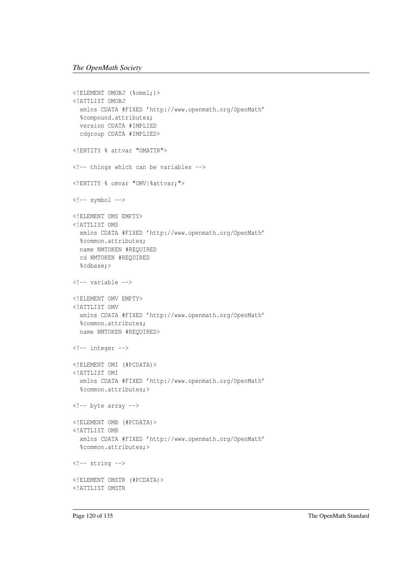```
<!ELEMENT OMOBJ (%omel;)>
<!ATTLIST OMOBJ
 xmlns CDATA #FIXED 'http://www.openmath.org/OpenMath'
 %compound.attributes;
 version CDATA #IMPLIED
 cdgroup CDATA #IMPLIED>
<!ENTITY % attvar "OMATTR">
<!-- things which can be variables -->
<!ENTITY % omvar "OMV|%attvar;">
\langle !--symbol -- \rangle<!ELEMENT OMS EMPTY>
<!ATTLIST OMS
 xmlns CDATA #FIXED 'http://www.openmath.org/OpenMath'
 %common.attributes;
 name NMTOKEN #REQUIRED
 cd NMTOKEN #REQUIRED
 %cdbase;>
<!-- variable -->
<!ELEMENT OMV EMPTY>
<!ATTLIST OMV
 xmlns CDATA #FIXED 'http://www.openmath.org/OpenMath'
 %common.attributes;
 name NMTOKEN #REQUIRED>
<!-- integer -->
<!ELEMENT OMI (#PCDATA)>
<!ATTLIST OMI
 xmlns CDATA #FIXED 'http://www.openmath.org/OpenMath'
 %common.attributes;>
<!-- byte array -->
<!ELEMENT OMB (#PCDATA)>
<!ATTLIST OMB
 xmlns CDATA #FIXED 'http://www.openmath.org/OpenMath'
 %common.attributes;>
\langle!-- string -->
<!ELEMENT OMSTR (#PCDATA)>
<!ATTLIST OMSTR
```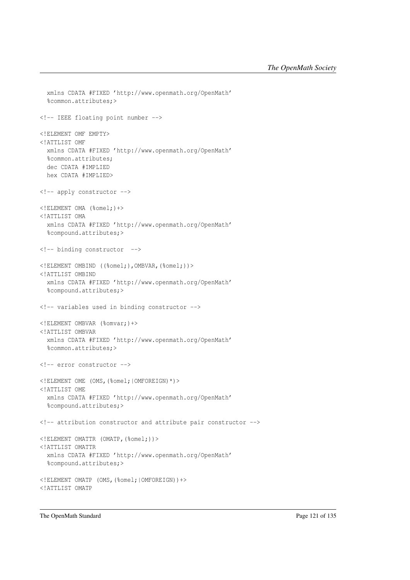```
xmlns CDATA #FIXED 'http://www.openmath.org/OpenMath'
  %common.attributes;>
<!-- IEEE floating point number -->
<!ELEMENT OMF EMPTY>
<!ATTLIST OMF
 xmlns CDATA #FIXED 'http://www.openmath.org/OpenMath'
  %common.attributes;
 dec CDATA #IMPLIED
 hex CDATA #IMPLIED>
<!-- apply constructor -->
<!ELEMENT OMA (%omel;)+>
<!ATTLIST OMA
 xmlns CDATA #FIXED 'http://www.openmath.org/OpenMath'
 %compound.attributes;>
<!-- binding constructor -->
<!ELEMENT OMBIND ((%omel;),OMBVAR,(%omel;))>
<!ATTLIST OMBIND
 xmlns CDATA #FIXED 'http://www.openmath.org/OpenMath'
  %compound.attributes;>
<!-- variables used in binding constructor -->
<!ELEMENT OMBVAR (%omvar;)+>
<!ATTLIST OMBVAR
 xmlns CDATA #FIXED 'http://www.openmath.org/OpenMath'
  %common.attributes;>
<!-- error constructor -->
<!ELEMENT OME (OMS,(%omel;|OMFOREIGN)*)>
<!ATTLIST OME
 xmlns CDATA #FIXED 'http://www.openmath.org/OpenMath'
  %compound.attributes;>
<!-- attribution constructor and attribute pair constructor -->
<!ELEMENT OMATTR (OMATP,(%omel;))>
<!ATTLIST OMATTR
 xmlns CDATA #FIXED 'http://www.openmath.org/OpenMath'
 %compound.attributes;>
<!ELEMENT OMATP (OMS,(%omel;|OMFOREIGN))+>
<!ATTLIST OMATP
```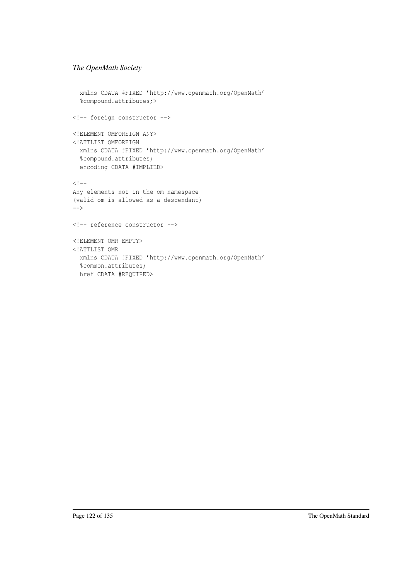```
xmlns CDATA #FIXED 'http://www.openmath.org/OpenMath'
  %compound.attributes;>
<!-- foreign constructor -->
<!ELEMENT OMFOREIGN ANY>
<!ATTLIST OMFOREIGN
 xmlns CDATA #FIXED 'http://www.openmath.org/OpenMath'
  %compound.attributes;
 encoding CDATA #IMPLIED>
<! --Any elements not in the om namespace
(valid om is allowed as a descendant)
-->
<!-- reference constructor -->
<!ELEMENT OMR EMPTY>
<!ATTLIST OMR
 xmlns CDATA #FIXED 'http://www.openmath.org/OpenMath'
 %common.attributes;
 href CDATA #REQUIRED>
```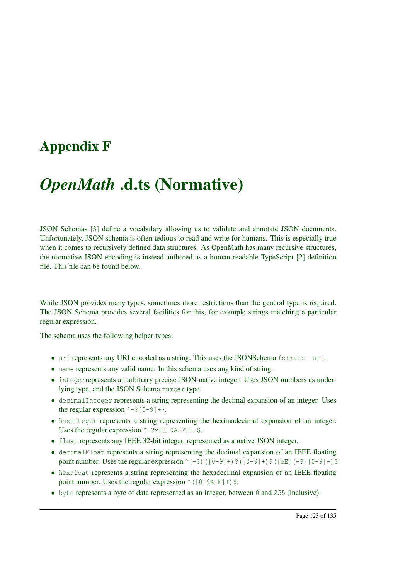### Appendix F

## *OpenMath* .d.ts (Normative)

JSON Schemas [\[3\]](#page-137-0) define a vocabulary allowing us to validate and annotate JSON documents. Unfortunately, JSON schema is often tedious to read and write for humans. This is especially true when it comes to recursively defined data structures. As OpenMath has many recursive structures, the normative JSON encoding is instead authored as a human readable TypeScript [\[2\]](#page-137-1) definition file. This file can be found below.

While JSON provides many types, sometimes more restrictions than the general type is required. The JSON Schema provides several facilities for this, for example strings matching a particular regular expression.

The schema uses the following helper types:

- uri represents any URI encoded as a string. This uses the JSONSchema format: uri.
- name represents any valid name. In this schema uses any kind of string.
- integerrepresents an arbitrary precise JSON-native integer. Uses JSON numbers as underlying type, and the JSON Schema number type.
- decimalInteger represents a string representing the decimal expansion of an integer. Uses the regular expression  $\sim -?$  [0-9]+\$.
- hexInteger represents a string representing the heximadecimal expansion of an integer. Uses the regular expression  $\sim -?x[0-9A-F]+S$ .
- float represents any IEEE 32-bit integer, represented as a native JSON integer.
- decimalFloat represents a string representing the decimal expansion of an IEEE floating point number. Uses the regular expression  $(0, -2)$  ( $[0, -9]$ +)?( $[0, -9]$ +)?( $[0, -9]$ +)?.
- hexFloat represents a string representing the hexadecimal expansion of an IEEE floating point number. Uses the regular expression  $\wedge$  ([0-9A-F]+)\$.
- byte represents a byte of data represented as an integer, between 0 and 255 (inclusive).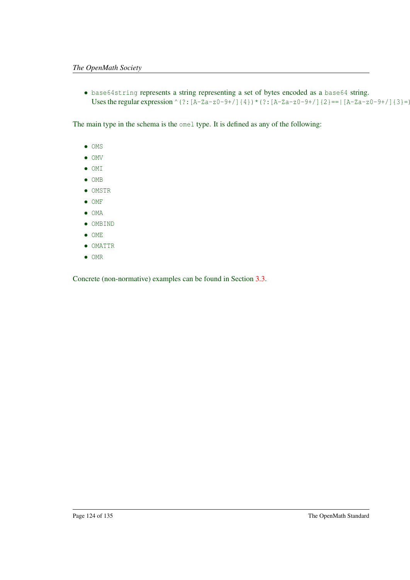• base64string represents a string representing a set of bytes encoded as a base64 string. Uses the regular expression ^(?:[A-Za-z0-9+/]{4}) \* (?:[A-Za-z0-9+/]{2}==|[A-Za-z0-9+/]{3}=)

The main type in the schema is the omel type. It is defined as any of the following:

- OMS
- OMV
- OMI
- OMB
- OMSTR
- OMF
- OMA
- OMBIND
- OME
- OMATTR
- OMR

Concrete (non-normative) examples can be found in Section [3.3.](#page-42-0)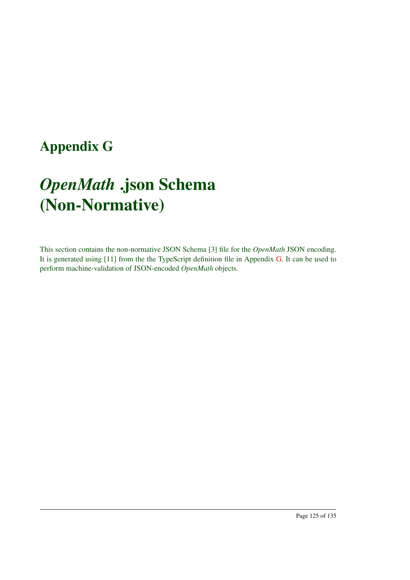## <span id="page-129-0"></span>Appendix G

# *OpenMath* .json Schema (Non-Normative)

This section contains the non-normative JSON Schema [\[3\]](#page-137-0) file for the *OpenMath* JSON encoding. It is generated using [\[11\]](#page-138-0) from the the TypeScript definition file in Appendix [G.](#page-129-0) It can be used to perform machine-validation of JSON-encoded *OpenMath* objects.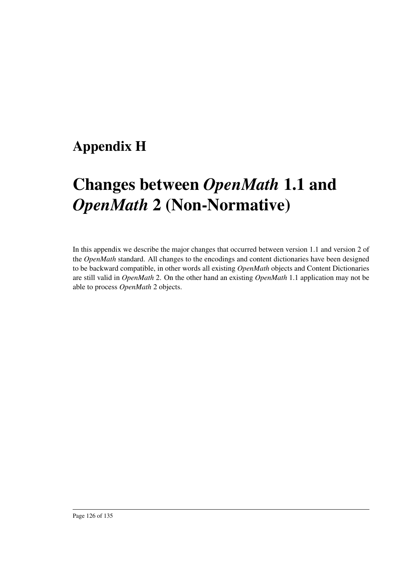## Appendix H

# Changes between *OpenMath* 1.1 and *OpenMath* 2 (Non-Normative)

In this appendix we describe the major changes that occurred between version 1.1 and version 2 of the *OpenMath* standard. All changes to the encodings and content dictionaries have been designed to be backward compatible, in other words all existing *OpenMath* objects and Content Dictionaries are still valid in *OpenMath* 2. On the other hand an existing *OpenMath* 1.1 application may not be able to process *OpenMath* 2 objects.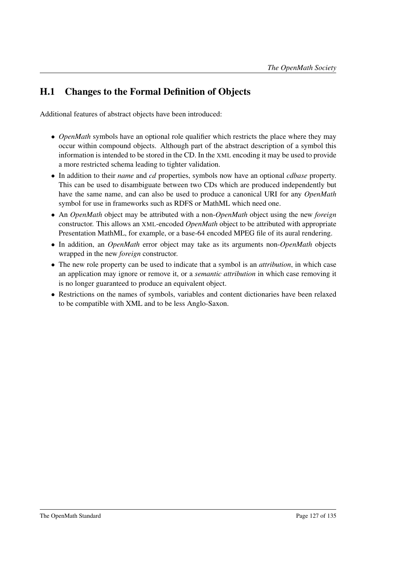#### H.1 Changes to the Formal Definition of Objects

Additional features of abstract objects have been introduced:

- *OpenMath* symbols have an optional role qualifier which restricts the place where they may occur within compound objects. Although part of the abstract description of a symbol this information is intended to be stored in the CD. In the XML encoding it may be used to provide a more restricted schema leading to tighter validation.
- In addition to their *name* and *cd* properties, symbols now have an optional *cdbase* property. This can be used to disambiguate between two CDs which are produced independently but have the same name, and can also be used to produce a canonical URI for any *OpenMath* symbol for use in frameworks such as RDFS or MathML which need one.
- An *OpenMath* object may be attributed with a non-*OpenMath* object using the new *foreign* constructor. This allows an XML-encoded *OpenMath* object to be attributed with appropriate Presentation MathML, for example, or a base-64 encoded MPEG file of its aural rendering.
- In addition, an *OpenMath* error object may take as its arguments non-*OpenMath* objects wrapped in the new *foreign* constructor.
- The new role property can be used to indicate that a symbol is an *attribution*, in which case an application may ignore or remove it, or a *semantic attribution* in which case removing it is no longer guaranteed to produce an equivalent object.
- Restrictions on the names of symbols, variables and content dictionaries have been relaxed to be compatible with XML and to be less Anglo-Saxon.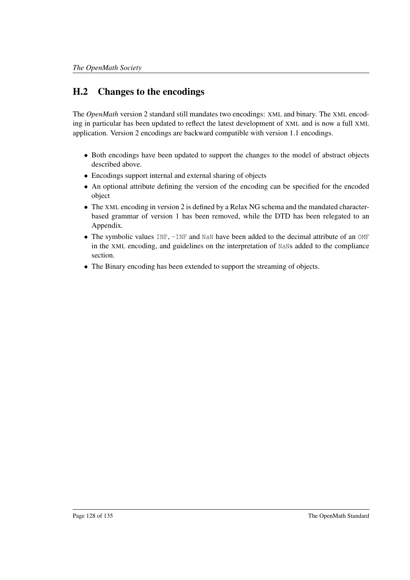#### H.2 Changes to the encodings

The *OpenMath* version 2 standard still mandates two encodings: XML and binary. The XML encoding in particular has been updated to reflect the latest development of XML and is now a full XML application. Version 2 encodings are backward compatible with version 1.1 encodings.

- Both encodings have been updated to support the changes to the model of abstract objects described above.
- Encodings support internal and external sharing of objects
- An optional attribute defining the version of the encoding can be specified for the encoded object
- The XML encoding in version 2 is defined by a Relax NG schema and the mandated characterbased grammar of version 1 has been removed, while the DTD has been relegated to an Appendix.
- The symbolic values INF, -INF and NaN have been added to the decimal attribute of an OMF in the XML encoding, and guidelines on the interpretation of NaNs added to the compliance section.
- The Binary encoding has been extended to support the streaming of objects.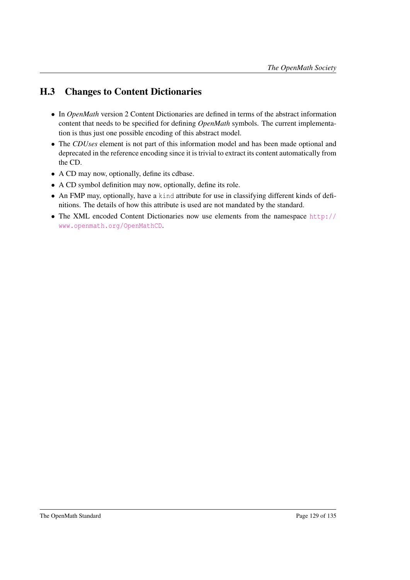#### H.3 Changes to Content Dictionaries

- In *OpenMath* version 2 Content Dictionaries are defined in terms of the abstract information content that needs to be specified for defining *OpenMath* symbols. The current implementation is thus just one possible encoding of this abstract model.
- The *CDUses* element is not part of this information model and has been made optional and deprecated in the reference encoding since it is trivial to extract its content automatically from the CD.
- A CD may now, optionally, define its cdbase.
- A CD symbol definition may now, optionally, define its role.
- An FMP may, optionally, have a kind attribute for use in classifying different kinds of definitions. The details of how this attribute is used are not mandated by the standard.
- The XML encoded Content Dictionaries now use elements from the namespace [http://](http://www.openmath.org/OpenMathCD) [www.openmath.org/OpenMathCD](http://www.openmath.org/OpenMathCD).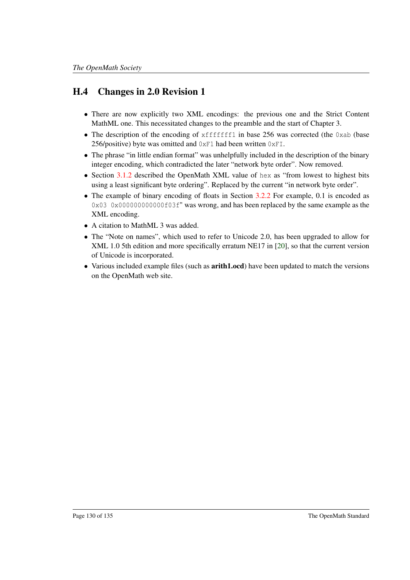#### H.4 Changes in 2.0 Revision 1

- There are now explicitly two XML encodings: the previous one and the Strict Content MathML one. This necessitated changes to the preamble and the start of Chapter 3.
- The description of the encoding of xfffffff1 in base 256 was corrected (the 0xab (base) 256/positive) byte was omitted and  $0 \times$ F1 had been written  $0 \times$ F1.
- The phrase "in little endian format" was unhelpfully included in the description of the binary integer encoding, which contradicted the later "network byte order". Now removed.
- Section [3.1.2](#page-26-0) described the OpenMath XML value of hex as "from lowest to highest bits using a least significant byte ordering". Replaced by the current "in network byte order".
- The example of binary encoding of floats in Section [3.2.2](#page-34-0) For example, 0.1 is encoded as 0x03 0x000000000000f03f" was wrong, and has been replaced by the same example as the XML encoding.
- A citation to MathML 3 was added.
- The "Note on names", which used to refer to Unicode 2.0, has been upgraded to allow for XML 1.0 5th edition and more specifically erratum NE17 in [\[20\]](#page-138-1), so that the current version of Unicode is incorporated.
- Various included example files (such as **arith1.ocd**) have been updated to match the versions on the OpenMath web site.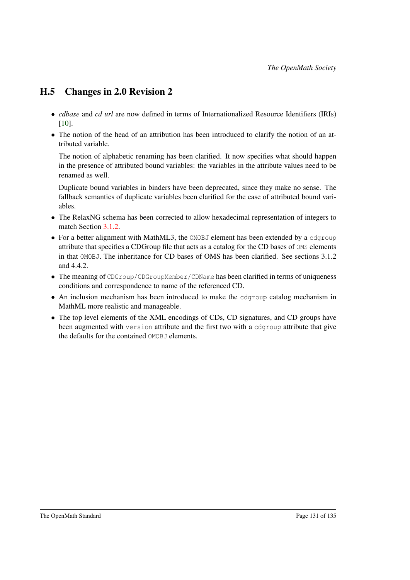#### H.5 Changes in 2.0 Revision 2

- *cdbase* and *cd url* are now defined in terms of Internationalized Resource Identifiers (IRIs) [\[10\]](#page-138-2).
- The notion of the head of an attribution has been introduced to clarify the notion of an attributed variable.

The notion of alphabetic renaming has been clarified. It now specifies what should happen in the presence of attributed bound variables: the variables in the attribute values need to be renamed as well.

Duplicate bound variables in binders have been deprecated, since they make no sense. The fallback semantics of duplicate variables been clarified for the case of attributed bound variables.

- The RelaxNG schema has been corrected to allow hexadecimal representation of integers to match Section [3.1.2.](#page-26-0)
- For a better alignment with MathML3, the OMOBJ element has been extended by a cdgroup attribute that specifies a CDGroup file that acts as a catalog for the CD bases of OMS elements in that OMOBJ. The inheritance for CD bases of OMS has been clarified. See sections 3.1.2 and 4.4.2.
- The meaning of CDGroup/CDGroupMember/CDName has been clarified in terms of uniqueness conditions and correspondence to name of the referenced CD.
- An inclusion mechanism has been introduced to make the cdgroup catalog mechanism in MathML more realistic and manageable.
- The top level elements of the XML encodings of CDs, CD signatures, and CD groups have been augmented with version attribute and the first two with a cdgroup attribute that give the defaults for the contained OMOBJ elements.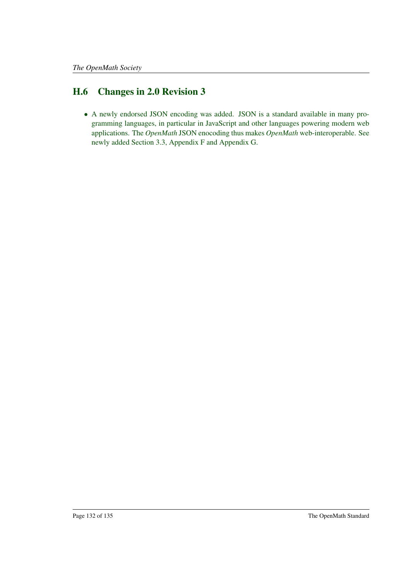#### H.6 Changes in 2.0 Revision 3

• A newly endorsed JSON encoding was added. JSON is a standard available in many programming languages, in particular in JavaScript and other languages powering modern web applications. The *OpenMath* JSON enocoding thus makes *OpenMath* web-interoperable. See newly added Section 3.3, Appendix F and Appendix G.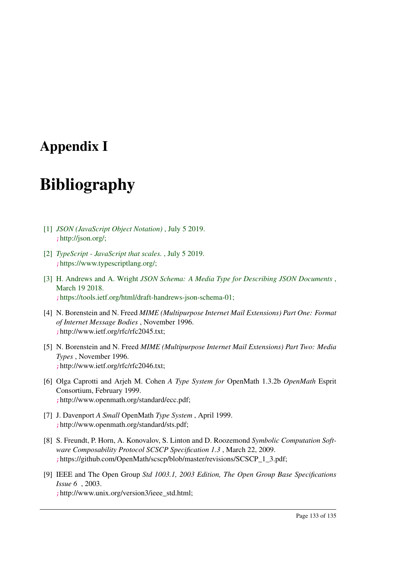### Appendix I

## Bibliography

- [1] *JSON (JavaScript Object Notation)* , July 5 2019. <;>http://json.org/;
- <span id="page-137-1"></span>[2] *TypeScript - JavaScript that scales.* , July 5 2019. <;>https://www.typescriptlang.org/;
- <span id="page-137-0"></span>[3] H. Andrews and A. Wright *JSON Schema: A Media Type for Describing JSON Documents* , March 19 2018. <;>https://tools.ietf.org/html/draft-handrews-json-schema-01;
- [4] N. Borenstein and N. Freed *MIME (Multipurpose Internet Mail Extensions) Part One: Format of Internet Message Bodies* , November 1996. <;>http://www.ietf.org/rfc/rfc2045.txt;
- [5] N. Borenstein and N. Freed *MIME (Multipurpose Internet Mail Extensions) Part Two: Media Types* , November 1996. <;>http://www.ietf.org/rfc/rfc2046.txt;
- [6] Olga Caprotti and Arjeh M. Cohen *A Type System for* OpenMath 1.3.2b *OpenMath* Esprit Consortium, February 1999. <;>http://www.openmath.org/standard/ecc.pdf;
- [7] J. Davenport *A Small* OpenMath *Type System* , April 1999. <;>http://www.openmath.org/standard/sts.pdf;
- [8] S. Freundt, P. Horn, A. Konovalov, S. Linton and D. Roozemond *Symbolic Computation Software Composability Protocol SCSCP Specification 1.3* , March 22, 2009. <;>https://github.com/OpenMath/scscp/blob/master/revisions/SCSCP\_1\_3.pdf;
- [9] IEEE and The Open Group *Std 1003.1, 2003 Edition, The Open Group Base Specifications Issue 6* , 2003. <;>http://www.unix.org/version3/ieee\_std.html;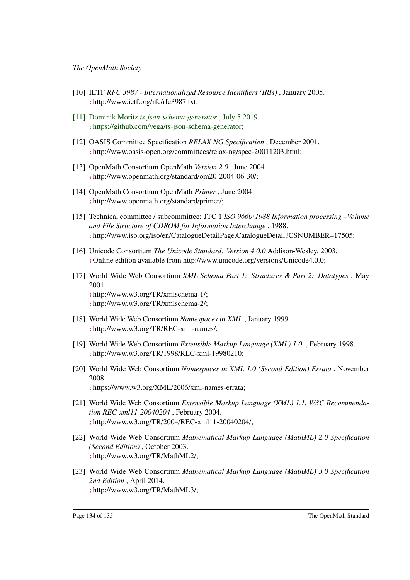- <span id="page-138-2"></span>[10] IETF *RFC 3987 - Internationalized Resource Identifiers (IRIs)* , January 2005. <;>http://www.ietf.org/rfc/rfc3987.txt;
- <span id="page-138-0"></span>[11] Dominik Moritz *ts-json-schema-generator* , July 5 2019. <;>https://github.com/vega/ts-json-schema-generator;
- [12] OASIS Committee Specification *RELAX NG Specification* , December 2001. <;>http://www.oasis-open.org/committees/relax-ng/spec-20011203.html;
- [13] OpenMath Consortium OpenMath *Version 2.0* , June 2004. <;>http://www.openmath.org/standard/om20-2004-06-30/;
- [14] OpenMath Consortium OpenMath *Primer* , June 2004. <;>http://www.openmath.org/standard/primer/;
- [15] Technical committee / subcommittee: JTC 1 *ISO 9660:1988 Information processing –Volume and File Structure of CDROM for Information Interchange* , 1988. <;>http://www.iso.org/iso/en/CatalogueDetailPage.CatalogueDetail?CSNUMBER=17505;
- [16] Unicode Consortium *The Unicode Standard: Version 4.0.0* Addison-Wesley, 2003. <;>Online edition available from http://www.unicode.org/versions/Unicode4.0.0;
- [17] World Wide Web Consortium *XML Schema Part 1: Structures & Part 2: Datatypes* , May 2001. <;>http://www.w3.org/TR/xmlschema-1/; <;>http://www.w3.org/TR/xmlschema-2/;
- [18] World Wide Web Consortium *Namespaces in XML* , January 1999. <;>http://www.w3.org/TR/REC-xml-names/;
- [19] World Wide Web Consortium *Extensible Markup Language (XML) 1.0.* , February 1998. <;>http://www.w3.org/TR/1998/REC-xml-19980210;
- <span id="page-138-1"></span>[20] World Wide Web Consortium *Namespaces in XML 1.0 (Second Edition) Errata* , November 2008. <;>https://www.w3.org/XML/2006/xml-names-errata;
- [21] World Wide Web Consortium *Extensible Markup Language (XML) 1.1. W3C Recommendation REC-xml11-20040204* , February 2004. <;>http://www.w3.org/TR/2004/REC-xml11-20040204/;
- [22] World Wide Web Consortium *Mathematical Markup Language (MathML) 2.0 Specification (Second Edition)* , October 2003. <;>http://www.w3.org/TR/MathML2/;
- [23] World Wide Web Consortium *Mathematical Markup Language (MathML) 3.0 Specification 2nd Edition* , April 2014. <;>http://www.w3.org/TR/MathML3/;